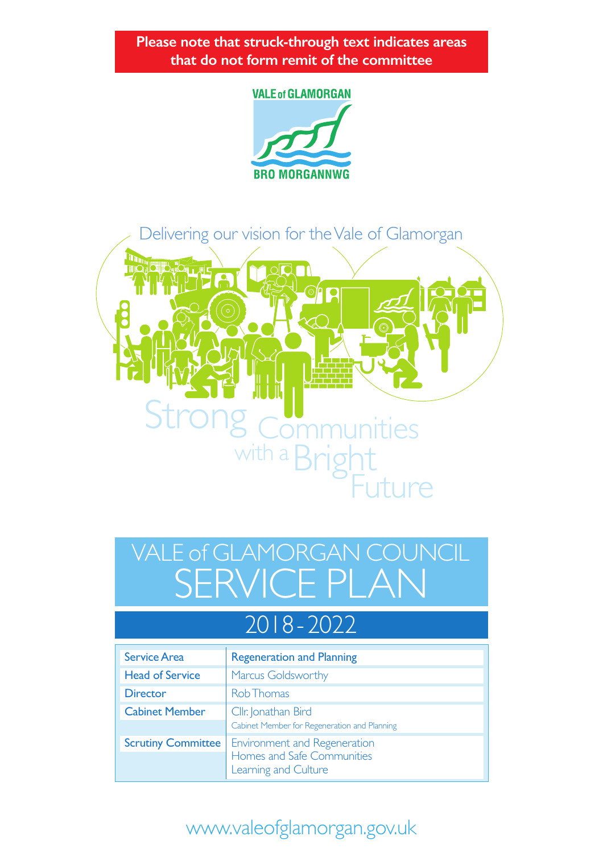**Please note that struck-through text indicates areas that do not form remit of the committee**

#### **VALE of GLAMORGAN**





# SERVICE PLAN VALE of GLAMORGAN COUNCIL

## 2018 - 2022

| <b>Service Area</b>       | <b>Regeneration and Planning</b>                                                   |  |  |
|---------------------------|------------------------------------------------------------------------------------|--|--|
| <b>Head of Service</b>    | <b>Marcus Goldsworthy</b>                                                          |  |  |
| <b>Director</b>           | Rob Thomas                                                                         |  |  |
| <b>Cabinet Member</b>     | Cllr. Jonathan Bird                                                                |  |  |
|                           | Cabinet Member for Regeneration and Planning                                       |  |  |
| <b>Scrutiny Committee</b> | Environment and Regeneration<br>Homes and Safe Communities<br>Learning and Culture |  |  |
|                           |                                                                                    |  |  |

## www.valeofglamorgan.gov.uk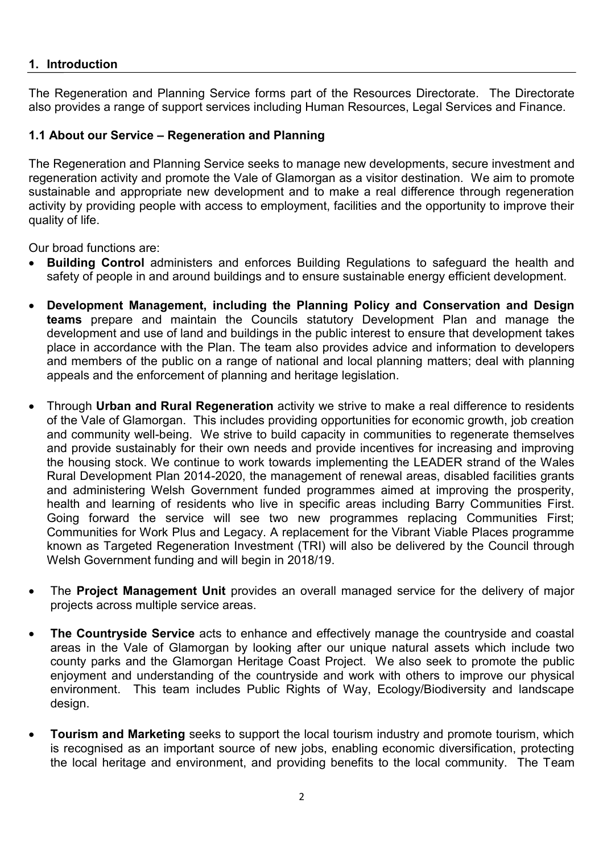#### **1. Introduction**

The Regeneration and Planning Service forms part of the Resources Directorate. The Directorate also provides a range of support services including Human Resources, Legal Services and Finance.

#### **1.1 About our Service – Regeneration and Planning**

The Regeneration and Planning Service seeks to manage new developments, secure investment and regeneration activity and promote the Vale of Glamorgan as a visitor destination. We aim to promote sustainable and appropriate new development and to make a real difference through regeneration activity by providing people with access to employment, facilities and the opportunity to improve their quality of life.

Our broad functions are:

- **Building Control** administers and enforces Building Regulations to safeguard the health and safety of people in and around buildings and to ensure sustainable energy efficient development.
- **Development Management, including the Planning Policy and Conservation and Design teams** prepare and maintain the Councils statutory Development Plan and manage the development and use of land and buildings in the public interest to ensure that development takes place in accordance with the Plan. The team also provides advice and information to developers and members of the public on a range of national and local planning matters; deal with planning appeals and the enforcement of planning and heritage legislation.
- Through **Urban and Rural Regeneration** activity we strive to make a real difference to residents of the Vale of Glamorgan. This includes providing opportunities for economic growth, job creation and community well-being. We strive to build capacity in communities to regenerate themselves and provide sustainably for their own needs and provide incentives for increasing and improving the housing stock. We continue to work towards implementing the LEADER strand of the Wales Rural Development Plan 2014-2020, the management of renewal areas, disabled facilities grants and administering Welsh Government funded programmes aimed at improving the prosperity, health and learning of residents who live in specific areas including Barry Communities First. Going forward the service will see two new programmes replacing Communities First; Communities for Work Plus and Legacy. A replacement for the Vibrant Viable Places programme known as Targeted Regeneration Investment (TRI) will also be delivered by the Council through Welsh Government funding and will begin in 2018/19.
- The **Project Management Unit** provides an overall managed service for the delivery of major projects across multiple service areas.
- **The Countryside Service** acts to enhance and effectively manage the countryside and coastal areas in the Vale of Glamorgan by looking after our unique natural assets which include two county parks and the Glamorgan Heritage Coast Project. We also seek to promote the public enjoyment and understanding of the countryside and work with others to improve our physical environment. This team includes Public Rights of Way, Ecology/Biodiversity and landscape design.
- **Tourism and Marketing** seeks to support the local tourism industry and promote tourism, which is recognised as an important source of new jobs, enabling economic diversification, protecting the local heritage and environment, and providing benefits to the local community. The Team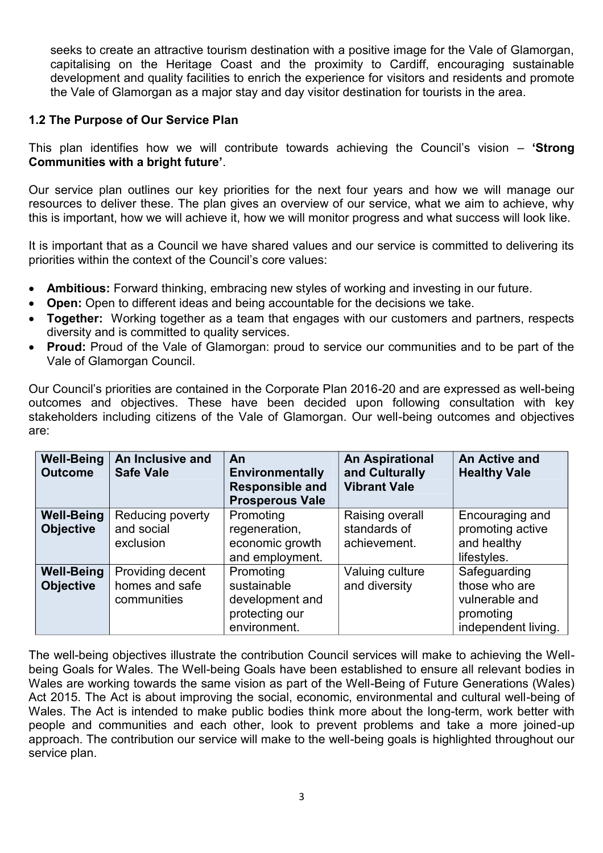seeks to create an attractive tourism destination with a positive image for the Vale of Glamorgan, capitalising on the Heritage Coast and the proximity to Cardiff, encouraging sustainable development and quality facilities to enrich the experience for visitors and residents and promote the Vale of Glamorgan as a major stay and day visitor destination for tourists in the area.

#### **1.2 The Purpose of Our Service Plan**

This plan identifies how we will contribute towards achieving the Council's vision – **'Strong Communities with a bright future'**.

Our service plan outlines our key priorities for the next four years and how we will manage our resources to deliver these. The plan gives an overview of our service, what we aim to achieve, why this is important, how we will achieve it, how we will monitor progress and what success will look like.

It is important that as a Council we have shared values and our service is committed to delivering its priorities within the context of the Council's core values:

- **Ambitious:** Forward thinking, embracing new styles of working and investing in our future.
- **Open:** Open to different ideas and being accountable for the decisions we take.
- **Together:** Working together as a team that engages with our customers and partners, respects diversity and is committed to quality services.
- **Proud:** Proud of the Vale of Glamorgan: proud to service our communities and to be part of the Vale of Glamorgan Council.

Our Council's priorities are contained in the Corporate Plan 2016-20 and are expressed as well-being outcomes and objectives. These have been decided upon following consultation with key stakeholders including citizens of the Vale of Glamorgan. Our well-being outcomes and objectives are:

| <b>Well-Being</b><br><b>Outcome</b>   | An Inclusive and<br><b>Safe Vale</b>              | An<br>Environmentally<br><b>Responsible and</b><br><b>Prosperous Vale</b>     | <b>An Aspirational</b><br>and Culturally<br><b>Vibrant Vale</b> | An Active and<br><b>Healthy Vale</b>                                                |
|---------------------------------------|---------------------------------------------------|-------------------------------------------------------------------------------|-----------------------------------------------------------------|-------------------------------------------------------------------------------------|
| <b>Well-Being</b><br><b>Objective</b> | Reducing poverty<br>and social<br>exclusion       | Promoting<br>regeneration,<br>economic growth<br>and employment.              | Raising overall<br>standards of<br>achievement.                 | Encouraging and<br>promoting active<br>and healthy<br>lifestyles.                   |
| <b>Well-Being</b><br><b>Objective</b> | Providing decent<br>homes and safe<br>communities | Promoting<br>sustainable<br>development and<br>protecting our<br>environment. | Valuing culture<br>and diversity                                | Safeguarding<br>those who are<br>vulnerable and<br>promoting<br>independent living. |

The well-being objectives illustrate the contribution Council services will make to achieving the Wellbeing Goals for Wales. The Well-being Goals have been established to ensure all relevant bodies in Wales are working towards the same vision as part of the Well-Being of Future Generations (Wales) Act 2015. The Act is about improving the social, economic, environmental and cultural well-being of Wales. The Act is intended to make public bodies think more about the long-term, work better with people and communities and each other, look to prevent problems and take a more joined-up approach. The contribution our service will make to the well-being goals is highlighted throughout our service plan.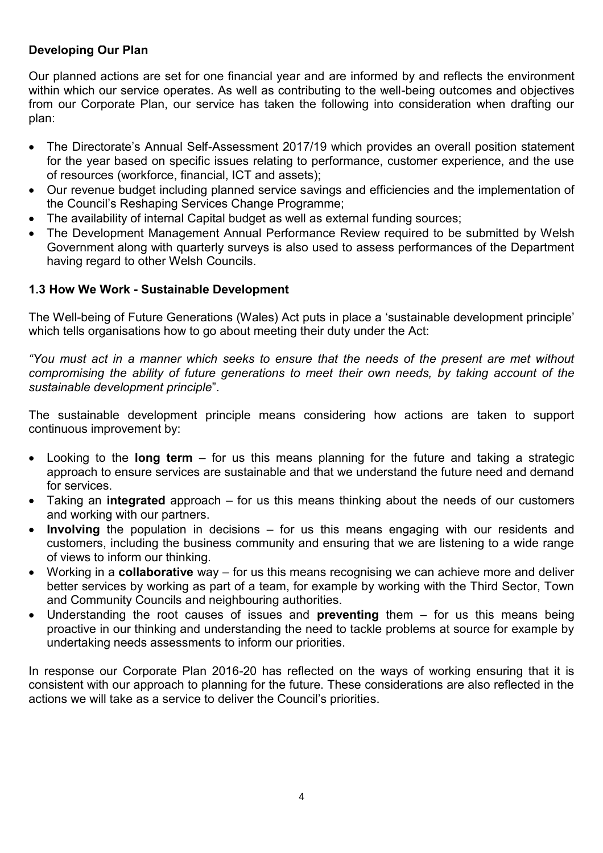#### **Developing Our Plan**

Our planned actions are set for one financial year and are informed by and reflects the environment within which our service operates. As well as contributing to the well-being outcomes and objectives from our Corporate Plan, our service has taken the following into consideration when drafting our plan:

- The Directorate's Annual Self-Assessment 2017/19 which provides an overall position statement for the year based on specific issues relating to performance, customer experience, and the use of resources (workforce, financial, ICT and assets);
- Our revenue budget including planned service savings and efficiencies and the implementation of the Council's Reshaping Services Change Programme;
- The availability of internal Capital budget as well as external funding sources;
- The Development Management Annual Performance Review required to be submitted by Welsh Government along with quarterly surveys is also used to assess performances of the Department having regard to other Welsh Councils.

#### **1.3 How We Work - Sustainable Development**

The Well-being of Future Generations (Wales) Act puts in place a 'sustainable development principle' which tells organisations how to go about meeting their duty under the Act:

*"You must act in a manner which seeks to ensure that the needs of the present are met without compromising the ability of future generations to meet their own needs, by taking account of the sustainable development principle*".

The sustainable development principle means considering how actions are taken to support continuous improvement by:

- Looking to the **long term**  for us this means planning for the future and taking a strategic approach to ensure services are sustainable and that we understand the future need and demand for services.
- Taking an **integrated** approach for us this means thinking about the needs of our customers and working with our partners.
- **Involving** the population in decisions for us this means engaging with our residents and customers, including the business community and ensuring that we are listening to a wide range of views to inform our thinking.
- Working in a **collaborative** way for us this means recognising we can achieve more and deliver better services by working as part of a team, for example by working with the Third Sector, Town and Community Councils and neighbouring authorities.
- Understanding the root causes of issues and **preventing** them for us this means being proactive in our thinking and understanding the need to tackle problems at source for example by undertaking needs assessments to inform our priorities.

In response our Corporate Plan 2016-20 has reflected on the ways of working ensuring that it is consistent with our approach to planning for the future. These considerations are also reflected in the actions we will take as a service to deliver the Council's priorities.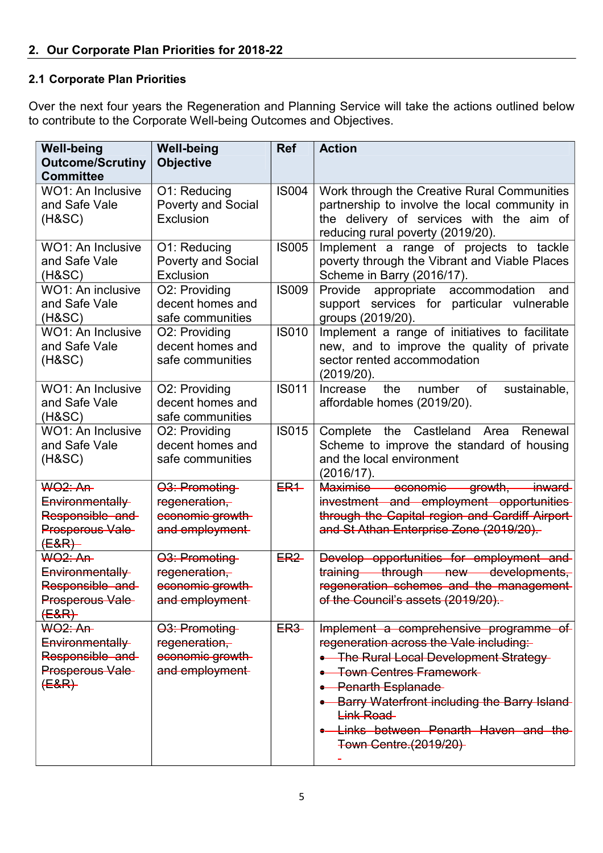#### **2.1 Corporate Plan Priorities**

Over the next four years the Regeneration and Planning Service will take the actions outlined below to contribute to the Corporate Well-being Outcomes and Objectives.

| <b>Well-being</b><br><b>Outcome/Scrutiny</b><br><b>Committee</b>                     | <b>Well-being</b><br><b>Objective</b>                                             | <b>Ref</b>      | <b>Action</b>                                                                                                                                                                                                                                                                                                     |
|--------------------------------------------------------------------------------------|-----------------------------------------------------------------------------------|-----------------|-------------------------------------------------------------------------------------------------------------------------------------------------------------------------------------------------------------------------------------------------------------------------------------------------------------------|
| <b>WO1: An Inclusive</b><br>and Safe Vale<br>$(H\&SC)$                               | O1: Reducing<br><b>Poverty and Social</b><br>Exclusion                            | <b>IS004</b>    | Work through the Creative Rural Communities<br>partnership to involve the local community in<br>the delivery of services with the aim of<br>reducing rural poverty (2019/20).                                                                                                                                     |
| <b>WO1: An Inclusive</b><br>and Safe Vale<br>(H&SC)                                  | O1: Reducing<br><b>Poverty and Social</b><br>Exclusion                            | <b>IS005</b>    | Implement a range of projects to tackle<br>poverty through the Vibrant and Viable Places<br>Scheme in Barry (2016/17).                                                                                                                                                                                            |
| WO1: An inclusive<br>and Safe Vale<br>(H&SC)                                         | O2: Providing<br>decent homes and<br>safe communities                             | <b>IS009</b>    | appropriate accommodation<br>Provide<br>and<br>support services for particular vulnerable<br>groups (2019/20).                                                                                                                                                                                                    |
| <b>WO1: An Inclusive</b><br>and Safe Vale<br>(H&SC)                                  | O2: Providing<br>decent homes and<br>safe communities                             | <b>IS010</b>    | Implement a range of initiatives to facilitate<br>new, and to improve the quality of private<br>sector rented accommodation<br>(2019/20).                                                                                                                                                                         |
| <b>WO1: An Inclusive</b><br>and Safe Vale<br>(H&SC)                                  | O2: Providing<br>decent homes and<br>safe communities                             | <b>IS011</b>    | of<br>sustainable,<br>Increase<br>the<br>number<br>affordable homes (2019/20).                                                                                                                                                                                                                                    |
| <b>WO1: An Inclusive</b><br>and Safe Vale<br>(H&SC)                                  | O2: Providing<br>decent homes and<br>safe communities                             | <b>IS015</b>    | Castleland<br>Renewal<br>Complete<br>Area<br>the<br>Scheme to improve the standard of housing<br>and the local environment<br>(2016/17).                                                                                                                                                                          |
| <b>WO2: An-</b><br>Environmentally<br>Responsible and<br>Prosperous Vale-<br>(E&R)   | 03: Promoting<br>regeneration,<br>economic growth<br>and employment               | $ER+$           | Maximise economic growth, inward-<br>investment and employment opportunities<br>through the Capital region and Cardiff Airport-<br>and St Athan Enterprise Zone (2019/20).                                                                                                                                        |
| <b>WO2: An-</b><br>Environmentally<br>Responsible and<br>Prosperous Vale-<br>$(E&R)$ | O <sub>3</sub> : Promoting<br>regeneration,<br>economic growth-<br>and employment | ER <sub>2</sub> | Develop opportunities for employment and<br>training through new developments.<br>regeneration schemes and the management-<br>of the Council's assets (2019/20).-                                                                                                                                                 |
| <b>WO2: An-</b><br>Environmentally<br>Responsible and<br>Prosperous Vale<br>$(E&R)$  | 03: Promoting<br>regeneration,<br>economic growth<br>and employment               | <b>ER3</b>      | Implement a comprehensive programme of<br>regeneration across the Vale including:<br>• The Rural Local Development Strategy-<br>• Town Centres Framework-<br>• Penarth Esplanade<br>• Barry Waterfront including the Barry Island-<br>Link Road<br>• Links between Penarth Haven and the<br>Town Centre (2019/20) |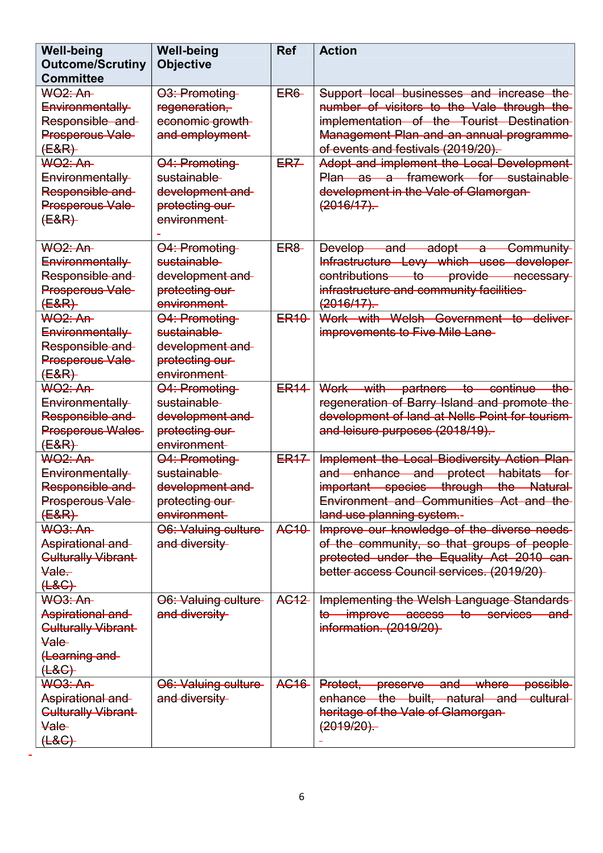| <b>Well-being</b><br><b>Outcome/Scrutiny</b><br><b>Committee</b>                                                  | <b>Well-being</b><br><b>Objective</b>                                              | <b>Ref</b>       | <b>Action</b>                                                                                                                                                                                                         |
|-------------------------------------------------------------------------------------------------------------------|------------------------------------------------------------------------------------|------------------|-----------------------------------------------------------------------------------------------------------------------------------------------------------------------------------------------------------------------|
| <b>WO2: An-</b><br>Environmentally<br>Responsible and<br>Prosperous Vale<br>( <del>E&amp;R)</del>                 | 03: Promoting<br>regeneration,<br>economic growth<br>and employment                | ER6              | Support local businesses and increase the<br>number of visitors to the Vale through the<br>implementation of the Tourist Destination<br>Management Plan and an annual programme<br>of events and festivals (2019/20)- |
| <del>WO2: An</del><br>Environmentally<br>Responsible and<br>Prosperous Vale-<br>$(E&R)$                           | 04: Promoting<br>sustainable-<br>development and<br>protecting our-<br>environment | ER <sub>7</sub>  | Adopt and implement the Local Development<br>Plan as a framework for sustainable<br>development in the Vale of Glamorgan-<br>(2016/17)                                                                                |
| <del>WO2: An</del><br>Environmentally<br>Responsible and<br>Prosperous Vale-<br>$(E&R)$                           | 04: Promoting<br>sustainable-<br>development and<br>protecting our<br>environment  | <b>ER8</b>       | and adopt a<br>Community<br>Develop-<br>Infrastructure Levy which uses developer-<br>contributions to provide necessary<br>infrastructure and community facilities<br>(2016/17)                                       |
| <b>WO2: An-</b><br>Environmentally<br>Responsible and<br>Prosperous Vale<br>$(E&R)$                               | 04: Promoting<br>sustainable-<br>development and<br>protecting our-<br>environment | ER <sub>10</sub> | Work with Welsh Government to deliver<br>improvements to Five Mile Lane-                                                                                                                                              |
| <del>WO2: An</del><br>Environmentally<br>Responsible and<br><b>Prosperous Wales</b><br>$(E&R)$                    | 04: Promoting<br>sustainable-<br>development and<br>protecting our-<br>environment | ER <sub>14</sub> | Work with partners to continue<br><del>the</del><br>regeneration of Barry Island and promote the<br>development of land at Nells Point for tourism-<br>and leisure purposes (2018/19)-                                |
| <b>WO2: An-</b><br>Environmentally<br>Responsible and<br>Prosperous Vale-<br>$(E&R)$                              | 04: Promoting<br>sustainable-<br>development and<br>protecting our-<br>environment | <b>ER17</b>      | Implement the Local Biodiversity Action Plan-<br>and enhance and protect habitats for<br>important species through the Natural<br>Environment and Communities Act and the<br>land use planning system.-               |
| <del>WO3: An</del><br>Aspirational and<br>Culturally Vibrant<br>Vale-<br>$H$ & $G$ }                              | O6: Valuing culture-<br>and diversity                                              | <b>AC10</b>      | Improve our knowledge of the diverse needs<br>of the community, so that groups of people-<br>protected under the Equality Act 2010 can-<br>better access Council services. (2019/20)                                  |
| <b>WO3: An-</b><br>Aspirational and<br><b>Culturally Vibrant</b><br><b>Vale</b><br>(Learning and<br>( <b>48</b> ) | 06. Valuing culture<br>and diversity                                               | AG12             | Implementing the Welsh Language Standards<br>to improve access to services and<br>information. (2019/20)                                                                                                              |
| <b>WO3: An-</b><br>Aspirational and<br><b>Culturally Vibrant</b><br>Vale-<br>$H$ $H$                              | 06. Valuing culture-<br>and diversity                                              | AG16             | <b>possible</b><br>Protect, preserve and where<br>enhance the built, natural and cultural<br>heritage of the Vale of Glamorgan-<br>(2019/20)                                                                          |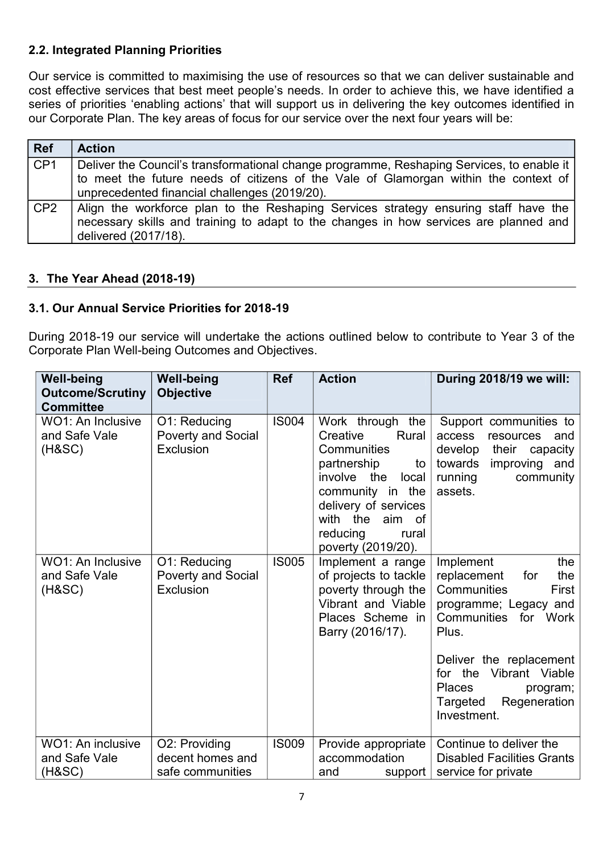#### **2.2. Integrated Planning Priorities**

Our service is committed to maximising the use of resources so that we can deliver sustainable and cost effective services that best meet people's needs. In order to achieve this, we have identified a series of priorities 'enabling actions' that will support us in delivering the key outcomes identified in our Corporate Plan. The key areas of focus for our service over the next four years will be:

| Ref     | <b>Action</b>                                                                                                                                                                                        |
|---------|------------------------------------------------------------------------------------------------------------------------------------------------------------------------------------------------------|
| CF1     | Deliver the Council's transformational change programme, Reshaping Services, to enable it                                                                                                            |
|         | to meet the future needs of citizens of the Vale of Glamorgan within the context of                                                                                                                  |
|         | unprecedented financial challenges (2019/20).                                                                                                                                                        |
| $ $ CP2 | Align the workforce plan to the Reshaping Services strategy ensuring staff have the<br>necessary skills and training to adapt to the changes in how services are planned and<br>delivered (2017/18). |

#### **3. The Year Ahead (2018-19)**

#### **3.1. Our Annual Service Priorities for 2018-19**

During 2018-19 our service will undertake the actions outlined below to contribute to Year 3 of the Corporate Plan Well-being Outcomes and Objectives.

| <b>Well-being</b><br><b>Outcome/Scrutiny</b><br><b>Committee</b> | <b>Well-being</b><br><b>Objective</b>                  | <b>Ref</b>   | <b>Action</b>                                                                                                                                                                                                     | During 2018/19 we will:                                                                                                                             |
|------------------------------------------------------------------|--------------------------------------------------------|--------------|-------------------------------------------------------------------------------------------------------------------------------------------------------------------------------------------------------------------|-----------------------------------------------------------------------------------------------------------------------------------------------------|
| WO1: An Inclusive<br>and Safe Vale<br>$(H\&SC)$                  | O1: Reducing<br>Poverty and Social<br>Exclusion        | <b>IS004</b> | Work through the<br>Creative<br>Rural<br>Communities<br>partnership<br>to<br>involve the<br>local<br>community in<br>the<br>delivery of services<br>with the<br>aim of<br>reducing<br>rural<br>poverty (2019/20). | Support communities to<br>access<br>resources<br>and<br>develop<br>their<br>capacity<br>towards<br>improving and<br>running<br>community<br>assets. |
| <b>WO1: An Inclusive</b><br>and Safe Vale<br>(H&SC)              | O1: Reducing<br><b>Poverty and Social</b><br>Exclusion | <b>IS005</b> | Implement a range<br>of projects to tackle<br>poverty through the<br>Vibrant and Viable<br>Places Scheme in<br>Barry (2016/17).                                                                                   | Implement<br>the<br>replacement<br>for<br>the<br>Communities<br>First<br>programme; Legacy and<br>Communities<br>for Work<br>Plus.                  |
|                                                                  |                                                        |              |                                                                                                                                                                                                                   | Deliver the replacement<br>for the Vibrant Viable<br>Places<br>program;<br>Regeneration<br>Targeted<br>Investment.                                  |
| WO1: An inclusive<br>and Safe Vale<br>(H&SC)                     | O2: Providing<br>decent homes and<br>safe communities  | <b>IS009</b> | Provide appropriate<br>accommodation<br>and<br>support                                                                                                                                                            | Continue to deliver the<br><b>Disabled Facilities Grants</b><br>service for private                                                                 |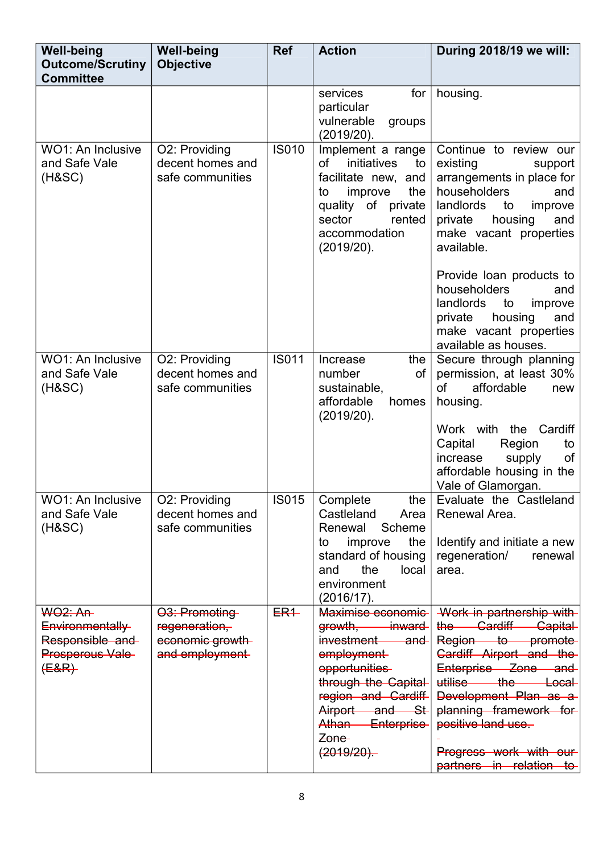| <b>Well-being</b><br><b>Outcome/Scrutiny</b><br><b>Committee</b> | <b>Well-being</b><br><b>Objective</b>                 | <b>Ref</b>   | <b>Action</b>                                                                                                                                                           | During 2018/19 we will:                                                                                                                                                                              |
|------------------------------------------------------------------|-------------------------------------------------------|--------------|-------------------------------------------------------------------------------------------------------------------------------------------------------------------------|------------------------------------------------------------------------------------------------------------------------------------------------------------------------------------------------------|
|                                                                  |                                                       |              | services<br>for<br>particular<br>vulnerable<br>groups<br>(2019/20).                                                                                                     | housing.                                                                                                                                                                                             |
| WO1: An Inclusive<br>and Safe Vale<br>(HASC)                     | O2: Providing<br>decent homes and<br>safe communities | <b>IS010</b> | Implement a range<br>initiatives<br>οf<br>to<br>facilitate new, and<br>the<br>improve<br>to<br>of private<br>quality<br>sector<br>rented<br>accommodation<br>(2019/20). | Continue to review our<br>existing<br>support<br>arrangements in place for<br>householders<br>and<br>landlords<br>to<br>improve<br>private<br>housing<br>and<br>make vacant properties<br>available. |
|                                                                  |                                                       |              |                                                                                                                                                                         | Provide loan products to<br>householders<br>and<br>landlords<br>improve<br>to<br>housing<br>and<br>private<br>make vacant properties<br>available as houses.                                         |
| WO1: An Inclusive<br>and Safe Vale<br>$(H\&SC)$                  | O2: Providing<br>decent homes and<br>safe communities | <b>IS011</b> | the<br>Increase<br>number<br>οf<br>sustainable,<br>affordable<br>homes<br>(2019/20).                                                                                    | Secure through planning<br>permission, at least 30%<br><b>of</b><br>affordable<br>new<br>housing.                                                                                                    |
|                                                                  |                                                       |              |                                                                                                                                                                         | Work with the Cardiff<br>Capital<br>Region<br>to<br>of<br>increase<br>supply<br>affordable housing in the<br>Vale of Glamorgan.                                                                      |
| <b>WO1: An Inclusive</b><br>and Safe Vale<br>$(H\&SC)$           | O2: Providing<br>decent homes and<br>safe communities | <b>IS015</b> | Complete<br>the<br>Castleland<br>Area<br>Renewal<br>Scheme                                                                                                              | Evaluate the Castleland<br>Renewal Area.                                                                                                                                                             |
|                                                                  |                                                       |              | the<br>to<br>improve<br>standard of housing<br>the<br>and<br>local<br>environment<br>(2016/17).                                                                         | Identify and initiate a new<br>regeneration/<br>renewal<br>area.                                                                                                                                     |
| <b>WO2: An-</b>                                                  | 03: Promoting                                         | $ER+$        | Maximise economic-                                                                                                                                                      | Work in partnership with                                                                                                                                                                             |
| Environmentally<br>Responsible and                               | regeneration,<br>economic growth                      |              | growth, inward<br>investment<br><del>and</del>                                                                                                                          | the Cardiff Capital<br>Region to promote                                                                                                                                                             |
| Prosperous Vale-                                                 | and employment                                        |              | employment-                                                                                                                                                             | Gardiff Airport and the                                                                                                                                                                              |
| $(E&R)$                                                          |                                                       |              | opportunities<br>through the Capital                                                                                                                                    | Enterprise Zone and<br>utilise the Local                                                                                                                                                             |
|                                                                  |                                                       |              | region and Cardiff                                                                                                                                                      | Development Plan as a                                                                                                                                                                                |
|                                                                  |                                                       |              | Airport and St                                                                                                                                                          | planning framework for                                                                                                                                                                               |
|                                                                  |                                                       |              | Athan Enterprise<br>Zone-                                                                                                                                               | positive land use.                                                                                                                                                                                   |
|                                                                  |                                                       |              | $(2019/20)$ .                                                                                                                                                           | Progress work with our<br>partners in relation to                                                                                                                                                    |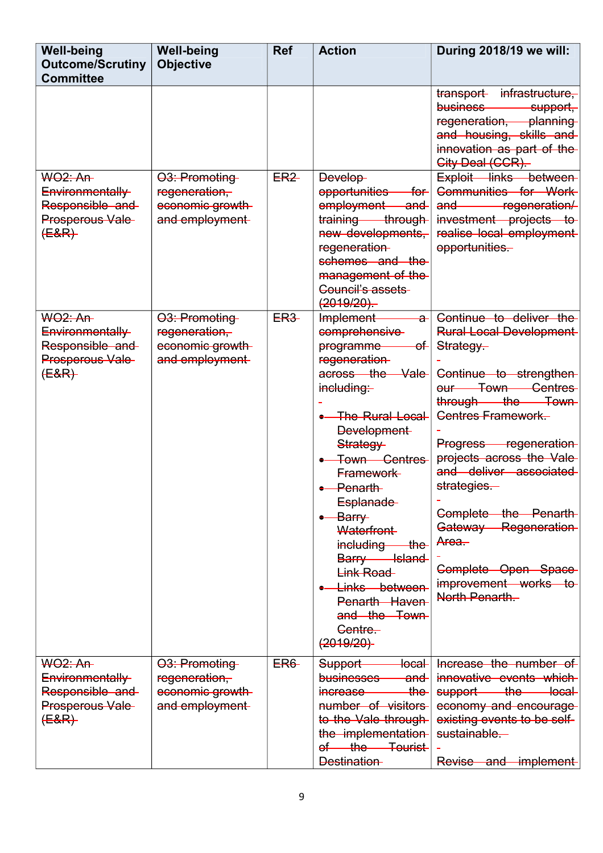| <b>Well-being</b><br><b>Outcome/Scrutiny</b><br><b>Committee</b>                     | <b>Well-being</b><br><b>Objective</b>                               | <b>Ref</b>      | <b>Action</b>                                                                                                                                                                                                                                                                                                                                                                                               | During 2018/19 we will:                                                                                                                                                                                                                                                                                                                                                                        |
|--------------------------------------------------------------------------------------|---------------------------------------------------------------------|-----------------|-------------------------------------------------------------------------------------------------------------------------------------------------------------------------------------------------------------------------------------------------------------------------------------------------------------------------------------------------------------------------------------------------------------|------------------------------------------------------------------------------------------------------------------------------------------------------------------------------------------------------------------------------------------------------------------------------------------------------------------------------------------------------------------------------------------------|
|                                                                                      |                                                                     |                 |                                                                                                                                                                                                                                                                                                                                                                                                             | infrastructure,<br>transport<br>business-<br>support-<br>regeneration, planning<br>and housing, skills and<br>innovation as part of the<br>City Deal (CCR).                                                                                                                                                                                                                                    |
| <b>WO2: An-</b><br>Environmentally<br>Responsible and<br>Prosperous Vale<br>$(E&R)$  | 03: Promoting<br>regeneration,<br>economic growth<br>and employment | ER <sub>2</sub> | Develop-<br>opportunities<br>—for-∣<br>employment<br><del>and</del><br>training through<br>new developments,<br>regeneration-<br>schemes and the<br>management of the<br><b>Council's assets-</b><br>(2019/20)                                                                                                                                                                                              | Exploit links between<br>Communities for Work<br>-regeneration/<br>and<br>investment projects to<br>realise local employment<br>opportunities.                                                                                                                                                                                                                                                 |
| <b>WO2: An-</b><br>Environmentally<br>Responsible and<br>Prosperous Vale<br>$(E&R)$  | 03: Promoting<br>regeneration,<br>economic growth<br>and employment | <b>ER3</b>      | Implement<br>a-l<br>comprehensive<br>programme<br>ef⊦<br>regeneration-<br>across the Vale<br>including-<br><b>The Rural Local</b><br><b>Development</b><br>Strategy-<br>Town Centres<br>Framework-<br>$\bullet$ - Penarth-<br>Esplanade<br>$-$ Barry<br>Waterfront-<br>including<br><del>the</del><br>Barry Island<br>Link Road<br>• Links between<br>Penarth Haven<br>and the Town<br>Centre.<br>(2019/20) | Continue to deliver the<br><b>Rural Local Development</b><br>Strategy-<br>Continue to strengthen<br>our Town Centres<br>through the Town<br><b>Centres Framework.</b><br>Progress regeneration<br>projects across the Vale-<br>and deliver associated<br>strategies-<br>Complete the Penarth<br>Gateway Regeneration<br>Area.<br>Complete Open Space<br>improvement works to<br>North Penarth- |
| <b>WO2: An-</b><br>Environmentally<br>Responsible and<br>Prosperous Vale-<br>$(E&R)$ | 03: Promoting<br>regeneration,<br>economic growth<br>and employment | <b>ER6-</b>     | Support<br><del>local</del><br>businesses<br><del>and</del><br>$\overline{\text{the}}$<br>increase<br>number of visitors<br>to the Vale through-<br>the implementation<br>of the Tourist<br><b>Destination</b>                                                                                                                                                                                              | Increase the number of<br>innovative events which<br>support the<br><del>ocal</del> —<br>economy and encourage-<br>existing events to be self-<br>sustainable.<br>-implement-<br>Revise and                                                                                                                                                                                                    |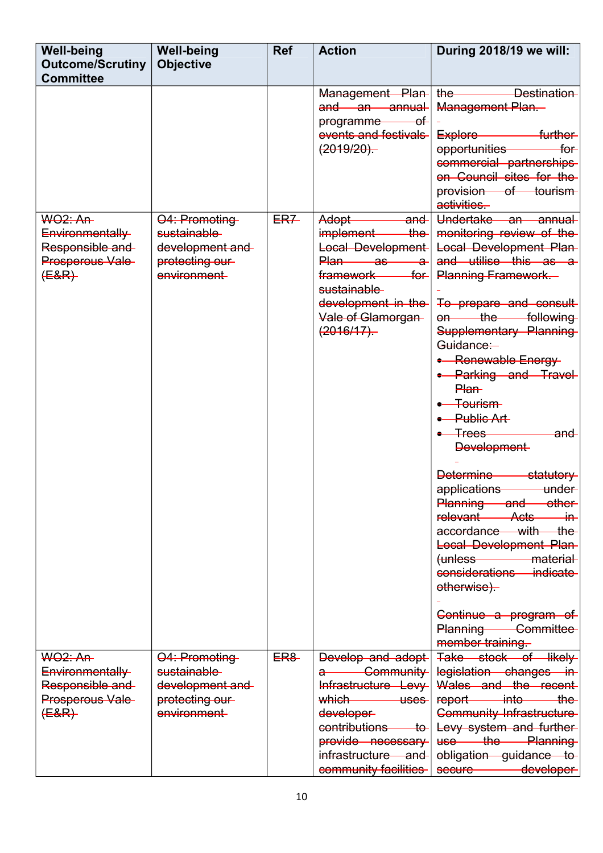| <b>Well-being</b><br><b>Outcome/Scrutiny</b><br><b>Committee</b>                     | <b>Well-being</b><br><b>Objective</b>                                              | <b>Ref</b>  | <b>Action</b>                                                                                                                                                                            | During 2018/19 we will:                                                                                                                                                                                                                                                                                                                                                                                                                                                                                                                                                                                                                                                                                                                |
|--------------------------------------------------------------------------------------|------------------------------------------------------------------------------------|-------------|------------------------------------------------------------------------------------------------------------------------------------------------------------------------------------------|----------------------------------------------------------------------------------------------------------------------------------------------------------------------------------------------------------------------------------------------------------------------------------------------------------------------------------------------------------------------------------------------------------------------------------------------------------------------------------------------------------------------------------------------------------------------------------------------------------------------------------------------------------------------------------------------------------------------------------------|
|                                                                                      |                                                                                    |             | Management Plan<br>and an annual<br>programme<br>—of⊢<br>events and festivals<br>(2019/20)                                                                                               | <b>Example Sestination</b><br>the-<br><b>Management Plan.</b><br>further-<br>Explore<br>$f$ or<br>opportunities<br>commercial partnerships<br>on Council sites for the<br>provision of tourism<br>activities.                                                                                                                                                                                                                                                                                                                                                                                                                                                                                                                          |
| <b>WO2: An-</b><br>Environmentally<br>Responsible and<br>Prosperous Vale-<br>$(E&R)$ | 04: Promoting<br>sustainable-<br>development and<br>protecting our<br>environment- | <b>ER7</b>  | Adopt<br>and<br>implement<br>$the -$<br>Local Development<br>Plan as a<br><del>for</del><br>framework<br>sustainable-<br>development in the<br>Vale of Glamorgan<br>(2016/17)            | Undertake an<br>annual<br>monitoring review of the<br><b>Local Development Plan-</b><br>and utilise this as a<br><b>Planning Framework.</b><br>To prepare and consult<br>$-$ the<br>following<br>$Theta$<br>Supplementary Planning<br>Guidance:<br>• Renewable Energy<br>• Parking and Travel<br>Plan-<br><del>Tourism</del><br>•- Public Art-<br>$-$ Trees<br><del>and</del><br><b>Development</b><br><b>Determine</b><br>statutory<br>applications<br>under<br>Planning and other<br>Acts<br>relevant<br>—in—<br>$the-$<br>accordance with<br>Local Development Plan-<br>$(u$ n $less$<br>material-<br>considerations-<br><i>indicate</i><br>otherwise).<br>Continue a program of<br><b>Committee</b><br>Planning<br>member training |
| <b>WO2: An-</b><br>Environmentally<br>Responsible and<br>Prosperous Vale<br>$(E&R)$  | 04: Promoting<br>sustainable-<br>development and<br>protecting our-<br>environment | <b>ER8-</b> | Develop and adopt<br><b>Community</b><br>Infrastructure Levy<br>which uses<br>developer<br>contributions<br>$+$ o $-$<br>provide necessary<br>infrastructure and<br>community facilities | Take stock of likely<br>legislation changes in<br>Wales and the recent<br>report into the<br><b>Community Infrastructure</b><br>Levy system and further-<br>use the Planning<br>obligation guidance to<br>developer<br>secure <u>example</u>                                                                                                                                                                                                                                                                                                                                                                                                                                                                                           |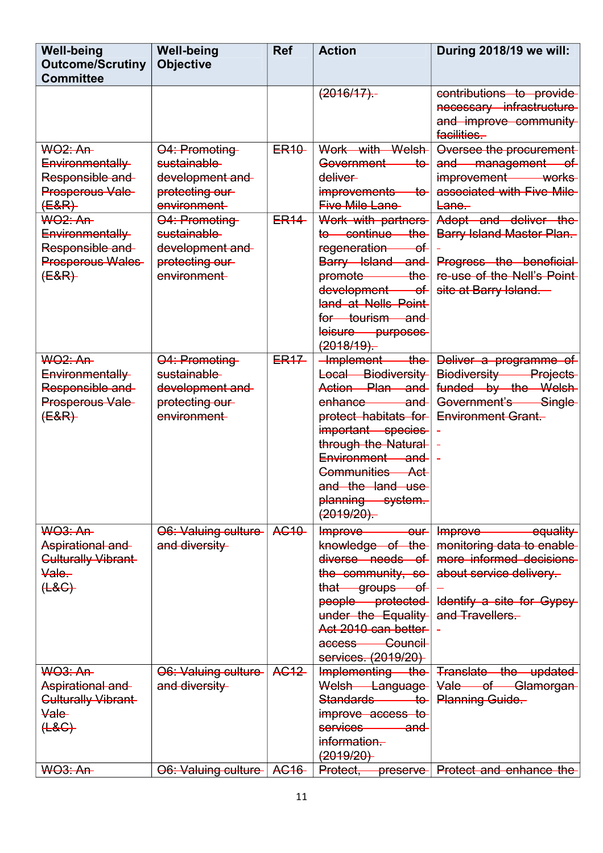| <b>Well-being</b><br><b>Outcome/Scrutiny</b><br><b>Committee</b>                              | <b>Well-being</b><br><b>Objective</b>                                              | <b>Ref</b>             | <b>Action</b>                                                                                                                                                                                                                                                        | During 2018/19 we will:                                                                                                                                  |
|-----------------------------------------------------------------------------------------------|------------------------------------------------------------------------------------|------------------------|----------------------------------------------------------------------------------------------------------------------------------------------------------------------------------------------------------------------------------------------------------------------|----------------------------------------------------------------------------------------------------------------------------------------------------------|
|                                                                                               |                                                                                    |                        | $(2016/17)$ .                                                                                                                                                                                                                                                        | contributions to provide<br>necessary infrastructure<br>and improve community<br>facilities-                                                             |
| <b>WO2: An-</b><br>Environmentally<br>Responsible and<br>Prosperous Vale-<br>$(E&R)$          | 04: Promoting<br>sustainable-<br>development and<br>protecting our<br>environment- | ER <sub>10</sub>       | Work with Welsh<br>Government<br><del>to</del><br>deliver<br>improvements<br>$+$ o $-$<br><b>Five Mile Lane</b>                                                                                                                                                      | Oversee the procurement-<br>and management of<br>improvement works<br>associated with Five Mile<br>$Eane -$                                              |
| <b>WO2: An-</b><br>Environmentally<br>Responsible and<br>Prosperous Wales<br>$(E&R)$          | 04: Promoting<br>sustainable-<br>development and<br>protecting our<br>environment  | <b>ER<sub>14</sub></b> | Work with partners<br>to continue<br>$the-$<br>regeneration<br>−⊖f<br>Barry Island and<br>promote <u>example</u><br><del>the</del><br>development of<br>land at Nells Point<br>for tourism and<br>leisure purposes<br>(2018/19)                                      | Adopt and deliver the<br><b>Barry Island Master Plan-</b><br>Progress the beneficial<br>re-use of the Nell's Point-<br>site at Barry Island.             |
| <b>WO2: An-</b><br>Environmentally<br>Responsible and<br>Prosperous Vale-<br>$(E&R)$          | 04: Promoting<br>sustainable-<br>development and<br>protecting our<br>environment  | <b>ER17</b>            | $+$ the<br>-Implement<br>Local Biodiversity<br>Action Plan and<br>enhance ——<br><del>and</del><br>protect habitats for<br>important species<br>through the Natural<br>Environment and<br><b>Communities Act</b><br>and the land use<br>planning system.<br>(2019/20) | Deliver a programme of<br><b>Biodiversity Projects</b><br>funded by the Welsh-<br>Government's Single<br><b>Environment Grant</b>                        |
| <b>WO3: An-</b><br>Aspirational and<br><b>Gulturally Vibrant</b><br>Vale-<br>$H$ $H$          | 06. Valuing culture-<br>and diversity                                              | <b>AG10</b>            | Improve<br>$-\theta$<br>knowledge of the<br>diverse needs of<br>the community, so<br>that groups of<br>people protected<br>under the Equality<br>Act 2010 can better<br><b>Council</b><br>access-<br>services. (2019/20)                                             | Improve<br>equality<br>monitoring data to enable-<br>more informed decisions<br>about service delivery.<br>Identify a site for Gypsy-<br>and Travellers. |
| <b>WO3: An-</b><br>Aspirational and<br><b>Culturally Vibrant</b><br><b>Vale</b><br>$(\pm 8G)$ | O6: Valuing culture<br>and diversity                                               | AG12                   | Implementing the<br>Welsh Language<br>Standards —<br>$+$ o<br>improve access to<br>services<br><del>and</del><br>information.<br>(2019/20)                                                                                                                           | Translate the updated<br>Vale of Glamorgan<br><b>Planning Guide</b>                                                                                      |
| <b>WO3: An-</b>                                                                               | 06. Valuing culture                                                                | AG <sub>16</sub>       | Protect,                                                                                                                                                                                                                                                             | preserve   Protect and enhance the                                                                                                                       |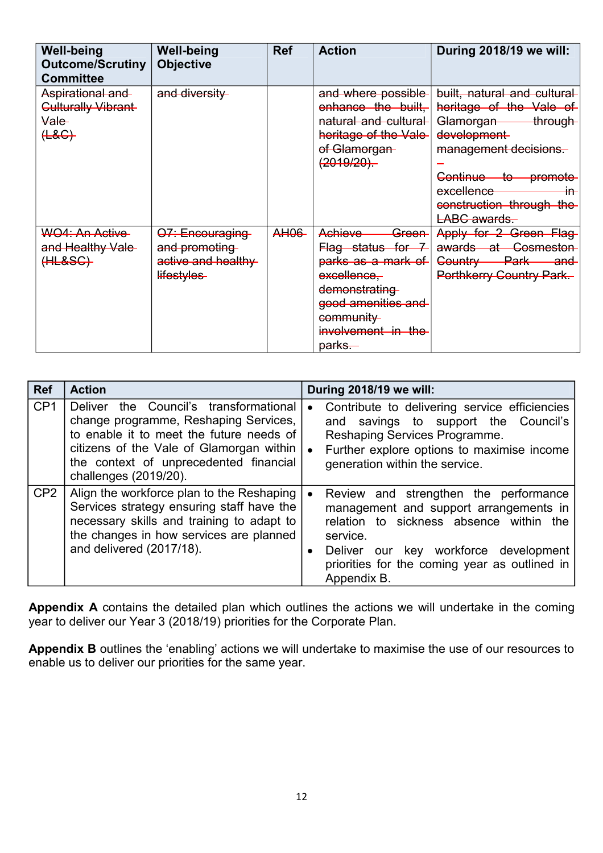| <b>Well-being</b><br><b>Outcome/Scrutiny</b><br><b>Committee</b>           | <b>Well-being</b><br><b>Objective</b>                                | <b>Ref</b>  | <b>Action</b>                                                                                                                                                             | During 2018/19 we will:                                                                                                                                                                                                                                             |
|----------------------------------------------------------------------------|----------------------------------------------------------------------|-------------|---------------------------------------------------------------------------------------------------------------------------------------------------------------------------|---------------------------------------------------------------------------------------------------------------------------------------------------------------------------------------------------------------------------------------------------------------------|
| Aspirational and<br>Culturally Vibrant<br><del>Vale</del><br>( <b>48</b> ) | and diversity                                                        |             | and where possible<br>enhance the built,<br>natural and cultural<br>heritage of the Vale<br>of Glamorgan-<br>(2019/20)                                                    | built, natural and cultural<br>heritage of the Vale of<br><del>Glamorgan</del><br>through<br>development-<br>management decisions.<br><del>Continue -</del><br><del>promote</del><br><del>-to</del><br>excellence<br>╫ᠲ<br>construction through the<br>LABC awards. |
| WO4: An Active<br>and Healthy Vale-<br>(HLESG)                             | O7: Encouraging<br>and promoting<br>active and healthy<br>lifestyles | <b>AH06</b> | Achieve<br><del>Green</del><br>Flag status for 7<br>parks as a mark of<br>excellence,<br>demonstrating<br>good amenities and<br>community<br>involvement in the<br>parks. | Apply for 2 Green Flag-<br><b>Cosmeston</b><br>awards at-<br><del>Park</del><br><del>Country —</del><br><del>and</del><br><b>Porthkerry Country Park.</b>                                                                                                           |

| <b>Ref</b>      | <b>Action</b>                                                                                                                                                                                                                              | During 2018/19 we will:                                                                                                                                                                                                                                      |
|-----------------|--------------------------------------------------------------------------------------------------------------------------------------------------------------------------------------------------------------------------------------------|--------------------------------------------------------------------------------------------------------------------------------------------------------------------------------------------------------------------------------------------------------------|
| CP <sub>1</sub> | Deliver the Council's transformational<br>change programme, Reshaping Services,<br>to enable it to meet the future needs of<br>citizens of the Vale of Glamorgan within<br>the context of unprecedented financial<br>challenges (2019/20). | Contribute to delivering service efficiencies<br>$\bullet$<br>savings to support the Council's<br>and<br>Reshaping Services Programme.<br>Further explore options to maximise income<br>generation within the service.                                       |
| CP <sub>2</sub> | Align the workforce plan to the Reshaping<br>Services strategy ensuring staff have the<br>necessary skills and training to adapt to<br>the changes in how services are planned<br>and delivered (2017/18).                                 | Review and strengthen the performance<br>management and support arrangements in<br>relation to sickness absence within the<br>service.<br>Deliver our key workforce development<br>$\bullet$<br>priorities for the coming year as outlined in<br>Appendix B. |

**Appendix A** contains the detailed plan which outlines the actions we will undertake in the coming year to deliver our Year 3 (2018/19) priorities for the Corporate Plan.

**Appendix B** outlines the 'enabling' actions we will undertake to maximise the use of our resources to enable us to deliver our priorities for the same year.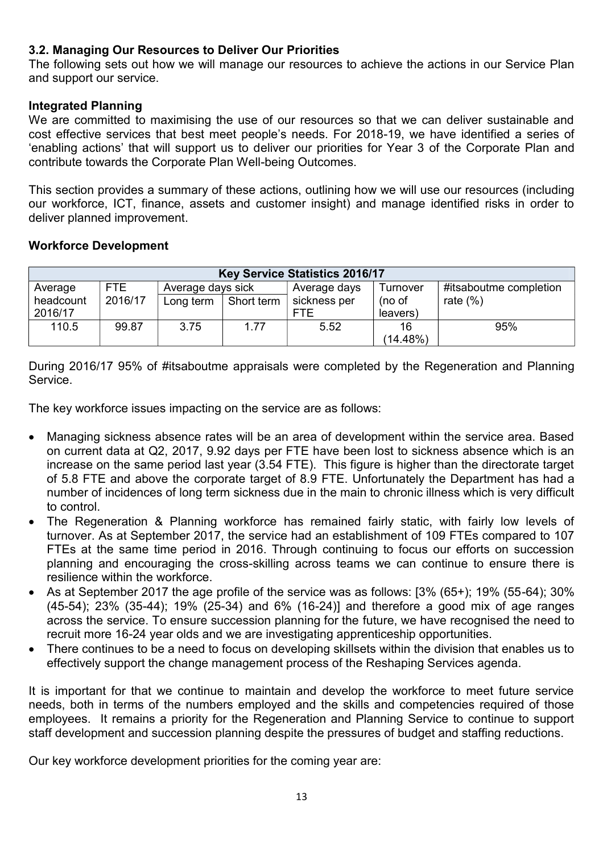#### **3.2. Managing Our Resources to Deliver Our Priorities**

The following sets out how we will manage our resources to achieve the actions in our Service Plan and support our service.

#### **Integrated Planning**

We are committed to maximising the use of our resources so that we can deliver sustainable and cost effective services that best meet people's needs. For 2018-19, we have identified a series of 'enabling actions' that will support us to deliver our priorities for Year 3 of the Corporate Plan and contribute towards the Corporate Plan Well-being Outcomes.

This section provides a summary of these actions, outlining how we will use our resources (including our workforce, ICT, finance, assets and customer insight) and manage identified risks in order to deliver planned improvement.

#### **Workforce Development**

| <b>Key Service Statistics 2016/17</b> |         |                   |            |              |          |                        |  |
|---------------------------------------|---------|-------------------|------------|--------------|----------|------------------------|--|
| Average                               | FTE     | Average days sick |            | Average days | Turnover | #itsaboutme completion |  |
| headcount                             | 2016/17 | Long term         | Short term | sickness per | (no of   | rate $(\%)$            |  |
| 2016/17                               |         |                   |            | <b>FTF</b>   | leavers) |                        |  |
| 110.5                                 | 99.87   | 3.75              | 1.77       | 5.52         | 16       | 95%                    |  |
|                                       |         |                   |            |              | (14.48%) |                        |  |

During 2016/17 95% of #itsaboutme appraisals were completed by the Regeneration and Planning Service.

The key workforce issues impacting on the service are as follows:

- Managing sickness absence rates will be an area of development within the service area. Based on current data at Q2, 2017, 9.92 days per FTE have been lost to sickness absence which is an increase on the same period last year (3.54 FTE). This figure is higher than the directorate target of 5.8 FTE and above the corporate target of 8.9 FTE. Unfortunately the Department has had a number of incidences of long term sickness due in the main to chronic illness which is very difficult to control.
- The Regeneration & Planning workforce has remained fairly static, with fairly low levels of turnover. As at September 2017, the service had an establishment of 109 FTEs compared to 107 FTEs at the same time period in 2016. Through continuing to focus our efforts on succession planning and encouraging the cross-skilling across teams we can continue to ensure there is resilience within the workforce.
- As at September 2017 the age profile of the service was as follows: [3% (65+); 19% (55-64); 30% (45-54); 23% (35-44); 19% (25-34) and 6% (16-24)] and therefore a good mix of age ranges across the service. To ensure succession planning for the future, we have recognised the need to recruit more 16-24 year olds and we are investigating apprenticeship opportunities.
- There continues to be a need to focus on developing skillsets within the division that enables us to effectively support the change management process of the Reshaping Services agenda.

It is important for that we continue to maintain and develop the workforce to meet future service needs, both in terms of the numbers employed and the skills and competencies required of those employees. It remains a priority for the Regeneration and Planning Service to continue to support staff development and succession planning despite the pressures of budget and staffing reductions.

Our key workforce development priorities for the coming year are: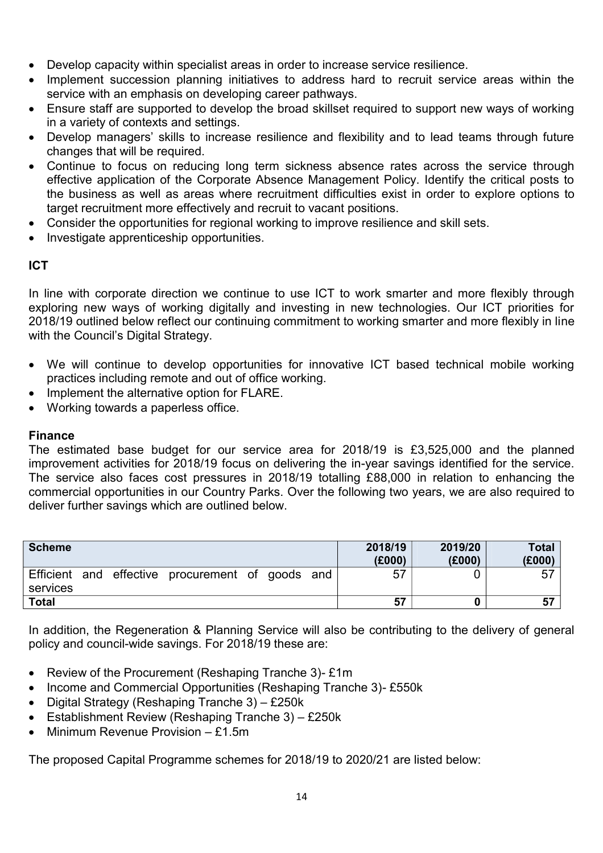- Develop capacity within specialist areas in order to increase service resilience.
- Implement succession planning initiatives to address hard to recruit service areas within the service with an emphasis on developing career pathways.
- Ensure staff are supported to develop the broad skillset required to support new ways of working in a variety of contexts and settings.
- Develop managers' skills to increase resilience and flexibility and to lead teams through future changes that will be required.
- Continue to focus on reducing long term sickness absence rates across the service through effective application of the Corporate Absence Management Policy. Identify the critical posts to the business as well as areas where recruitment difficulties exist in order to explore options to target recruitment more effectively and recruit to vacant positions.
- Consider the opportunities for regional working to improve resilience and skill sets.
- Investigate apprenticeship opportunities.

#### **ICT**

In line with corporate direction we continue to use ICT to work smarter and more flexibly through exploring new ways of working digitally and investing in new technologies. Our ICT priorities for 2018/19 outlined below reflect our continuing commitment to working smarter and more flexibly in line with the Council's Digital Strategy.

- We will continue to develop opportunities for innovative ICT based technical mobile working practices including remote and out of office working.
- Implement the alternative option for FLARE.
- Working towards a paperless office.

#### **Finance**

The estimated base budget for our service area for 2018/19 is £3,525,000 and the planned improvement activities for 2018/19 focus on delivering the in-year savings identified for the service. The service also faces cost pressures in 2018/19 totalling £88,000 in relation to enhancing the commercial opportunities in our Country Parks. Over the following two years, we are also required to deliver further savings which are outlined below.

| <b>Scheme</b> |  |                                                  |  | 2018/19<br>(E000) | 2019/20<br>(E000) | <b>Total</b><br>(E000) |
|---------------|--|--------------------------------------------------|--|-------------------|-------------------|------------------------|
| services      |  | Efficient and effective procurement of goods and |  | 57                |                   | 57                     |
| <b>Total</b>  |  |                                                  |  | 57                |                   |                        |

In addition, the Regeneration & Planning Service will also be contributing to the delivery of general policy and council-wide savings. For 2018/19 these are:

- Review of the Procurement (Reshaping Tranche 3)- £1m
- Income and Commercial Opportunities (Reshaping Tranche 3)- £550k
- Digital Strategy (Reshaping Tranche 3) £250 $k$
- Establishment Review (Reshaping Tranche 3) £250k
- $\bullet$  Minimum Revenue Provision £1.5m

The proposed Capital Programme schemes for 2018/19 to 2020/21 are listed below: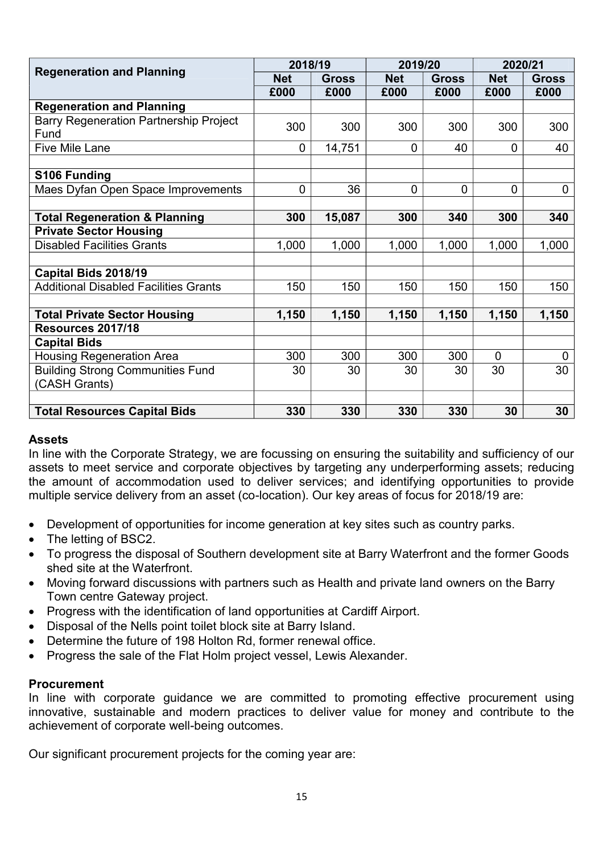|                                                       | 2018/19        |              | 2019/20        |              | 2020/21        |              |
|-------------------------------------------------------|----------------|--------------|----------------|--------------|----------------|--------------|
| <b>Regeneration and Planning</b>                      | <b>Net</b>     | <b>Gross</b> | <b>Net</b>     | <b>Gross</b> | <b>Net</b>     | <b>Gross</b> |
|                                                       | £000           | £000         | £000           | £000         | £000           | £000         |
| <b>Regeneration and Planning</b>                      |                |              |                |              |                |              |
| <b>Barry Regeneration Partnership Project</b><br>Fund | 300            | 300          | 300            | 300          | 300            | 300          |
| <b>Five Mile Lane</b>                                 | $\mathbf 0$    | 14,751       | $\overline{0}$ | 40           | $\overline{0}$ | 40           |
|                                                       |                |              |                |              |                |              |
| S106 Funding                                          |                |              |                |              |                |              |
| Maes Dyfan Open Space Improvements                    | $\overline{0}$ | 36           | $\overline{0}$ | 0            | $\overline{0}$ | 0            |
|                                                       |                |              |                |              |                |              |
| <b>Total Regeneration &amp; Planning</b>              | 300            | 15,087       | 300            | 340          | 300            | 340          |
| <b>Private Sector Housing</b>                         |                |              |                |              |                |              |
| <b>Disabled Facilities Grants</b>                     | 1,000          | 1,000        | 1,000          | 1,000        | 1,000          | 1,000        |
|                                                       |                |              |                |              |                |              |
| Capital Bids 2018/19                                  |                |              |                |              |                |              |
| <b>Additional Disabled Facilities Grants</b>          | 150            | 150          | 150            | 150          | 150            | 150          |
|                                                       |                |              |                |              |                |              |
| <b>Total Private Sector Housing</b>                   | 1,150          | 1,150        | 1,150          | 1,150        | 1,150          | 1,150        |
| Resources 2017/18                                     |                |              |                |              |                |              |
| <b>Capital Bids</b>                                   |                |              |                |              |                |              |
| <b>Housing Regeneration Area</b>                      | 300            | 300          | 300            | 300          | $\Omega$       | $\mathbf{0}$ |
| <b>Building Strong Communities Fund</b>               | 30             | 30           | 30             | 30           | 30             | 30           |
| (CASH Grants)                                         |                |              |                |              |                |              |
|                                                       |                |              |                |              |                |              |
| <b>Total Resources Capital Bids</b>                   | 330            | 330          | 330            | 330          | 30             | 30           |

#### **Assets**

In line with the Corporate Strategy, we are focussing on ensuring the suitability and sufficiency of our assets to meet service and corporate objectives by targeting any underperforming assets; reducing the amount of accommodation used to deliver services; and identifying opportunities to provide multiple service delivery from an asset (co-location). Our key areas of focus for 2018/19 are:

- Development of opportunities for income generation at key sites such as country parks.
- The letting of BSC2.
- To progress the disposal of Southern development site at Barry Waterfront and the former Goods shed site at the Waterfront.
- Moving forward discussions with partners such as Health and private land owners on the Barry Town centre Gateway project.
- Progress with the identification of land opportunities at Cardiff Airport.
- Disposal of the Nells point toilet block site at Barry Island.
- Determine the future of 198 Holton Rd, former renewal office.
- Progress the sale of the Flat Holm project vessel, Lewis Alexander.

#### **Procurement**

In line with corporate guidance we are committed to promoting effective procurement using innovative, sustainable and modern practices to deliver value for money and contribute to the achievement of corporate well-being outcomes.

Our significant procurement projects for the coming year are: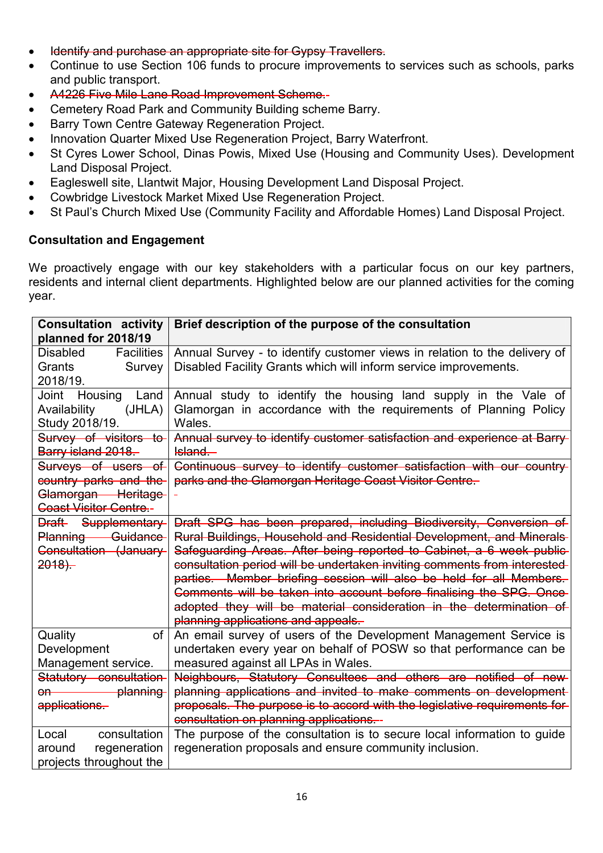- Identify and purchase an appropriate site for Gypsy Travellers.
- Continue to use Section 106 funds to procure improvements to services such as schools, parks and public transport.
- A4226 Five Mile Lane Road Improvement Scheme.-
- Cemetery Road Park and Community Building scheme Barry.
- Barry Town Centre Gateway Regeneration Project.
- Innovation Quarter Mixed Use Regeneration Project, Barry Waterfront.
- St Cyres Lower School, Dinas Powis, Mixed Use (Housing and Community Uses). Development Land Disposal Project.
- Eagleswell site, Llantwit Major, Housing Development Land Disposal Project.
- Cowbridge Livestock Market Mixed Use Regeneration Project.
- St Paul's Church Mixed Use (Community Facility and Affordable Homes) Land Disposal Project.

#### **Consultation and Engagement**

We proactively engage with our key stakeholders with a particular focus on our key partners, residents and internal client departments. Highlighted below are our planned activities for the coming year.

| <b>Consultation activity</b>         | Brief description of the purpose of the consultation                       |
|--------------------------------------|----------------------------------------------------------------------------|
| planned for 2018/19                  |                                                                            |
| <b>Disabled</b><br><b>Facilities</b> | Annual Survey - to identify customer views in relation to the delivery of  |
| Grants<br>Survey                     | Disabled Facility Grants which will inform service improvements.           |
| 2018/19.                             |                                                                            |
| Joint Housing<br>Land                | Annual study to identify the housing land supply in the Vale of            |
| (JHLA)<br>Availability               | Glamorgan in accordance with the requirements of Planning Policy           |
| Study 2018/19.                       | Wales.                                                                     |
| Survey of visitors to                | Annual survey to identify customer satisfaction and experience at Barry-   |
| Barry island 2018.                   | Island.                                                                    |
| Surveys of users of                  | Continuous survey to identify customer satisfaction with our country       |
| country parks and the                | parks and the Glamorgan Heritage Coast Visitor Centre.                     |
| Glamorgan Heritage                   |                                                                            |
| <b>Coast Visitor Centre.-</b>        |                                                                            |
| Draft Supplementary                  | Draft SPG has been prepared, including Biodiversity, Conversion of         |
| Planning Guidance                    | Rural Buildings, Household and Residential Development, and Minerals       |
| Consultation (January                | Safeguarding Areas. After being reported to Cabinet, a 6 week public       |
| $2018$ .                             | consultation period will be undertaken inviting comments from interested   |
|                                      | parties. Member briefing session will also be held for all Members.        |
|                                      | Comments will be taken into account before finalising the SPG. Once        |
|                                      | adopted they will be material consideration in the determination of        |
|                                      | planning applications and appeals.                                         |
| Quality<br>of                        | An email survey of users of the Development Management Service is          |
| Development                          | undertaken every year on behalf of POSW so that performance can be         |
| Management service.                  | measured against all LPAs in Wales.                                        |
| Statutory consultation               | Neighbours, Statutory Consultees and others are notified of new            |
| planning                             | planning applications and invited to make comments on development-         |
| applications.                        | proposals. The purpose is to accord with the legislative requirements for- |
|                                      | consultation on planning applications.                                     |
| consultation<br>Local                | The purpose of the consultation is to secure local information to guide    |
| regeneration<br>around               | regeneration proposals and ensure community inclusion.                     |
| projects throughout the              |                                                                            |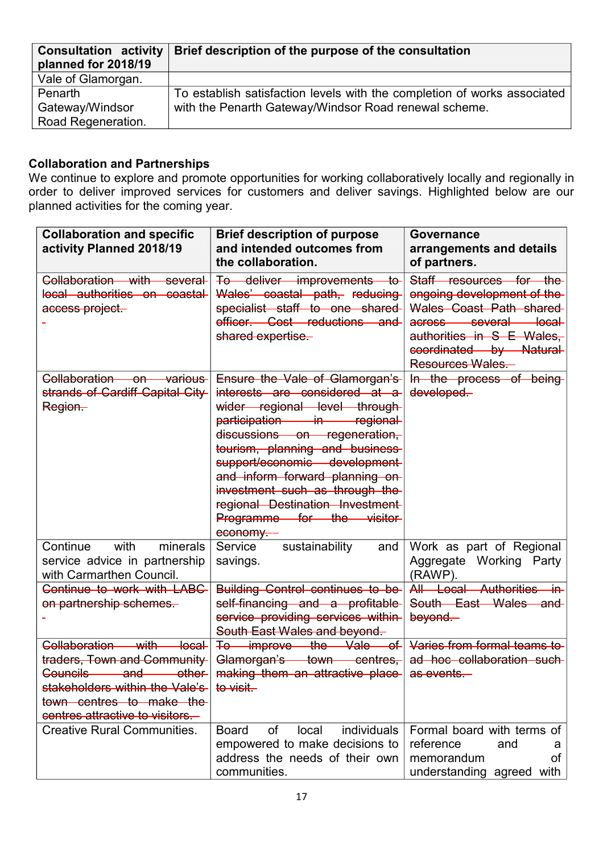| <b>Consultation activity</b><br>planned for 2018/19 | Brief description of the purpose of the consultation                     |  |
|-----------------------------------------------------|--------------------------------------------------------------------------|--|
| Vale of Glamorgan.                                  |                                                                          |  |
| Penarth                                             | To establish satisfaction levels with the completion of works associated |  |
| Gateway/Windsor                                     | with the Penarth Gateway/Windsor Road renewal scheme.                    |  |
| Road Regeneration.                                  |                                                                          |  |

#### **Collaboration and Partnerships**

We continue to explore and promote opportunities for working collaboratively locally and regionally in order to deliver improved services for customers and deliver savings. Highlighted below are our planned activities for the coming year.

| <b>Collaboration and specific</b><br>activity Planned 2018/19                                                                                                                                                         | <b>Brief description of purpose</b><br>and intended outcomes from<br>the collaboration.                                                                                                                                                                                                                                                                                           | <b>Governance</b><br>arrangements and details<br>of partners.                                                                                                                       |
|-----------------------------------------------------------------------------------------------------------------------------------------------------------------------------------------------------------------------|-----------------------------------------------------------------------------------------------------------------------------------------------------------------------------------------------------------------------------------------------------------------------------------------------------------------------------------------------------------------------------------|-------------------------------------------------------------------------------------------------------------------------------------------------------------------------------------|
| Collaboration with several<br>local authorities on coastal<br>access project                                                                                                                                          | To deliver improvements to<br>Wales' coastal path, reducing<br>specialist staff to one shared<br>officer. Cost reductions and<br>shared expertise.                                                                                                                                                                                                                                | Staff resources for the<br>ongoing development of the<br>Wales Coast Path shared<br>across several local<br>authorities in S E Wales,<br>coordinated by Natural<br>Resources Wales. |
| Collaboration on various<br>strands of Cardiff Capital City<br>Region.                                                                                                                                                | Ensure the Vale of Glamorgan's<br>interests are considered at a<br>wider regional level through<br>participation in regional<br>discussions on regeneration,<br>tourism, planning and business<br>support/economic development-<br>and inform forward planning on-<br>investment such as through the<br>regional Destination Investment-<br>Programme for the visitor<br>economy. | In the process of being<br>developed.                                                                                                                                               |
| Continue<br>with<br>minerals<br>service advice in partnership<br>with Carmarthen Council.                                                                                                                             | Service<br>sustainability<br>and<br>savings.                                                                                                                                                                                                                                                                                                                                      | Work as part of Regional<br>Aggregate Working Party<br>(RAWP).                                                                                                                      |
| Continue to work with LABC<br>on partnership schemes.                                                                                                                                                                 | <b>Building Control continues to be-</b><br>self-financing and a profitable<br>service providing services within<br>South East Wales and beyond.                                                                                                                                                                                                                                  | All Local Authorities<br>╼ᡤᡉ<br>South East Wales and<br>beyond.                                                                                                                     |
| Collaboration with<br><del>local</del><br>traders, Town and Community-<br>Councils <b>Council</b><br>and —<br>other-<br>stakeholders within the Vale's<br>town centres to make the<br>centres attractive to visitors. | To improve the Vale<br>—of-l<br>Glamorgan's town centres,<br>making them an attractive place<br>to visit.                                                                                                                                                                                                                                                                         | Varies from formal teams to<br>ad hoc collaboration such<br>as events.                                                                                                              |
| <b>Creative Rural Communities.</b>                                                                                                                                                                                    | individuals<br><b>Board</b><br>0f<br>local<br>empowered to make decisions to<br>address the needs of their own<br>communities.                                                                                                                                                                                                                                                    | Formal board with terms of<br>reference<br>and<br>a<br>memorandum<br>οf<br>understanding agreed with                                                                                |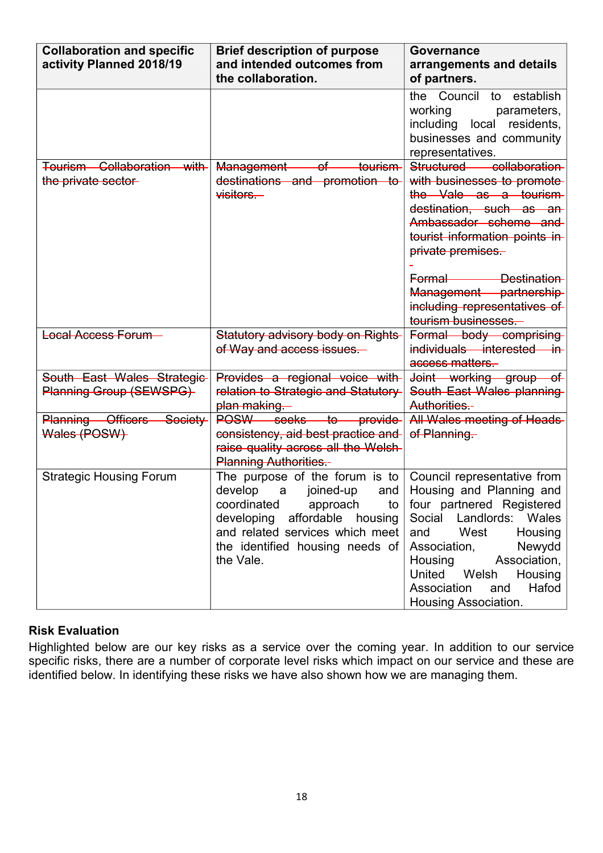| <b>Collaboration and specific</b><br>activity Planned 2018/19 | <b>Brief description of purpose</b><br>and intended outcomes from                                                                                                                                                       | Governance<br>arrangements and details                                                                                                                                                                                                                                                               |
|---------------------------------------------------------------|-------------------------------------------------------------------------------------------------------------------------------------------------------------------------------------------------------------------------|------------------------------------------------------------------------------------------------------------------------------------------------------------------------------------------------------------------------------------------------------------------------------------------------------|
|                                                               | the collaboration.                                                                                                                                                                                                      | of partners.<br>the Council to establish<br>working<br>parameters,<br>including local residents,<br>businesses and community<br>representatives.                                                                                                                                                     |
| Tourism Collaboration with<br>the private sector-             | of tourism<br>Management<br>destinations and promotion to<br>visitors.                                                                                                                                                  | Structured<br>collaboration<br>with businesses to promote-<br>the Vale as a tourism<br>destination, such as an<br>Ambassador scheme and<br>tourist information points in<br>private premises.<br>Formal Destination<br>Management partnership<br>including representatives of<br>tourism businesses. |
| <b>Local Access Forum</b>                                     | <b>Statutory advisory body on Rights-</b><br>of Way and access issues.                                                                                                                                                  | Formal body comprising<br>individuals interested in<br>access matters.                                                                                                                                                                                                                               |
| South East Wales Strategic<br>Planning Group (SEWSPG)         | Provides a regional voice with<br>relation to Strategic and Statutory<br>plan making.                                                                                                                                   | Joint working group of<br>South East Wales planning<br>Authorities.-                                                                                                                                                                                                                                 |
| <b>Officers</b><br>Society-<br>Planning<br>Wales (POSW)       | <del>seeks</del><br>POSW-<br><del>to –</del><br><b>provide</b><br>consistency, aid best practice and<br>raise quality across all the Welsh-<br><b>Planning Authorities.-</b>                                            | All Wales meeting of Heads<br>of Planning.                                                                                                                                                                                                                                                           |
| <b>Strategic Housing Forum</b>                                | The purpose of the forum is to<br>develop<br>joined-up<br>and<br>a<br>coordinated<br>approach<br>to<br>developing affordable housing<br>and related services which meet<br>the identified housing needs of<br>the Vale. | Council representative from<br>Housing and Planning and<br>four partnered Registered<br>Social Landlords: Wales<br>West<br>Housing<br>and<br>Association,<br>Newydd<br>Housing<br>Association,<br>United Welsh<br>Housing<br>Hafod<br>Association<br>and<br>Housing Association.                     |

#### **Risk Evaluation**

Highlighted below are our key risks as a service over the coming year. In addition to our service specific risks, there are a number of corporate level risks which impact on our service and these are identified below. In identifying these risks we have also shown how we are managing them.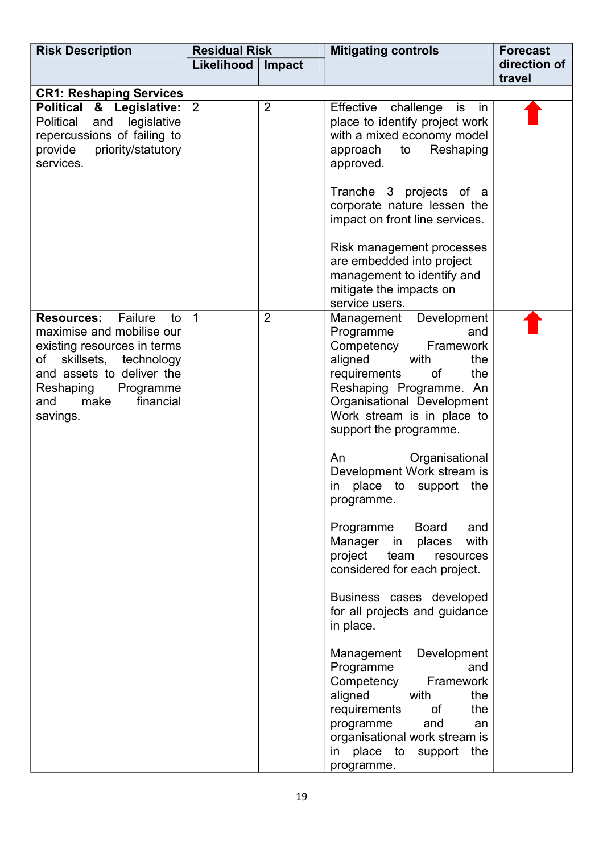| <b>Risk Description</b>                                                                                                                                                                                                         | <b>Residual Risk</b> |                | <b>Mitigating controls</b>                                                                                                                                                                                                                                                                                                                                                                                                                                                                                                                                                                                                                                                                                                                                                                             | <b>Forecast</b>        |
|---------------------------------------------------------------------------------------------------------------------------------------------------------------------------------------------------------------------------------|----------------------|----------------|--------------------------------------------------------------------------------------------------------------------------------------------------------------------------------------------------------------------------------------------------------------------------------------------------------------------------------------------------------------------------------------------------------------------------------------------------------------------------------------------------------------------------------------------------------------------------------------------------------------------------------------------------------------------------------------------------------------------------------------------------------------------------------------------------------|------------------------|
|                                                                                                                                                                                                                                 | Likelihood           | Impact         |                                                                                                                                                                                                                                                                                                                                                                                                                                                                                                                                                                                                                                                                                                                                                                                                        | direction of<br>travel |
| <b>CR1: Reshaping Services</b>                                                                                                                                                                                                  |                      |                |                                                                                                                                                                                                                                                                                                                                                                                                                                                                                                                                                                                                                                                                                                                                                                                                        |                        |
| Political & Legislative:<br>legislative<br>Political<br>and<br>repercussions of failing to<br>priority/statutory<br>provide<br>services.                                                                                        | 2                    | $\overline{2}$ | Effective challenge<br>in<br>is<br>place to identify project work<br>with a mixed economy model<br>to<br>Reshaping<br>approach<br>approved.<br>Tranche 3 projects of a<br>corporate nature lessen the<br>impact on front line services.<br>Risk management processes<br>are embedded into project<br>management to identify and<br>mitigate the impacts on<br>service users.                                                                                                                                                                                                                                                                                                                                                                                                                           |                        |
| Failure<br><b>Resources:</b><br>to<br>maximise and mobilise our<br>existing resources in terms<br>technology<br>skillsets,<br>of<br>and assets to deliver the<br>Reshaping<br>Programme<br>financial<br>make<br>and<br>savings. | $\overline{1}$       | $\overline{2}$ | Development<br>Management<br>Programme<br>and<br>Framework<br>Competency<br>aligned<br>with<br>the<br>requirements<br>0f<br>the<br>Reshaping Programme. An<br>Organisational Development<br>Work stream is in place to<br>support the programme.<br>Organisational<br>An<br>Development Work stream is<br>place to support<br>the<br>in<br>programme.<br>Programme<br>Board<br>and<br>with<br>Manager<br>places<br>in<br>project<br>team<br>resources<br>considered for each project.<br>Business cases developed<br>for all projects and guidance<br>in place.<br>Development<br>Management<br>Programme<br>and<br>Competency<br>Framework<br>aligned<br>with<br>the<br>requirements<br>of<br>the<br>and<br>programme<br>an<br>organisational work stream is<br>in place to support the<br>programme. |                        |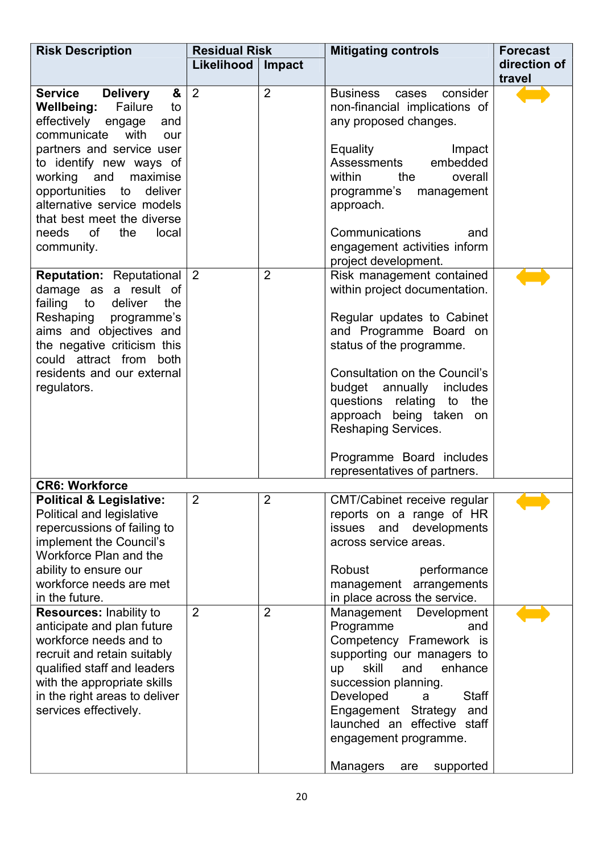| <b>Risk Description</b>                                                                                                                                                                                                                                                                                                                            | <b>Residual Risk</b> |                | <b>Mitigating controls</b>                                                                                                                                                                                                                                                                                                                                    | <b>Forecast</b> |
|----------------------------------------------------------------------------------------------------------------------------------------------------------------------------------------------------------------------------------------------------------------------------------------------------------------------------------------------------|----------------------|----------------|---------------------------------------------------------------------------------------------------------------------------------------------------------------------------------------------------------------------------------------------------------------------------------------------------------------------------------------------------------------|-----------------|
|                                                                                                                                                                                                                                                                                                                                                    | Likelihood           | Impact         |                                                                                                                                                                                                                                                                                                                                                               | direction of    |
|                                                                                                                                                                                                                                                                                                                                                    |                      |                |                                                                                                                                                                                                                                                                                                                                                               | travel          |
| <b>Service</b><br>&<br><b>Delivery</b><br>Failure<br>Wellbeing:<br>to<br>effectively engage<br>and<br>communicate with<br>our<br>partners and service user<br>to identify new ways of<br>working and<br>maximise<br>opportunities to deliver<br>alternative service models<br>that best meet the diverse<br>needs of<br>the<br>local<br>community. | $\overline{2}$       | $\overline{2}$ | consider<br><b>Business</b><br>cases<br>non-financial implications of<br>any proposed changes.<br><b>Equality</b><br>Impact<br>embedded<br>Assessments<br>within<br>the<br>overall<br>programme's<br>management<br>approach.<br>Communications<br>and<br>engagement activities inform<br>project development.                                                 |                 |
| <b>Reputation: Reputational</b><br>damage as a result of<br>failing to<br>deliver<br>the<br>Reshaping programme's<br>aims and objectives and<br>the negative criticism this<br>could attract from both<br>residents and our external<br>regulators.                                                                                                | $\overline{2}$       | $\overline{2}$ | Risk management contained<br>within project documentation.<br>Regular updates to Cabinet<br>and Programme Board on<br>status of the programme.<br>Consultation on the Council's<br>budget annually includes<br>questions relating to the<br>approach being taken on<br><b>Reshaping Services.</b><br>Programme Board includes<br>representatives of partners. |                 |
| <b>CR6: Workforce</b>                                                                                                                                                                                                                                                                                                                              |                      |                |                                                                                                                                                                                                                                                                                                                                                               |                 |
| <b>Political &amp; Legislative:</b><br>Political and legislative<br>repercussions of failing to<br>implement the Council's<br>Workforce Plan and the<br>ability to ensure our<br>workforce needs are met<br>in the future.                                                                                                                         | $\overline{2}$       | $\overline{2}$ | CMT/Cabinet receive regular<br>reports on a range of HR<br>issues and<br>developments<br>across service areas.<br>Robust<br>performance<br>management arrangements<br>in place across the service.                                                                                                                                                            |                 |
| Resources: Inability to<br>anticipate and plan future<br>workforce needs and to<br>recruit and retain suitably<br>qualified staff and leaders<br>with the appropriate skills<br>in the right areas to deliver<br>services effectively.                                                                                                             | $\overline{2}$       | $\overline{2}$ | Management Development<br>Programme<br>and<br>Competency Framework is<br>supporting our managers to<br>skill<br>and<br>enhance<br>up<br>succession planning.<br><b>Staff</b><br>Developed<br>a<br>Engagement Strategy<br>and<br>launched an effective staff<br>engagement programme.<br><b>Managers</b><br>supported<br>are                                   |                 |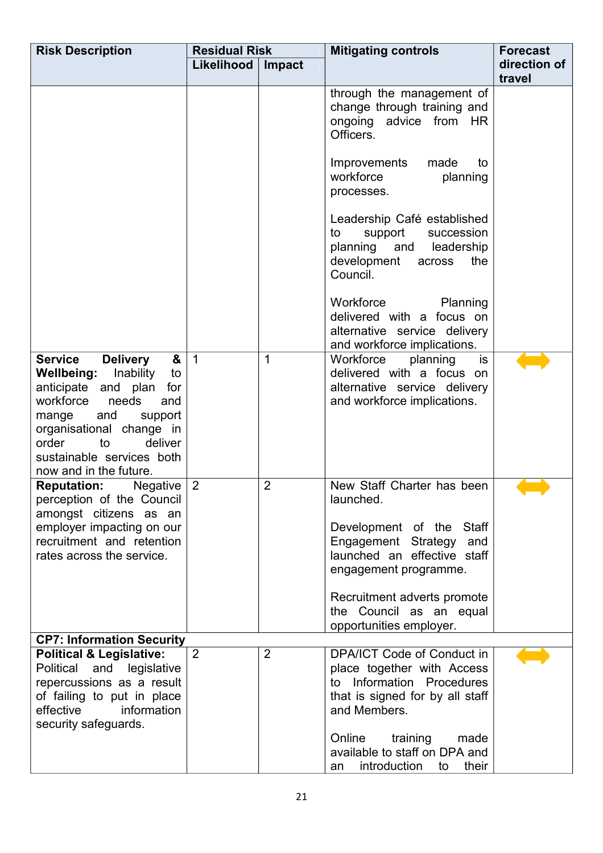| <b>Risk Description</b>                                                                                                                                                                                                                                                           | <b>Residual Risk</b> |                | <b>Mitigating controls</b>                                                                                                                                                                                                                   | <b>Forecast</b> |
|-----------------------------------------------------------------------------------------------------------------------------------------------------------------------------------------------------------------------------------------------------------------------------------|----------------------|----------------|----------------------------------------------------------------------------------------------------------------------------------------------------------------------------------------------------------------------------------------------|-----------------|
|                                                                                                                                                                                                                                                                                   | Likelihood           | Impact         |                                                                                                                                                                                                                                              | direction of    |
|                                                                                                                                                                                                                                                                                   |                      |                |                                                                                                                                                                                                                                              | travel          |
|                                                                                                                                                                                                                                                                                   |                      |                | through the management of<br>change through training and<br>ongoing advice from HR<br>Officers.                                                                                                                                              |                 |
|                                                                                                                                                                                                                                                                                   |                      |                | Improvements<br>made<br>to<br>workforce<br>planning<br>processes.                                                                                                                                                                            |                 |
|                                                                                                                                                                                                                                                                                   |                      |                | Leadership Café established<br>support succession<br>to<br>planning<br>and<br>leadership<br>development<br>across<br>the<br>Council.                                                                                                         |                 |
|                                                                                                                                                                                                                                                                                   |                      |                | Workforce<br><b>Planning</b><br>delivered with a focus on<br>alternative service delivery<br>and workforce implications.                                                                                                                     |                 |
| <b>Delivery</b><br><b>Service</b><br>&<br><b>Wellbeing:</b><br>Inability<br>to<br>anticipate and plan<br>for<br>workforce<br>needs<br>and<br>and<br>support<br>mange<br>organisational change in<br>order<br>to<br>deliver<br>sustainable services both<br>now and in the future. | $\mathbf{1}$         | $\mathbf 1$    | Workforce<br>planning<br>is<br>delivered with a focus on<br>alternative service delivery<br>and workforce implications.                                                                                                                      |                 |
| Negative<br><b>Reputation:</b><br>perception of the Council<br>amongst citizens as an<br>employer impacting on our<br>recruitment and retention<br>rates across the service.                                                                                                      | $\overline{2}$       | $\overline{2}$ | New Staff Charter has been<br>launched.<br>Development of the Staff<br>Engagement Strategy and<br>launched an effective staff<br>engagement programme.<br>Recruitment adverts promote<br>the Council as an equal<br>opportunities employer.  |                 |
| <b>CP7: Information Security</b>                                                                                                                                                                                                                                                  |                      |                |                                                                                                                                                                                                                                              |                 |
| <b>Political &amp; Legislative:</b><br>and legislative<br>Political<br>repercussions as a result<br>of failing to put in place<br>effective<br>information<br>security safeguards.                                                                                                | 2                    | $\overline{2}$ | DPA/ICT Code of Conduct in<br>place together with Access<br>to Information Procedures<br>that is signed for by all staff<br>and Members.<br>Online<br>training<br>made<br>available to staff on DPA and<br>introduction<br>their<br>to<br>an |                 |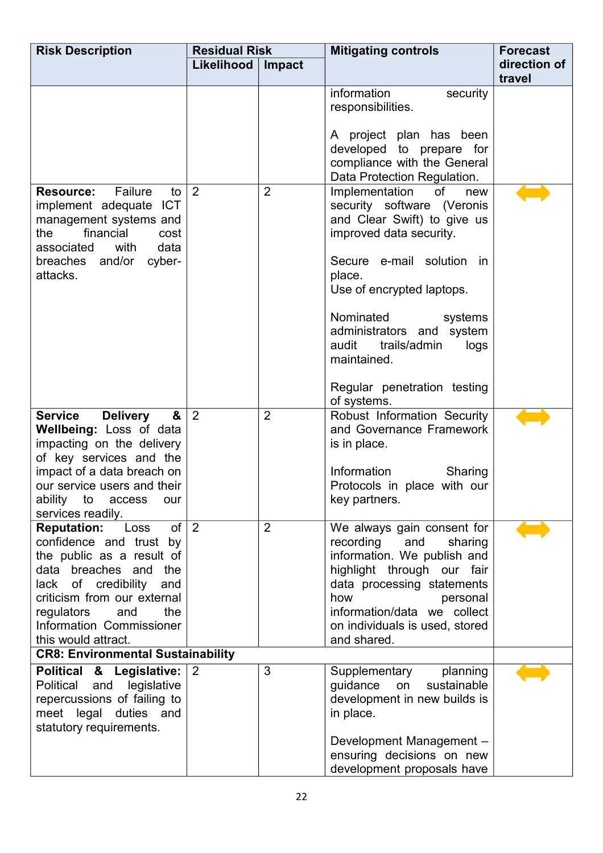| <b>Risk Description</b>                                                                                                                                                                                                                                          | <b>Residual Risk</b> |                | <b>Mitigating controls</b>                                                                                                                                                                                                                           | <b>Forecast</b> |
|------------------------------------------------------------------------------------------------------------------------------------------------------------------------------------------------------------------------------------------------------------------|----------------------|----------------|------------------------------------------------------------------------------------------------------------------------------------------------------------------------------------------------------------------------------------------------------|-----------------|
|                                                                                                                                                                                                                                                                  | Likelihood<br>Impact |                |                                                                                                                                                                                                                                                      | direction of    |
|                                                                                                                                                                                                                                                                  |                      |                |                                                                                                                                                                                                                                                      | travel          |
|                                                                                                                                                                                                                                                                  |                      |                | information<br>security<br>responsibilities.                                                                                                                                                                                                         |                 |
|                                                                                                                                                                                                                                                                  |                      |                | A project plan has been<br>developed to prepare for<br>compliance with the General                                                                                                                                                                   |                 |
|                                                                                                                                                                                                                                                                  |                      |                | Data Protection Regulation.                                                                                                                                                                                                                          |                 |
| Failure<br><b>Resource:</b><br>to<br>implement adequate ICT<br>management systems and<br>financial<br>the<br>cost<br>with<br>data<br>associated                                                                                                                  | $\overline{2}$       | $\overline{2}$ | Implementation<br>of<br>new<br>security software (Veronis<br>and Clear Swift) to give us<br>improved data security.                                                                                                                                  |                 |
| breaches and/or<br>cyber-<br>attacks.                                                                                                                                                                                                                            |                      |                | Secure e-mail solution<br>in<br>place.<br>Use of encrypted laptops.                                                                                                                                                                                  |                 |
|                                                                                                                                                                                                                                                                  |                      |                | Nominated<br>systems<br>administrators and system<br>audit<br>trails/admin<br>logs<br>maintained.                                                                                                                                                    |                 |
|                                                                                                                                                                                                                                                                  |                      |                | Regular penetration testing<br>of systems.                                                                                                                                                                                                           |                 |
| &<br><b>Service</b><br><b>Delivery</b><br>Wellbeing: Loss of data<br>impacting on the delivery<br>of key services and the<br>impact of a data breach on<br>our service users and their<br>ability<br>to<br>access<br>our<br>services readily.                    | $\overline{2}$       | $\overline{2}$ | Robust Information Security<br>and Governance Framework<br>is in place.<br>Information<br>Sharing<br>Protocols in place with our<br>key partners.                                                                                                    |                 |
| of<br><b>Reputation:</b><br>Loss<br>confidence and trust by<br>the public as a result of<br>data breaches and<br>the<br>lack of credibility<br>and<br>criticism from our external<br>the<br>regulators<br>and<br>Information Commissioner<br>this would attract. | $\overline{2}$       | $\overline{2}$ | We always gain consent for<br>recording and<br>sharing<br>information. We publish and<br>highlight through our fair<br>data processing statements<br>how<br>personal<br>information/data we collect<br>on individuals is used, stored<br>and shared. |                 |
| <b>CR8: Environmental Sustainability</b>                                                                                                                                                                                                                         |                      |                |                                                                                                                                                                                                                                                      |                 |
| Political & Legislative:<br>Political and<br>legislative<br>repercussions of failing to<br>meet legal duties and<br>statutory requirements.                                                                                                                      | $\overline{2}$       | 3              | Supplementary<br>planning<br>guidance<br>sustainable<br>on<br>development in new builds is<br>in place.                                                                                                                                              |                 |
|                                                                                                                                                                                                                                                                  |                      |                | Development Management -<br>ensuring decisions on new<br>development proposals have                                                                                                                                                                  |                 |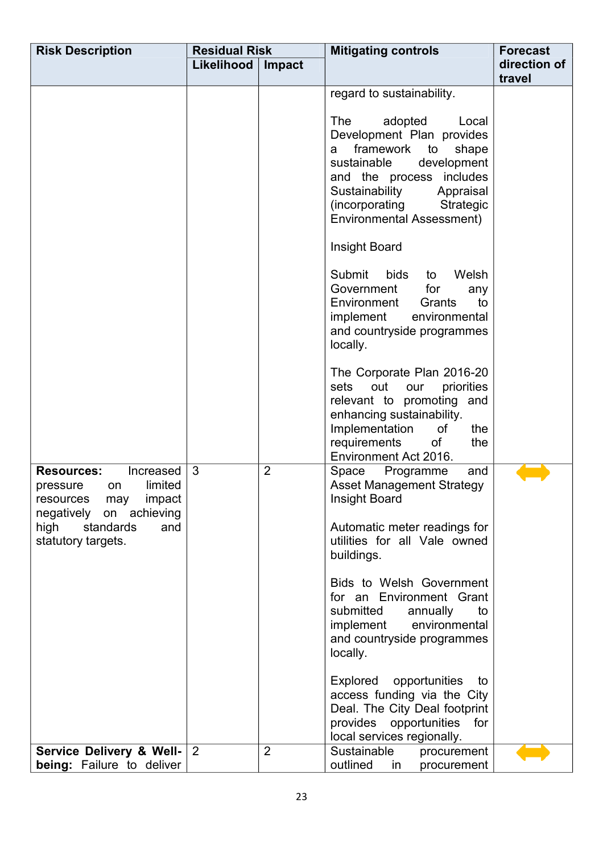| <b>Risk Description</b>                                                                                                                                                | <b>Residual Risk</b> |                | <b>Mitigating controls</b>                                                                                                                                                                                                                                                                                                                                                                                                                                                                                                                                                                                                                                                                                                                                                                                                                                                                                                                                                                                                                                                                          | <b>Forecast</b>        |
|------------------------------------------------------------------------------------------------------------------------------------------------------------------------|----------------------|----------------|-----------------------------------------------------------------------------------------------------------------------------------------------------------------------------------------------------------------------------------------------------------------------------------------------------------------------------------------------------------------------------------------------------------------------------------------------------------------------------------------------------------------------------------------------------------------------------------------------------------------------------------------------------------------------------------------------------------------------------------------------------------------------------------------------------------------------------------------------------------------------------------------------------------------------------------------------------------------------------------------------------------------------------------------------------------------------------------------------------|------------------------|
|                                                                                                                                                                        | Likelihood           | Impact         |                                                                                                                                                                                                                                                                                                                                                                                                                                                                                                                                                                                                                                                                                                                                                                                                                                                                                                                                                                                                                                                                                                     | direction of<br>travel |
| <b>Resources:</b><br>Increased<br>limited<br>pressure<br>on<br>resources<br>may<br>impact<br>negatively on achieving<br>high<br>standards<br>and<br>statutory targets. | 3                    | $\overline{2}$ | regard to sustainability.<br><b>The</b><br>adopted<br>Local<br>Development Plan provides<br>framework<br>to<br>shape<br>a<br>sustainable<br>development<br>and the process includes<br>Sustainability<br>Appraisal<br>(incorporating<br>Strategic<br><b>Environmental Assessment)</b><br>Insight Board<br>Submit<br><b>bids</b><br>Welsh<br>to<br>Government<br>for<br>any<br>Environment<br>Grants<br>to<br>implement<br>environmental<br>and countryside programmes<br>locally.<br>The Corporate Plan 2016-20<br>out<br>priorities<br>sets<br>our<br>relevant to promoting and<br>enhancing sustainability.<br>Implementation<br>of<br>the<br>requirements<br>0f<br>the<br>Environment Act 2016.<br>and<br>Space<br>Programme<br><b>Asset Management Strategy</b><br>Insight Board<br>Automatic meter readings for<br>utilities for all Vale owned<br>buildings.<br>Bids to Welsh Government<br>for an Environment Grant<br>submitted<br>to<br>annually<br>environmental<br>implement<br>and countryside programmes<br>locally.<br>Explored<br>opportunities<br>to<br>access funding via the City |                        |
| Service Delivery & Well- 2                                                                                                                                             |                      | $\overline{2}$ | Deal. The City Deal footprint<br>provides opportunities<br>for<br>local services regionally.<br>Sustainable<br>procurement                                                                                                                                                                                                                                                                                                                                                                                                                                                                                                                                                                                                                                                                                                                                                                                                                                                                                                                                                                          |                        |
| being: Failure to deliver                                                                                                                                              |                      |                | outlined<br>in<br>procurement                                                                                                                                                                                                                                                                                                                                                                                                                                                                                                                                                                                                                                                                                                                                                                                                                                                                                                                                                                                                                                                                       |                        |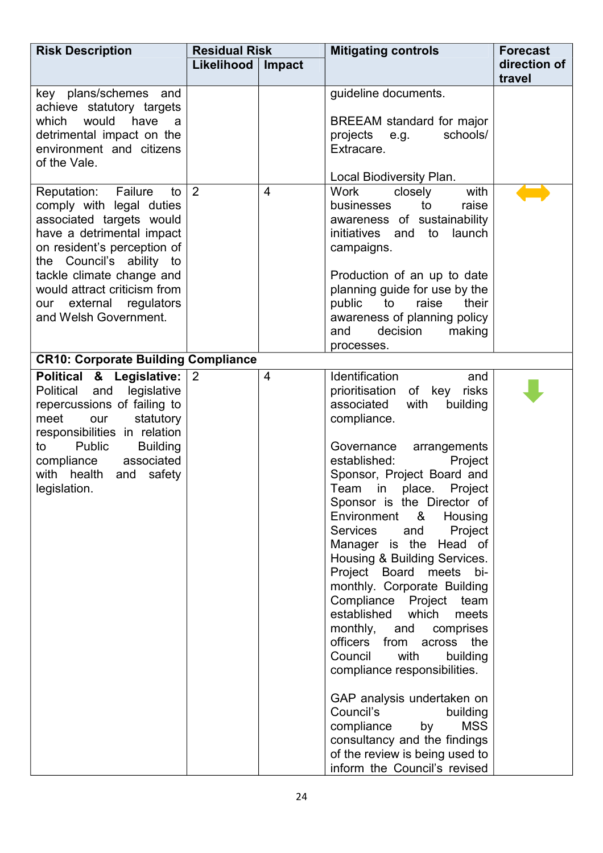| <b>Risk Description</b>                                                                                                                                                                                                                                                                    | <b>Residual Risk</b> |                | <b>Mitigating controls</b>                                                                                                                                                                                                                                                                                                                                                                                                                                                                                                                                                                                                                                                                                                                                                                                                                | <b>Forecast</b>        |
|--------------------------------------------------------------------------------------------------------------------------------------------------------------------------------------------------------------------------------------------------------------------------------------------|----------------------|----------------|-------------------------------------------------------------------------------------------------------------------------------------------------------------------------------------------------------------------------------------------------------------------------------------------------------------------------------------------------------------------------------------------------------------------------------------------------------------------------------------------------------------------------------------------------------------------------------------------------------------------------------------------------------------------------------------------------------------------------------------------------------------------------------------------------------------------------------------------|------------------------|
|                                                                                                                                                                                                                                                                                            | Likelihood<br>Impact |                |                                                                                                                                                                                                                                                                                                                                                                                                                                                                                                                                                                                                                                                                                                                                                                                                                                           | direction of<br>travel |
| key plans/schemes and<br>achieve statutory targets<br>would<br>have<br>which<br>a<br>detrimental impact on the<br>environment and citizens<br>of the Vale.                                                                                                                                 |                      |                | guideline documents.<br>BREEAM standard for major<br>schools/<br>projects e.g.<br>Extracare.<br>Local Biodiversity Plan.                                                                                                                                                                                                                                                                                                                                                                                                                                                                                                                                                                                                                                                                                                                  |                        |
| Reputation: Failure<br>to<br>comply with legal duties<br>associated targets would<br>have a detrimental impact<br>on resident's perception of<br>the Council's ability to<br>tackle climate change and<br>would attract criticism from<br>our external regulators<br>and Welsh Government. | 2                    | $\overline{4}$ | with<br>Work<br>closely<br>to<br>raise<br>businesses<br>awareness of sustainability<br>initiatives and<br>to launch<br>campaigns.<br>Production of an up to date<br>planning guide for use by the<br>public<br>to<br>raise<br>their<br>awareness of planning policy<br>decision<br>and<br>making<br>processes.                                                                                                                                                                                                                                                                                                                                                                                                                                                                                                                            |                        |
| <b>CR10: Corporate Building Compliance</b>                                                                                                                                                                                                                                                 |                      |                |                                                                                                                                                                                                                                                                                                                                                                                                                                                                                                                                                                                                                                                                                                                                                                                                                                           |                        |
| Political & Legislative: 2<br>Political<br>legislative<br>and<br>repercussions of failing to<br>statutory<br>meet<br>our<br>responsibilities in relation<br>Public<br><b>Building</b><br>to<br>associated<br>compliance<br>with health<br>safety<br>and<br>legislation.                    |                      | $\overline{4}$ | Identification<br>and<br>prioritisation of key<br>risks<br>associated<br>with<br>building<br>compliance.<br>Governance arrangements<br>established:<br>Project<br>Sponsor, Project Board and<br>Team<br>Project<br>in in<br>place.<br>Sponsor is the Director of<br>Environment &<br>Housing<br>Project<br>Services<br>and<br>Manager is the Head of<br>Housing & Building Services.<br>Project Board<br>meets<br>bi-<br>monthly. Corporate Building<br>Compliance Project<br>team<br>established<br>which<br>meets<br>monthly, and<br>comprises<br>officers from across<br>the<br>Council<br>with<br>building<br>compliance responsibilities.<br>GAP analysis undertaken on<br>Council's<br>building<br><b>MSS</b><br>compliance<br>by<br>consultancy and the findings<br>of the review is being used to<br>inform the Council's revised |                        |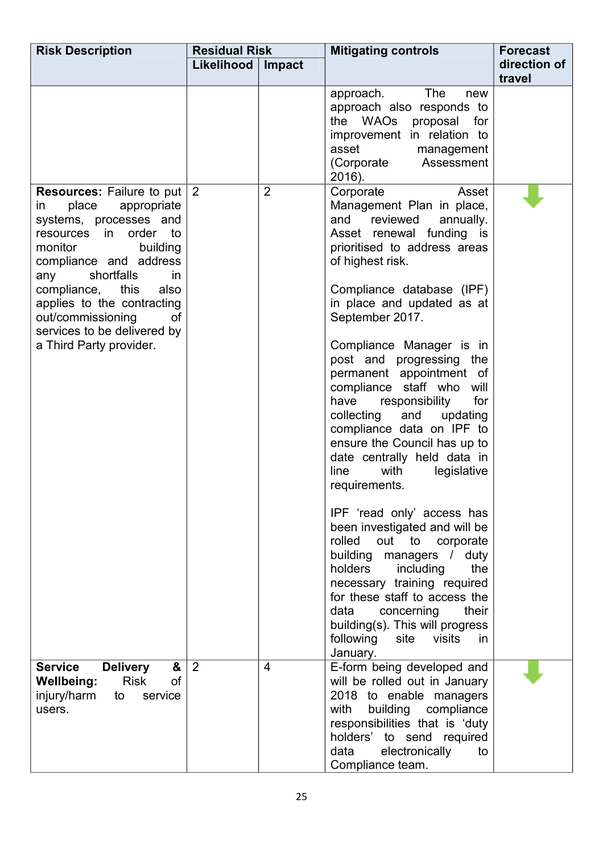| <b>Risk Description</b>                                                                                                                                                                                                                                                                                                                                | <b>Residual Risk</b> |                | <b>Mitigating controls</b>                                                                                                                                                                                                                                                                                                                                                                                                                                                                                                                                                                                                                                                                                                                                                                                                                                                                                         | <b>Forecast</b>        |
|--------------------------------------------------------------------------------------------------------------------------------------------------------------------------------------------------------------------------------------------------------------------------------------------------------------------------------------------------------|----------------------|----------------|--------------------------------------------------------------------------------------------------------------------------------------------------------------------------------------------------------------------------------------------------------------------------------------------------------------------------------------------------------------------------------------------------------------------------------------------------------------------------------------------------------------------------------------------------------------------------------------------------------------------------------------------------------------------------------------------------------------------------------------------------------------------------------------------------------------------------------------------------------------------------------------------------------------------|------------------------|
|                                                                                                                                                                                                                                                                                                                                                        | Likelihood           | Impact         |                                                                                                                                                                                                                                                                                                                                                                                                                                                                                                                                                                                                                                                                                                                                                                                                                                                                                                                    | direction of<br>travel |
|                                                                                                                                                                                                                                                                                                                                                        |                      |                | The<br>approach.<br>new<br>approach also responds to<br>the WAOs proposal for<br>improvement in relation to<br>asset<br>management<br>(Corporate<br>Assessment<br>2016).                                                                                                                                                                                                                                                                                                                                                                                                                                                                                                                                                                                                                                                                                                                                           |                        |
| <b>Resources:</b> Failure to put $ 2 $<br>place<br>appropriate<br>in.<br>systems, processes and<br>resources in order to<br>monitor<br>building<br>compliance and address<br>shortfalls<br>any<br>in<br>compliance,<br>this<br>also<br>applies to the contracting<br>out/commissioning<br>0f<br>services to be delivered by<br>a Third Party provider. |                      | $\overline{2}$ | Corporate<br>Asset<br>Management Plan in place,<br>reviewed<br>and<br>annually.<br>Asset renewal funding is<br>prioritised to address areas<br>of highest risk.<br>Compliance database (IPF)<br>in place and updated as at<br>September 2017.<br>Compliance Manager is in<br>post and progressing the<br>permanent appointment of<br>compliance staff who<br>will<br>responsibility<br>for<br>have<br>and updating<br>collecting<br>compliance data on IPF to<br>ensure the Council has up to<br>date centrally held data in<br>with<br>legislative<br>line<br>requirements.<br>IPF 'read only' access has<br>been investigated and will be<br>out to corporate<br>rolled<br>building managers / duty<br>holders<br>including<br>the<br>necessary training required<br>for these staff to access the<br>data<br>their<br>concerning<br>building(s). This will progress<br>following site visits<br>in.<br>January. |                        |
| <b>Delivery</b><br>&<br><b>Service</b><br>of<br><b>Risk</b><br>Wellbeing:<br>injury/harm<br>to<br>service<br>users.                                                                                                                                                                                                                                    | 2                    | 4              | E-form being developed and<br>will be rolled out in January<br>2018 to enable managers<br>building compliance<br>with<br>responsibilities that is 'duty<br>holders' to send required<br>electronically<br>data<br>to<br>Compliance team.                                                                                                                                                                                                                                                                                                                                                                                                                                                                                                                                                                                                                                                                           |                        |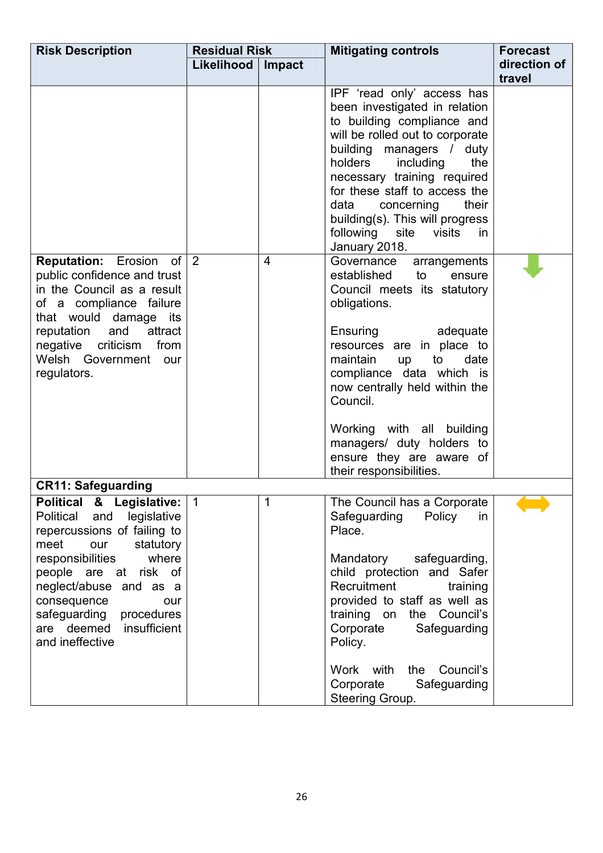| <b>Risk Description</b>                                                                                                                                                                                                                                                                                  | <b>Residual Risk</b> |                | <b>Mitigating controls</b>                                                                                                                                                                                                                                                                                                                                                              | <b>Forecast</b>        |
|----------------------------------------------------------------------------------------------------------------------------------------------------------------------------------------------------------------------------------------------------------------------------------------------------------|----------------------|----------------|-----------------------------------------------------------------------------------------------------------------------------------------------------------------------------------------------------------------------------------------------------------------------------------------------------------------------------------------------------------------------------------------|------------------------|
|                                                                                                                                                                                                                                                                                                          | Likelihood           | Impact         |                                                                                                                                                                                                                                                                                                                                                                                         | direction of<br>travel |
|                                                                                                                                                                                                                                                                                                          |                      |                | IPF 'read only' access has<br>been investigated in relation<br>to building compliance and<br>will be rolled out to corporate<br>building managers / duty<br>holders<br>including<br>the<br>necessary training required<br>for these staff to access the<br>data<br>their<br>concerning<br>building(s). This will progress<br>following site visits<br>in.<br>January 2018.              |                        |
| <b>Reputation:</b> Erosion of $\vert$ 2<br>public confidence and trust<br>in the Council as a result<br>of a compliance failure<br>that would damage its<br>and attract<br>reputation<br>negative criticism<br>from<br>Welsh Government our<br>regulators.                                               |                      | $\overline{4}$ | Governance<br>arrangements<br>established<br>to<br>ensure<br>Council meets its statutory<br>obligations.<br>Ensuring<br>adequate<br>resources are in place to<br>maintain<br>to<br>date<br>up<br>compliance data which is<br>now centrally held within the<br>Council.<br>Working with all building<br>managers/ duty holders to<br>ensure they are aware of<br>their responsibilities. |                        |
| <b>CR11: Safeguarding</b>                                                                                                                                                                                                                                                                                |                      |                |                                                                                                                                                                                                                                                                                                                                                                                         |                        |
| Political & Legislative:<br>Political<br>and<br>legislative<br>repercussions of failing to<br>statutory<br>meet<br>our<br>responsibilities<br>where<br>people are at risk of<br>neglect/abuse and as a<br>consequence<br>our<br>safeguarding<br>procedures<br>are deemed insufficient<br>and ineffective | $\vert$ 1            | 1              | The Council has a Corporate<br>Safeguarding<br>Policy<br>in<br>Place.<br>Mandatory<br>safeguarding,<br>child protection and Safer<br>Recruitment<br>training<br>provided to staff as well as<br>training on<br>the Council's<br>Corporate<br>Safeguarding<br>Policy.<br>Council's<br>with<br>the<br>Work<br>Corporate<br>Safeguarding<br>Steering Group.                                |                        |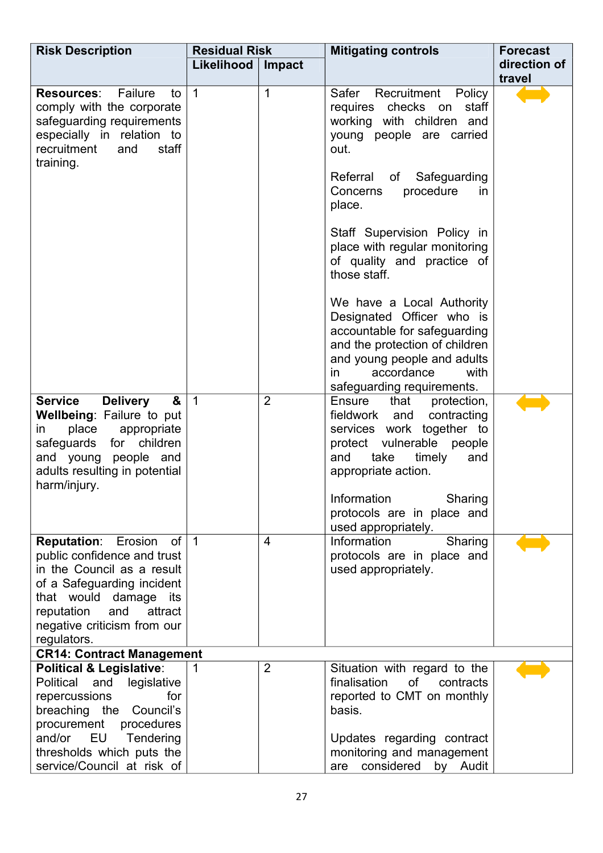| <b>Risk Description</b>                                                                                                                                                                                                                 | <b>Residual Risk</b> |                | <b>Mitigating controls</b>                                                                                                                                                                                                   | <b>Forecast</b>        |
|-----------------------------------------------------------------------------------------------------------------------------------------------------------------------------------------------------------------------------------------|----------------------|----------------|------------------------------------------------------------------------------------------------------------------------------------------------------------------------------------------------------------------------------|------------------------|
|                                                                                                                                                                                                                                         | Likelihood           | Impact         |                                                                                                                                                                                                                              | direction of<br>travel |
| <b>Resources:</b> Failure<br>to<br>comply with the corporate<br>safeguarding requirements<br>especially in relation to<br>recruitment<br>staff<br>and<br>training.                                                                      | $\overline{1}$       | $\mathbf 1$    | Recruitment<br>Safer<br>Policy<br>staff<br>requires checks<br>on<br>working with children and<br>young people are carried<br>out.                                                                                            |                        |
|                                                                                                                                                                                                                                         |                      |                | Referral<br>Safeguarding<br>of<br>procedure<br>Concerns<br>in<br>place.                                                                                                                                                      |                        |
|                                                                                                                                                                                                                                         |                      |                | Staff Supervision Policy in<br>place with regular monitoring<br>of quality and practice of<br>those staff.                                                                                                                   |                        |
|                                                                                                                                                                                                                                         |                      |                | We have a Local Authority<br>Designated Officer who is<br>accountable for safeguarding<br>and the protection of children<br>and young people and adults<br>accordance<br>$\mathsf{in}$<br>with<br>safeguarding requirements. |                        |
| <b>Delivery</b><br><b>Service</b><br>&<br><b>Wellbeing: Failure to put</b><br>place<br>appropriate<br>in<br>safeguards for<br>children<br>and young people and<br>adults resulting in potential<br>harm/injury.                         | $\overline{1}$       | $\overline{2}$ | Ensure<br>that<br>protection,<br>fieldwork and contracting<br>services work together to<br>protect vulnerable people<br>take<br>timely<br>and<br>and<br>appropriate action.                                                  |                        |
|                                                                                                                                                                                                                                         |                      |                | Information<br>Sharing<br>protocols are in place and<br>used appropriately.                                                                                                                                                  |                        |
| <b>Reputation:</b><br>Erosion<br>of l<br>public confidence and trust<br>in the Council as a result<br>of a Safeguarding incident<br>that would damage its<br>and<br>attract<br>reputation<br>negative criticism from our<br>regulators. | $\vert$ 1            | $\overline{4}$ | Information<br>Sharing<br>protocols are in place and<br>used appropriately.                                                                                                                                                  |                        |
| <b>CR14: Contract Management</b>                                                                                                                                                                                                        |                      |                |                                                                                                                                                                                                                              |                        |
| <b>Political &amp; Legislative:</b><br>Political and<br>legislative<br>for<br>repercussions<br>Council's<br>breaching the<br>procurement<br>procedures<br>and/or EU<br>Tendering                                                        | 1                    | 2              | Situation with regard to the<br>finalisation<br>of<br>contracts<br>reported to CMT on monthly<br>basis.<br>Updates regarding contract                                                                                        |                        |
| thresholds which puts the<br>service/Council at risk of                                                                                                                                                                                 |                      |                | monitoring and management<br>considered<br>by Audit<br>are                                                                                                                                                                   |                        |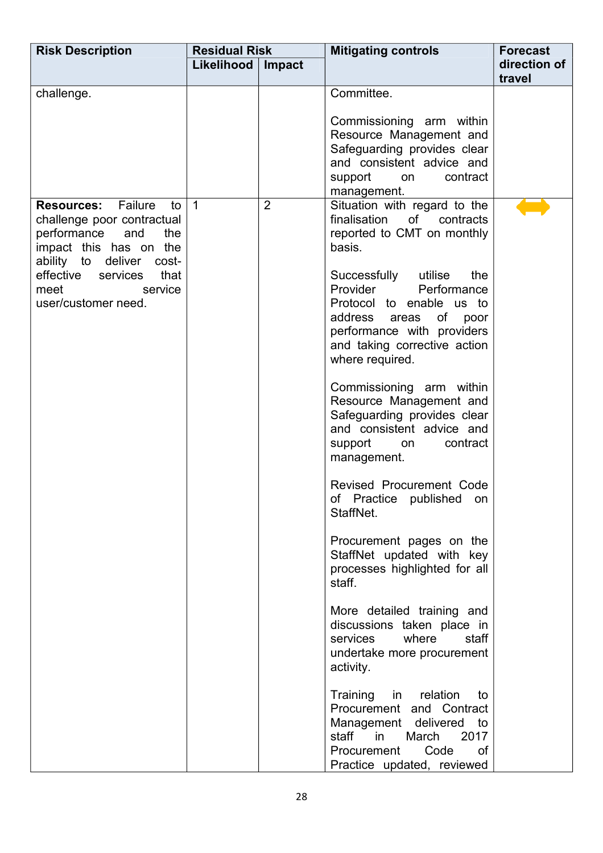| <b>Risk Description</b>                                                                                                                                                                                                     | <b>Residual Risk</b><br>Likelihood | Impact         | <b>Mitigating controls</b>                                                                                                                                                                                                                                                                                                                                                                                                                                                                                                                                                                                                                                                                                                                                                                                                                                                                                                                                                 | <b>Forecast</b><br>direction of |
|-----------------------------------------------------------------------------------------------------------------------------------------------------------------------------------------------------------------------------|------------------------------------|----------------|----------------------------------------------------------------------------------------------------------------------------------------------------------------------------------------------------------------------------------------------------------------------------------------------------------------------------------------------------------------------------------------------------------------------------------------------------------------------------------------------------------------------------------------------------------------------------------------------------------------------------------------------------------------------------------------------------------------------------------------------------------------------------------------------------------------------------------------------------------------------------------------------------------------------------------------------------------------------------|---------------------------------|
|                                                                                                                                                                                                                             |                                    |                |                                                                                                                                                                                                                                                                                                                                                                                                                                                                                                                                                                                                                                                                                                                                                                                                                                                                                                                                                                            | travel                          |
| challenge.                                                                                                                                                                                                                  |                                    |                | Committee.<br>Commissioning arm within<br>Resource Management and<br>Safeguarding provides clear<br>and consistent advice and<br>support<br>contract<br>on<br>management.                                                                                                                                                                                                                                                                                                                                                                                                                                                                                                                                                                                                                                                                                                                                                                                                  |                                 |
| <b>Resources:</b> Failure<br>to<br>challenge poor contractual<br>performance<br>and<br>the<br>impact this has on the<br>ability to deliver<br>cost-<br>effective services<br>that<br>meet<br>service<br>user/customer need. | $\overline{1}$                     | $\overline{2}$ | Situation with regard to the<br>finalisation<br>of contracts<br>reported to CMT on monthly<br>basis.<br>Successfully utilise<br>the<br>Provider Performance<br>Protocol to enable us to<br>address areas<br>of<br>poor<br>performance with providers<br>and taking corrective action<br>where required.<br>Commissioning arm within<br>Resource Management and<br>Safeguarding provides clear<br>and consistent advice and<br>support<br>contract<br>on<br>management.<br>Revised Procurement Code<br>published<br>of Practice<br>on<br>StaffNet.<br>Procurement pages on the<br>StaffNet updated with key<br>processes highlighted for all<br>staff.<br>More detailed training and<br>discussions taken place in<br>where<br>services<br>staff<br>undertake more procurement<br>activity.<br>Training<br>in relation<br>to<br>Procurement and Contract<br>Management delivered to<br>staff in<br>March<br>2017<br>Procurement<br>Code<br>0f<br>Practice updated, reviewed |                                 |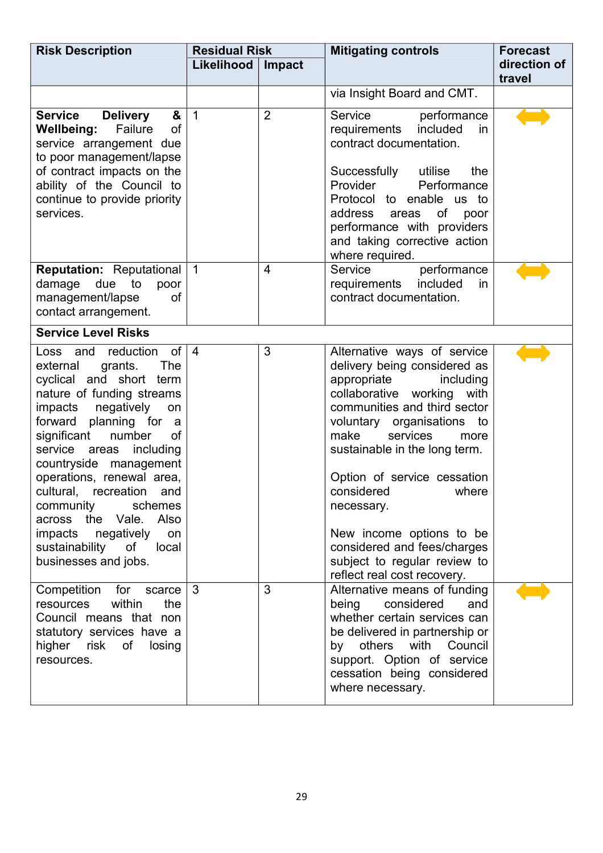| <b>Risk Description</b>                                                                                                                                                                                                                                                                                                                                                                                                                                              | <b>Residual Risk</b> |                | <b>Mitigating controls</b>                                                                                                                                                                                                                                                                                                                                                                                                                        | <b>Forecast</b>        |
|----------------------------------------------------------------------------------------------------------------------------------------------------------------------------------------------------------------------------------------------------------------------------------------------------------------------------------------------------------------------------------------------------------------------------------------------------------------------|----------------------|----------------|---------------------------------------------------------------------------------------------------------------------------------------------------------------------------------------------------------------------------------------------------------------------------------------------------------------------------------------------------------------------------------------------------------------------------------------------------|------------------------|
|                                                                                                                                                                                                                                                                                                                                                                                                                                                                      | Likelihood           | Impact         |                                                                                                                                                                                                                                                                                                                                                                                                                                                   | direction of<br>travel |
|                                                                                                                                                                                                                                                                                                                                                                                                                                                                      |                      |                | via Insight Board and CMT.                                                                                                                                                                                                                                                                                                                                                                                                                        |                        |
| <b>Service</b><br><b>Delivery</b><br>&<br><b>Wellbeing:</b><br>Failure<br><b>of</b><br>service arrangement due<br>to poor management/lapse<br>of contract impacts on the<br>ability of the Council to<br>continue to provide priority<br>services.                                                                                                                                                                                                                   | $\overline{1}$       | $\overline{2}$ | Service<br>performance<br>requirements included<br>in.<br>contract documentation.<br>Successfully<br>utilise<br>the<br>Provider<br>Performance<br>Protocol to enable us to<br>address<br>of<br>areas<br>poor<br>performance with providers<br>and taking corrective action<br>where required.                                                                                                                                                     |                        |
| <b>Reputation:</b> Reputational   1<br>damage<br>due<br>to<br>poor<br>management/lapse<br>οf<br>contact arrangement.                                                                                                                                                                                                                                                                                                                                                 |                      | $\overline{4}$ | Service<br>performance<br>requirements included<br><i>in</i><br>contract documentation.                                                                                                                                                                                                                                                                                                                                                           |                        |
| <b>Service Level Risks</b>                                                                                                                                                                                                                                                                                                                                                                                                                                           |                      |                |                                                                                                                                                                                                                                                                                                                                                                                                                                                   |                        |
| of<br>Loss and reduction<br>external<br>grants.<br><b>The</b><br>cyclical and short term<br>nature of funding streams<br>impacts negatively<br>on<br>forward planning for<br>a<br>significant<br>number<br>of<br>service areas<br>including<br>countryside management<br>operations, renewal area,<br>cultural, recreation and<br>community<br>schemes<br>across the Vale. Also<br>impacts negatively<br>on<br>sustainability<br>of<br>local<br>businesses and jobs. | $\vert$ 4            | 3              | Alternative ways of service<br>delivery being considered as<br>appropriate<br>including<br>collaborative working<br>with<br>communities and third sector<br>voluntary organisations to<br>make<br>services<br>more<br>sustainable in the long term.<br>Option of service cessation<br>considered<br>where<br>necessary.<br>New income options to be<br>considered and fees/charges<br>subject to regular review to<br>reflect real cost recovery. |                        |
| Competition for scarce<br>within<br>the<br>resources<br>Council means that non<br>statutory services have a<br>higher risk of losing<br>resources.                                                                                                                                                                                                                                                                                                                   | $\mathbf{3}$         | 3              | Alternative means of funding<br>being considered<br>and<br>whether certain services can<br>be delivered in partnership or<br>by others with Council<br>support. Option of service<br>cessation being considered<br>where necessary.                                                                                                                                                                                                               |                        |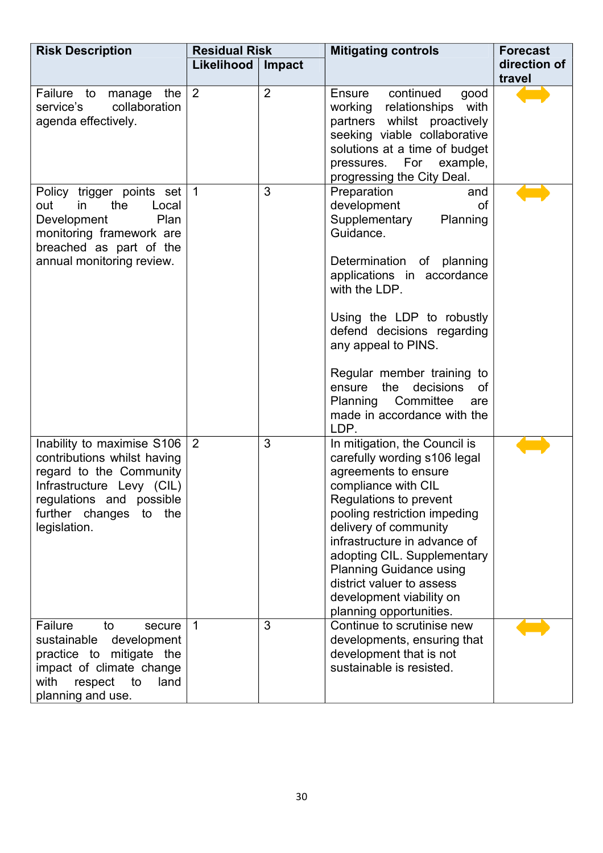| <b>Risk Description</b>                                                                                                                                                                       | <b>Residual Risk</b> |                | <b>Mitigating controls</b>                                                                                                                                                                                                                                                                                                                                                                          | <b>Forecast</b>        |
|-----------------------------------------------------------------------------------------------------------------------------------------------------------------------------------------------|----------------------|----------------|-----------------------------------------------------------------------------------------------------------------------------------------------------------------------------------------------------------------------------------------------------------------------------------------------------------------------------------------------------------------------------------------------------|------------------------|
|                                                                                                                                                                                               | Likelihood           | Impact         |                                                                                                                                                                                                                                                                                                                                                                                                     | direction of<br>travel |
| Failure to<br>the<br>manage<br>collaboration<br>service's<br>agenda effectively.                                                                                                              | 2                    | $\overline{2}$ | continued<br>good<br>Ensure<br>working relationships<br>with<br>partners whilst proactively<br>seeking viable collaborative<br>solutions at a time of budget<br>pressures.<br>For<br>example,<br>progressing the City Deal.                                                                                                                                                                         |                        |
| Policy trigger points set<br>the<br>out<br>in<br>Local<br>Development<br>Plan<br>monitoring framework are<br>breached as part of the<br>annual monitoring review.                             | $\vert$ 1            | 3              | Preparation<br>and<br>development<br><b>of</b><br>Supplementary<br>Planning<br>Guidance.<br>Determination of planning<br>applications in accordance<br>with the LDP.<br>Using the LDP to robustly<br>defend decisions regarding<br>any appeal to PINS.<br>Regular member training to<br>the<br>decisions<br>ensure<br><b>of</b><br>Planning Committee<br>are<br>made in accordance with the<br>LDP. |                        |
| Inability to maximise S106<br>contributions whilst having<br>regard to the Community<br>Infrastructure Levy (CIL)<br>regulations and possible<br>further changes<br>the<br>to<br>legislation. | $\overline{2}$       | 3              | In mitigation, the Council is<br>carefully wording s106 legal<br>agreements to ensure<br>compliance with CIL<br>Regulations to prevent<br>pooling restriction impeding<br>delivery of community<br>infrastructure in advance of<br>adopting CIL. Supplementary<br><b>Planning Guidance using</b><br>district valuer to assess<br>development viability on<br>planning opportunities.                |                        |
| Failure<br>to<br>secure<br>sustainable development<br>practice to mitigate the<br>impact of climate change<br>with<br>respect<br>land<br>to<br>planning and use.                              | $\overline{1}$       | 3              | Continue to scrutinise new<br>developments, ensuring that<br>development that is not<br>sustainable is resisted.                                                                                                                                                                                                                                                                                    |                        |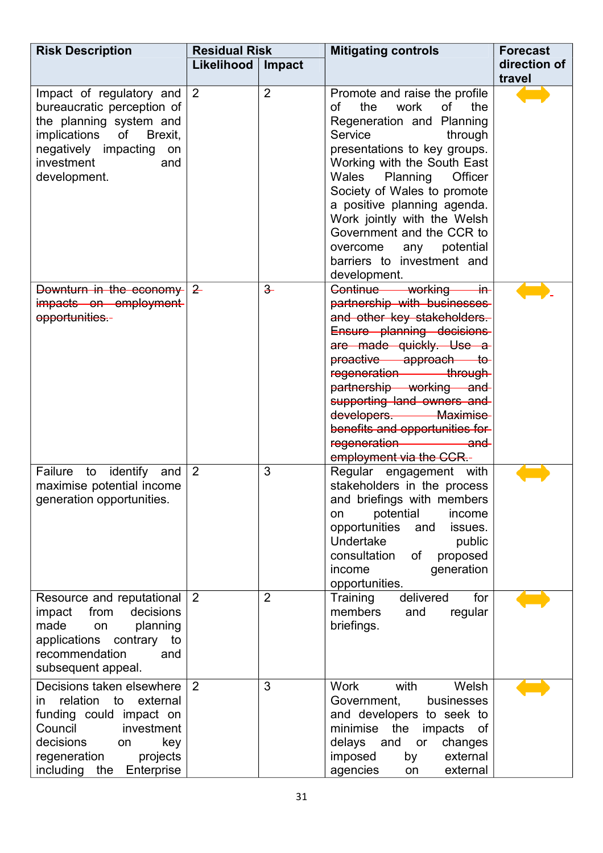| <b>Risk Description</b>                                                                                                                                                                           | <b>Residual Risk</b> |                | <b>Mitigating controls</b>                                                                                                                                                                                                                                                                                                                                                                                                | <b>Forecast</b> |  |
|---------------------------------------------------------------------------------------------------------------------------------------------------------------------------------------------------|----------------------|----------------|---------------------------------------------------------------------------------------------------------------------------------------------------------------------------------------------------------------------------------------------------------------------------------------------------------------------------------------------------------------------------------------------------------------------------|-----------------|--|
|                                                                                                                                                                                                   | Likelihood           | Impact         | direction of                                                                                                                                                                                                                                                                                                                                                                                                              |                 |  |
|                                                                                                                                                                                                   |                      |                |                                                                                                                                                                                                                                                                                                                                                                                                                           | travel          |  |
| Impact of regulatory and $ 2 $<br>bureaucratic perception of<br>the planning system and<br>implications of<br>Brexit,<br>negatively impacting<br>on<br>investment<br>and<br>development.          |                      | $\overline{2}$ | Promote and raise the profile<br>the<br>work<br>of<br>the<br>of<br>Regeneration and Planning<br>Service<br>through<br>presentations to key groups.<br>Working with the South East<br>Wales<br>Planning<br>Officer<br>Society of Wales to promote<br>a positive planning agenda.<br>Work jointly with the Welsh<br>Government and the CCR to<br>potential<br>overcome<br>any<br>barriers to investment and<br>development. |                 |  |
| Downturn in the economy $ 2$<br>impacts on employment<br>opportunities.-                                                                                                                          |                      | $\frac{3}{2}$  | Continue working in<br>partnership with businesses<br>and other key stakeholders.<br>Ensure planning decisions<br>are made quickly. Use a<br>proactive approach to-<br>regeneration through<br>partnership working and<br>supporting land owners and<br>developers. Maximise<br>benefits and opportunities for-<br>regeneration and<br>employment via the CCR.-                                                           |                 |  |
| Failure to identify and<br>maximise potential income<br>generation opportunities.                                                                                                                 | $\overline{2}$       | 3              | Regular engagement with<br>stakeholders in the process<br>and briefings with members<br>potential<br>income<br>on<br>opportunities<br>and<br>issues.<br>Undertake<br>public<br>consultation<br>οf<br>proposed<br>generation<br>income<br>opportunities.                                                                                                                                                                   |                 |  |
| Resource and reputational<br>from<br>decisions<br>impact<br>made<br>planning<br>on<br>applications contrary<br>to<br>recommendation<br>and<br>subsequent appeal.                                  | 2                    | $\overline{2}$ | delivered<br>for<br>Training<br>members<br>regular<br>and<br>briefings.                                                                                                                                                                                                                                                                                                                                                   |                 |  |
| Decisions taken elsewhere<br>relation to external<br>in.<br>funding could impact on<br>Council<br>investment<br>decisions<br>key<br>on<br>projects<br>regeneration<br>including the<br>Enterprise | 2                    | 3              | Welsh<br><b>Work</b><br>with<br>Government,<br>businesses<br>and developers to seek to<br>minimise<br>the<br>impacts<br>of<br>delays<br>and<br>changes<br>or<br>external<br>imposed<br>by<br>agencies<br>external<br>on                                                                                                                                                                                                   |                 |  |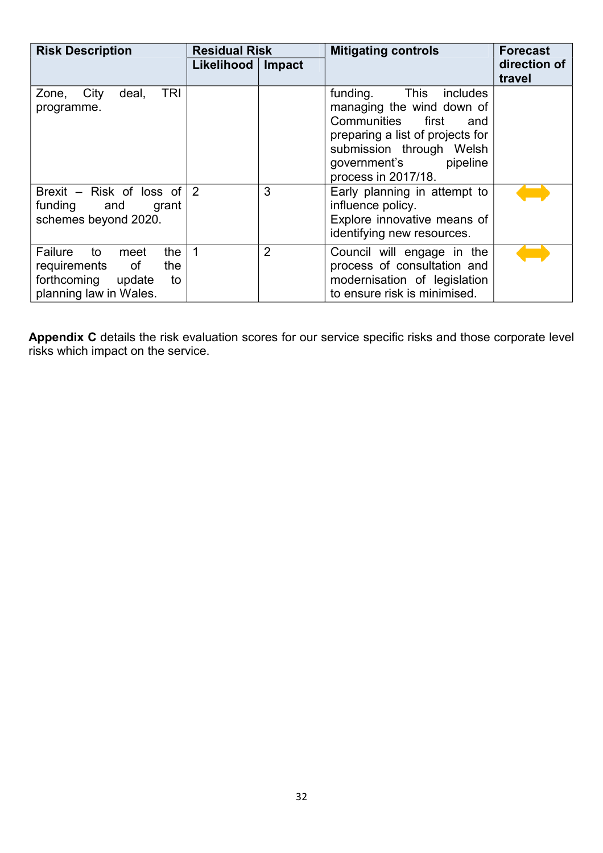| <b>Risk Description</b>                                                                                                                  | <b>Residual Risk</b> |                | <b>Mitigating controls</b>                                                                                                                                                                               | <b>Forecast</b>        |
|------------------------------------------------------------------------------------------------------------------------------------------|----------------------|----------------|----------------------------------------------------------------------------------------------------------------------------------------------------------------------------------------------------------|------------------------|
|                                                                                                                                          | Likelihood           | Impact         |                                                                                                                                                                                                          | direction of<br>travel |
| <b>TRI</b><br>City<br>deal,<br>Zone,<br>programme.                                                                                       |                      |                | funding.<br>This<br>includes<br>managing the wind down of<br>Communities first<br>and<br>preparing a list of projects for<br>submission through Welsh<br>pipeline<br>government's<br>process in 2017/18. |                        |
| Brexit - Risk of loss of<br>funding and<br>grant<br>schemes beyond 2020.                                                                 | 2                    | 3              | Early planning in attempt to<br>influence policy.<br>Explore innovative means of<br>identifying new resources.                                                                                           |                        |
| Failure<br>$\overline{\phantom{a}}$ to<br>the<br>meet<br>of<br>the<br>requirements<br>forthcoming update<br>to<br>planning law in Wales. | $\overline{1}$       | $\overline{2}$ | Council will engage in the<br>process of consultation and<br>modernisation of legislation<br>to ensure risk is minimised.                                                                                |                        |

**Appendix C** details the risk evaluation scores for our service specific risks and those corporate level risks which impact on the service.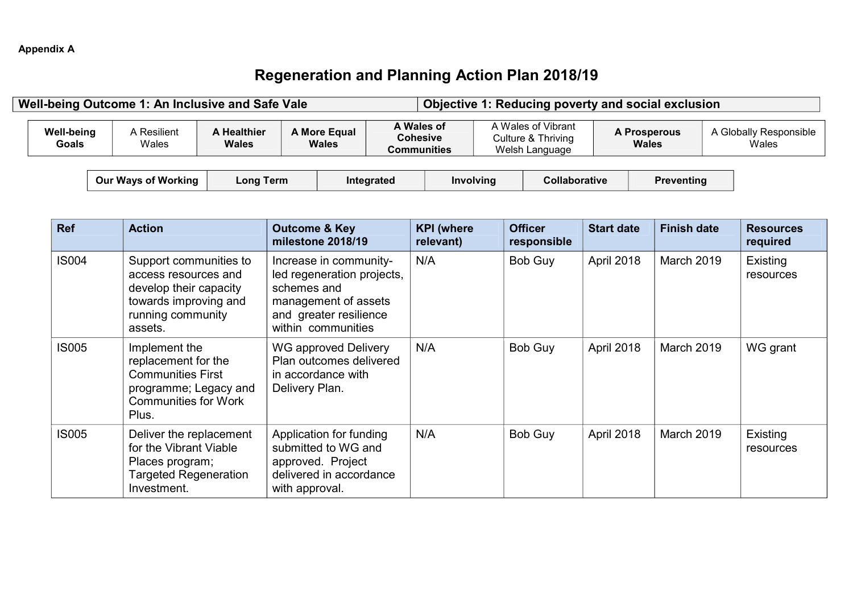### **Regeneration and Planning Action Plan 2018/19**

|                            | Well-being Outcome 1: An Inclusive and Safe Vale                                                                                  |                             |                              |                                                                                                                              |                                                     |                                                            |           | Objective 1: Reducing poverty and social exclusion |                                     |                                 |  |                              |
|----------------------------|-----------------------------------------------------------------------------------------------------------------------------------|-----------------------------|------------------------------|------------------------------------------------------------------------------------------------------------------------------|-----------------------------------------------------|------------------------------------------------------------|-----------|----------------------------------------------------|-------------------------------------|---------------------------------|--|------------------------------|
| <b>Well-being</b><br>Goals | A Resilient<br>Wales                                                                                                              | <b>A Healthier</b><br>Wales | A More Equal<br><b>Wales</b> |                                                                                                                              | A Wales of<br><b>Cohesive</b><br><b>Communities</b> | A Wales of Vibrant<br>Culture & Thriving<br>Welsh Language |           |                                                    | <b>A Prosperous</b><br><b>Wales</b> | A Globally Responsible<br>Wales |  |                              |
|                            | <b>Our Ways of Working</b>                                                                                                        | <b>Long Term</b>            |                              |                                                                                                                              | Integrated                                          |                                                            | Involving | Collaborative                                      |                                     | <b>Preventing</b>               |  |                              |
| <b>Ref</b>                 | <b>Action</b>                                                                                                                     |                             |                              | <b>Outcome &amp; Key</b><br>milestone 2018/19                                                                                |                                                     | <b>KPI</b> (where<br>relevant)                             |           | <b>Officer</b><br>responsible                      | <b>Start date</b>                   | <b>Finish date</b>              |  | <b>Resources</b><br>required |
| <b>IS004</b>               | Support communities to<br>access resources and<br>develop their capacity<br>towards improving and<br>running community<br>assets. |                             | schemes and                  | Increase in community-<br>led regeneration projects,<br>management of assets<br>and greater resilience<br>within communities |                                                     | N/A                                                        |           | Bob Guy                                            | April 2018                          | March 2019                      |  | Existing<br>resources        |
| <b>IS005</b>               | Implement the<br>replacement for the<br><b>Communities First</b><br>programme; Legacy and<br><b>Communities for Work</b><br>Plus. |                             | Delivery Plan.               | <b>WG approved Delivery</b><br>Plan outcomes delivered<br>in accordance with                                                 |                                                     | N/A                                                        |           | Bob Guy                                            | April 2018                          | March 2019                      |  | WG grant                     |
| <b>IS005</b>               | Deliver the replacement<br>for the Vibrant Viable<br>Places program;<br><b>Targeted Regeneration</b><br>Investment.               |                             | with approval.               | Application for funding<br>submitted to WG and<br>approved. Project<br>delivered in accordance                               |                                                     | N/A                                                        |           | Bob Guy                                            | April 2018                          | March 2019                      |  | Existing<br>resources        |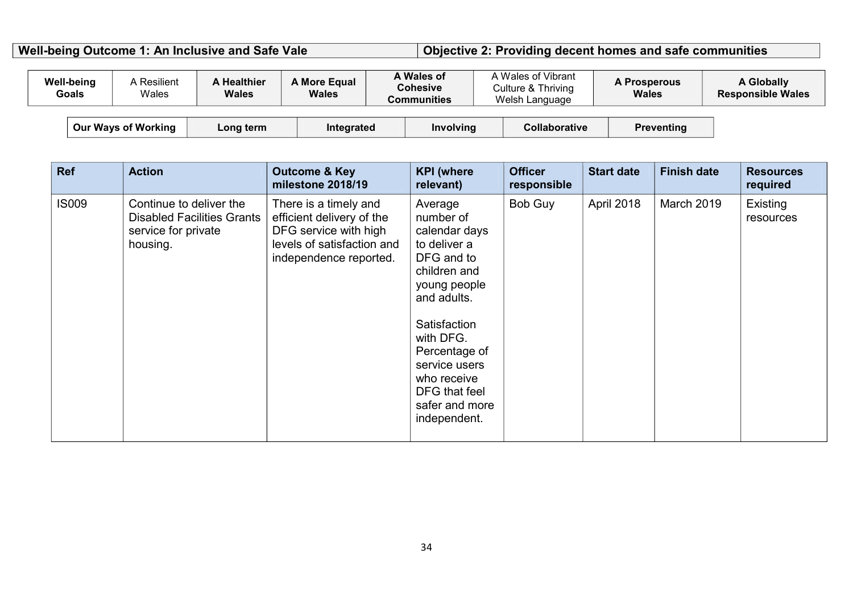### Well-being Outcome 1: An Inclusive and Safe Vale **Objective 2: Providing decent homes and safe communities**

| <b>Well-being</b> | Goals                      | <b>A</b> Resilient<br>Wales | <b>A Healthier</b><br><b>Wales</b> | A More Equal<br><b>Wales</b> | A Wales of<br><b>Cohesive</b><br>Communities |                  | A Wales of Vibrant<br>Culture & Thriving<br>Welsh Language |                      | <b>A Prosperous</b><br><b>Wales</b> | <b>A Globally</b><br><b>Responsible Wales</b> |
|-------------------|----------------------------|-----------------------------|------------------------------------|------------------------------|----------------------------------------------|------------------|------------------------------------------------------------|----------------------|-------------------------------------|-----------------------------------------------|
|                   | <b>Our Ways of Working</b> |                             | Long term                          | Integrated                   |                                              | <b>Involving</b> |                                                            | <b>Collaborative</b> | <b>Preventing</b>                   |                                               |

| <b>Ref</b>   | <b>Action</b>                                                                                   | <b>Outcome &amp; Key</b><br>milestone 2018/19                                                                                       | <b>KPI</b> (where<br>relevant)                                                                                                                                                                                                                      | <b>Officer</b><br>responsible | <b>Start date</b> | <b>Finish date</b> | <b>Resources</b><br>required |
|--------------|-------------------------------------------------------------------------------------------------|-------------------------------------------------------------------------------------------------------------------------------------|-----------------------------------------------------------------------------------------------------------------------------------------------------------------------------------------------------------------------------------------------------|-------------------------------|-------------------|--------------------|------------------------------|
| <b>IS009</b> | Continue to deliver the<br><b>Disabled Facilities Grants</b><br>service for private<br>housing. | There is a timely and<br>efficient delivery of the<br>DFG service with high<br>levels of satisfaction and<br>independence reported. | Average<br>number of<br>calendar days<br>to deliver a<br>DFG and to<br>children and<br>young people<br>and adults.<br>Satisfaction<br>with DFG.<br>Percentage of<br>service users<br>who receive<br>DFG that feel<br>safer and more<br>independent. | Bob Guy                       | April 2018        | March 2019         | Existing<br>resources        |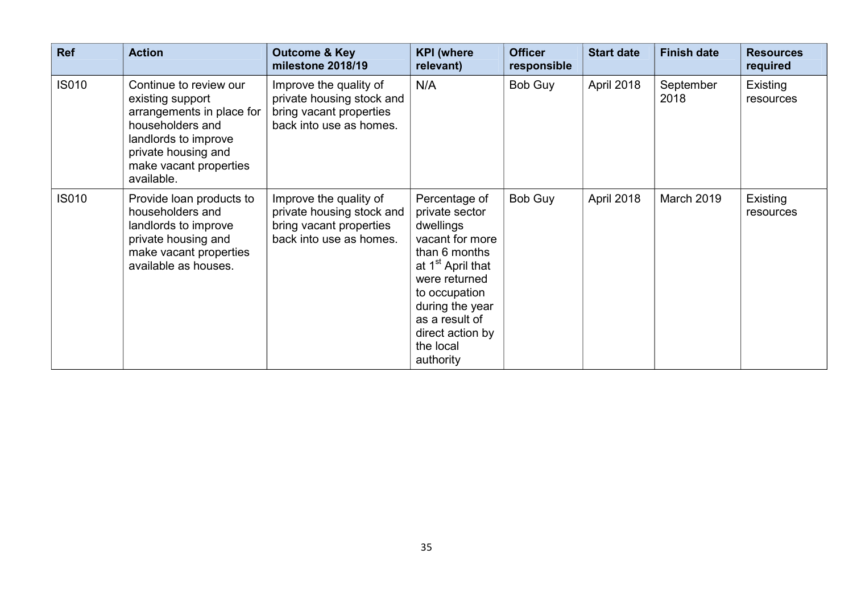| <b>Ref</b>   | <b>Action</b>                                                                                                                                                                      | <b>Outcome &amp; Key</b><br>milestone 2018/19                                                             | <b>KPI</b> (where<br>relevant)                                                                                                                                                                                                         | <b>Officer</b><br>responsible | <b>Start date</b> | <b>Finish date</b> | <b>Resources</b><br>required |
|--------------|------------------------------------------------------------------------------------------------------------------------------------------------------------------------------------|-----------------------------------------------------------------------------------------------------------|----------------------------------------------------------------------------------------------------------------------------------------------------------------------------------------------------------------------------------------|-------------------------------|-------------------|--------------------|------------------------------|
| <b>IS010</b> | Continue to review our<br>existing support<br>arrangements in place for<br>householders and<br>landlords to improve<br>private housing and<br>make vacant properties<br>available. | Improve the quality of<br>private housing stock and<br>bring vacant properties<br>back into use as homes. | N/A                                                                                                                                                                                                                                    | Bob Guy                       | April 2018        | September<br>2018  | Existing<br>resources        |
| <b>IS010</b> | Provide loan products to<br>householders and<br>landlords to improve<br>private housing and<br>make vacant properties<br>available as houses.                                      | Improve the quality of<br>private housing stock and<br>bring vacant properties<br>back into use as homes. | Percentage of<br>private sector<br>dwellings<br>vacant for more<br>than 6 months<br>at 1 <sup>st</sup> April that<br>were returned<br>to occupation<br>during the year<br>as a result of<br>direct action by<br>the local<br>authority | Bob Guy                       | April 2018        | March 2019         | Existing<br>resources        |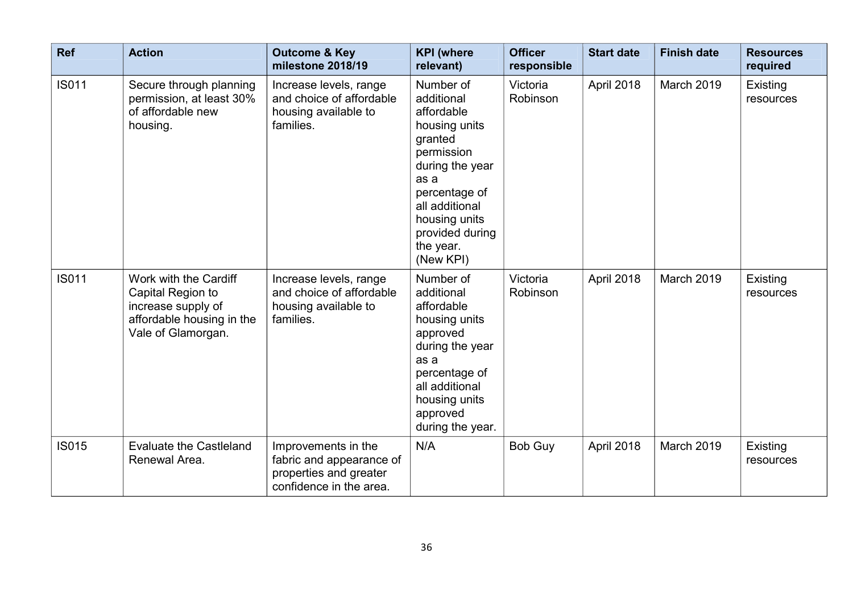| <b>Ref</b>   | <b>Action</b>                                                                                                       | <b>Outcome &amp; Key</b><br>milestone 2018/19                                                        | <b>KPI</b> (where<br>relevant)                                                                                                                                                                              | <b>Officer</b><br>responsible | <b>Start date</b> | <b>Finish date</b> | <b>Resources</b><br>required |
|--------------|---------------------------------------------------------------------------------------------------------------------|------------------------------------------------------------------------------------------------------|-------------------------------------------------------------------------------------------------------------------------------------------------------------------------------------------------------------|-------------------------------|-------------------|--------------------|------------------------------|
| <b>IS011</b> | Secure through planning<br>permission, at least 30%<br>of affordable new<br>housing.                                | Increase levels, range<br>and choice of affordable<br>housing available to<br>families.              | Number of<br>additional<br>affordable<br>housing units<br>granted<br>permission<br>during the year<br>as a<br>percentage of<br>all additional<br>housing units<br>provided during<br>the year.<br>(New KPI) | Victoria<br>Robinson          | April 2018        | March 2019         | Existing<br>resources        |
| <b>IS011</b> | Work with the Cardiff<br>Capital Region to<br>increase supply of<br>affordable housing in the<br>Vale of Glamorgan. | Increase levels, range<br>and choice of affordable<br>housing available to<br>families.              | Number of<br>additional<br>affordable<br>housing units<br>approved<br>during the year<br>as a<br>percentage of<br>all additional<br>housing units<br>approved<br>during the year.                           | Victoria<br>Robinson          | April 2018        | March 2019         | Existing<br>resources        |
| <b>IS015</b> | <b>Evaluate the Castleland</b><br>Renewal Area.                                                                     | Improvements in the<br>fabric and appearance of<br>properties and greater<br>confidence in the area. | N/A                                                                                                                                                                                                         | <b>Bob Guy</b>                | April 2018        | March 2019         | Existing<br>resources        |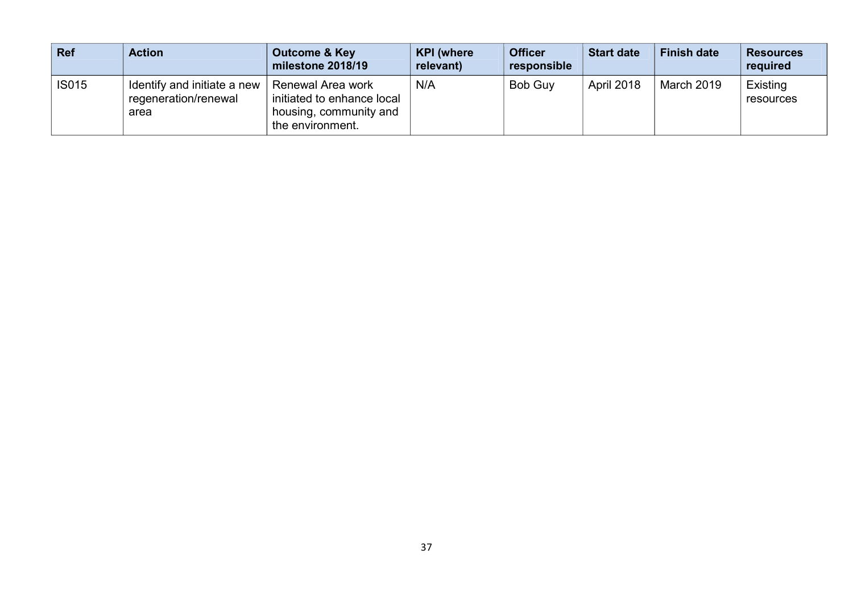| <b>Ref</b>   | <b>Action</b>                                               | <b>Outcome &amp; Key</b><br>milestone 2018/19                                                 | <b>KPI</b> (where<br>relevant) | <b>Officer</b><br>responsible | <b>Start date</b> | <b>Finish date</b> | <b>Resources</b><br>required |
|--------------|-------------------------------------------------------------|-----------------------------------------------------------------------------------------------|--------------------------------|-------------------------------|-------------------|--------------------|------------------------------|
| <b>IS015</b> | Identify and initiate a new<br>regeneration/renewal<br>area | Renewal Area work<br>initiated to enhance local<br>housing, community and<br>the environment. | N/A                            | <b>Bob Guv</b>                | <b>April 2018</b> | March 2019         | Existing<br>resources        |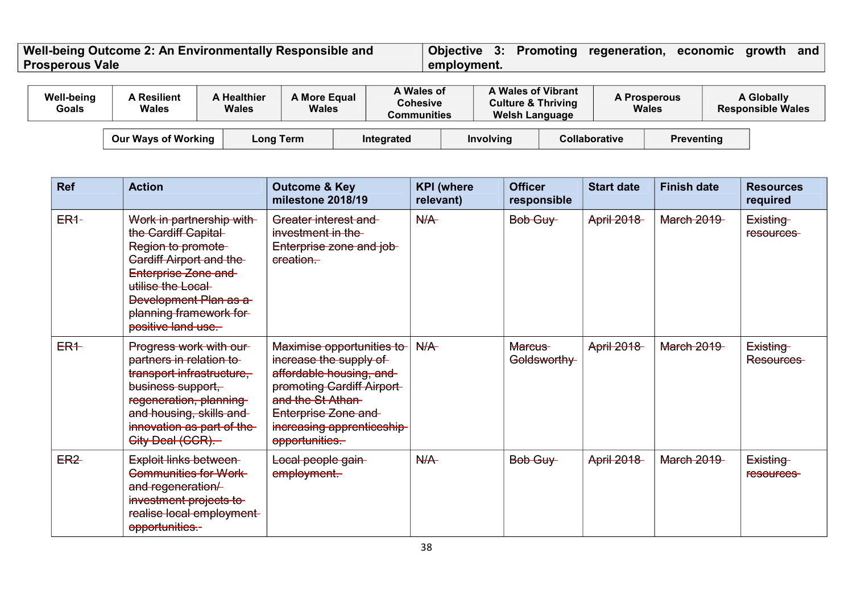#### **Well-being Outcome 2: An Environmentally Responsible and Prosperous Vale Objective 3: Promoting regeneration, economic growth and employment.**

| <b>Well-being</b><br>Goals | <b>A</b> Resilient<br>Wales | <b>A Healthier</b><br><b>Wales</b> | <b>A More Equal</b><br>Wales | A Wales of<br>Cohesive<br>Communities | A Wales of Vibrant<br><b>Culture &amp; Thriving</b><br><b>Welsh Language</b> |                      | <b>A Prosperous</b><br><b>Wales</b> | <b>A Globally</b><br><b>Responsible Wales</b> |  |
|----------------------------|-----------------------------|------------------------------------|------------------------------|---------------------------------------|------------------------------------------------------------------------------|----------------------|-------------------------------------|-----------------------------------------------|--|
|                            | Our Ways of Working         | Long Term                          |                              | Integrated                            | <b>Involving</b>                                                             | <b>Collaborative</b> | <b>Preventing</b>                   |                                               |  |

| <b>Ref</b>      | <b>Action</b>                                                                                                                                                                                                                       | <b>Outcome &amp; Key</b><br>milestone 2018/19                                                                                                                                                           | <b>KPI</b> (where<br>relevant) | <b>Officer</b><br>responsible | <b>Start date</b> | <b>Finish date</b> | <b>Resources</b><br>required |
|-----------------|-------------------------------------------------------------------------------------------------------------------------------------------------------------------------------------------------------------------------------------|---------------------------------------------------------------------------------------------------------------------------------------------------------------------------------------------------------|--------------------------------|-------------------------------|-------------------|--------------------|------------------------------|
| $ER4-$          | Work in partnership with<br>the Cardiff Capital<br>Region to promote<br><b>Cardiff Airport and the-</b><br>Enterprise Zone and<br>utilise the Local<br><b>Development Plan as a</b><br>planning framework for<br>positive land use. | Greater interest and<br>investment in the<br>Enterprise zone and job-<br>ereation.                                                                                                                      | N/A                            | Bob Guy                       | <b>April 2018</b> | <b>March 2019</b>  | Existing<br>resources-       |
| $ER+$           | Progress work with our-<br>partners in relation to<br>transport infrastructure,<br>business support.<br>regeneration, planning<br>and housing, skills and<br>innovation as part of the<br>City Deal (CCR).                          | Maximise opportunities to<br>increase the supply of<br>affordable housing, and<br>promoting Cardiff Airport-<br>and the St Athan<br>Enterprise Zone and<br>increasing apprenticeship-<br>opportunities. | N/A                            | <b>Marcus</b><br>Goldsworthy  | <b>April 2018</b> | <b>March 2019</b>  | Existing<br>Resources-       |
| ER <sub>2</sub> | Exploit links between<br>Communities for Work<br>and regeneration/<br>investment projects to<br>realise local employment<br>opportunities.-                                                                                         | Local people gain-<br>employment.                                                                                                                                                                       | N/A                            | Bob Guy                       | <b>April 2018</b> | <b>March 2019</b>  | Existing<br>resources-       |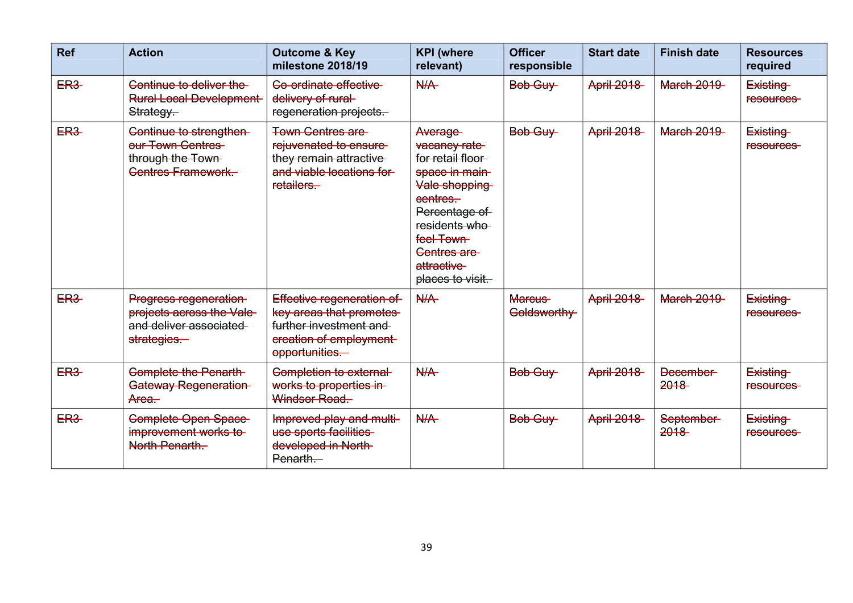| <b>Ref</b>      | <b>Action</b>                                                                                 | <b>Outcome &amp; Key</b><br>milestone 2018/19                                                                              | <b>KPI</b> (where<br>relevant)                                                                                                                                                              | <b>Officer</b><br>responsible | <b>Start date</b> | <b>Finish date</b>      | <b>Resources</b><br>required |
|-----------------|-----------------------------------------------------------------------------------------------|----------------------------------------------------------------------------------------------------------------------------|---------------------------------------------------------------------------------------------------------------------------------------------------------------------------------------------|-------------------------------|-------------------|-------------------------|------------------------------|
| <b>ER3-</b>     | Continue to deliver the<br><b>Rural Local Development</b><br>Strategy.                        | Co-ordinate effective<br>delivery of rural-<br>regeneration projects.                                                      | N/A                                                                                                                                                                                         | Bob Guy                       | <b>April 2018</b> | <b>March 2019</b>       | Existing<br>resources-       |
| ER <sub>3</sub> | Continue to strengthen-<br>our Town Centres<br>through the Town-<br><b>Centres Framework.</b> | <b>Town Centres are-</b><br>rejuvenated to ensure-<br>they remain attractive<br>and viable locations for<br>retailers.     | Average-<br>vacancy rate<br>for retail floor<br>space in main-<br>Vale shopping<br>eentres.<br>Percentage of<br>residents who<br>feel Town<br>Centres are<br>attractive<br>places to visit. | Bob Guy                       | <b>April 2018</b> | <b>March 2019</b>       | Existing<br>resources        |
| ER <sub>3</sub> | Progress regeneration<br>projects across the Vale-<br>and deliver associated<br>strategies.   | Effective regeneration of<br>key areas that promotes<br>further investment and<br>creation of employment<br>opportunities. | N/A                                                                                                                                                                                         | Marcus-<br>Goldsworthy-       | <b>April 2018</b> | <b>March 2019</b>       | Existing<br>resources-       |
| ER <sub>3</sub> | <b>Complete the Penarth-</b><br>Gateway Regeneration<br>Area.                                 | Completion to external<br>works to properties in-<br>Windsor Road.                                                         | N/A                                                                                                                                                                                         | Bob Guy                       | <b>April 2018</b> | <b>December</b><br>2018 | Existing<br>resources-       |
| ER <sub>3</sub> | Complete Open Space<br>improvement works to<br>North Penarth.                                 | Improved play and multi-<br>use sports facilities<br>developed in North-<br>Penarth.                                       | N/A                                                                                                                                                                                         | Bob Guy                       | <b>April 2018</b> | September-<br>2018      | Existing<br>resources-       |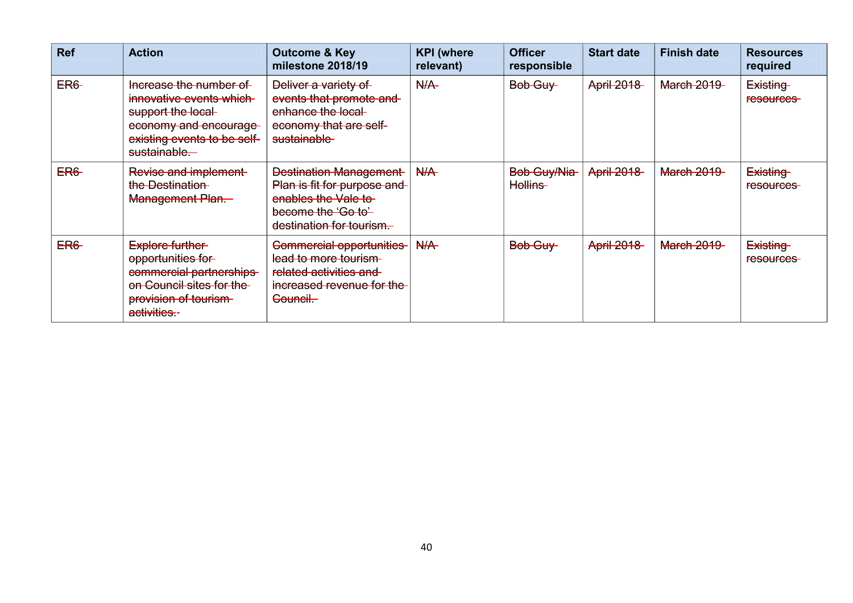| <b>Ref</b>  | <b>Action</b>                                                                                                                                   | <b>Outcome &amp; Key</b><br>milestone 2018/19                                                                                         | <b>KPI</b> (where<br>relevant) | <b>Officer</b><br>responsible | <b>Start date</b> | <b>Finish date</b> | <b>Resources</b><br>required |
|-------------|-------------------------------------------------------------------------------------------------------------------------------------------------|---------------------------------------------------------------------------------------------------------------------------------------|--------------------------------|-------------------------------|-------------------|--------------------|------------------------------|
| <b>ER6-</b> | Increase the number of<br>innovative events which<br>support the local-<br>economy and encourage<br>existing events to be self-<br>sustainable. | Deliver a variety of<br>events that promote and<br>enhance the local-<br>economy that are self-<br>sustainable-                       | N/A                            | Bob Guy                       | <b>April 2018</b> | <b>March 2019</b>  | Existing<br>resources-       |
| ER6         | Revise and implement<br>the Destination<br>Management Plan.                                                                                     | <b>Destination Management</b><br>Plan is fit for purpose and<br>enables the Vale to<br>become the 'Go to'<br>destination for tourism. | N/A                            | Bob Guy/Nia<br>Hollins-       | <b>April 2018</b> | <b>March 2019</b>  | Existing<br><b>resources</b> |
| ER6         | Explore further-<br>opportunities for<br>commercial partnerships<br>on Council sites for the<br>provision of tourism-<br>activities.-           | <b>Commercial opportunities</b><br>lead to more tourism<br>related activities and<br>increased revenue for the<br>Council-            | N/A                            | Bob Guy                       | <b>April 2018</b> | <b>March 2019</b>  | Existing<br><b>resources</b> |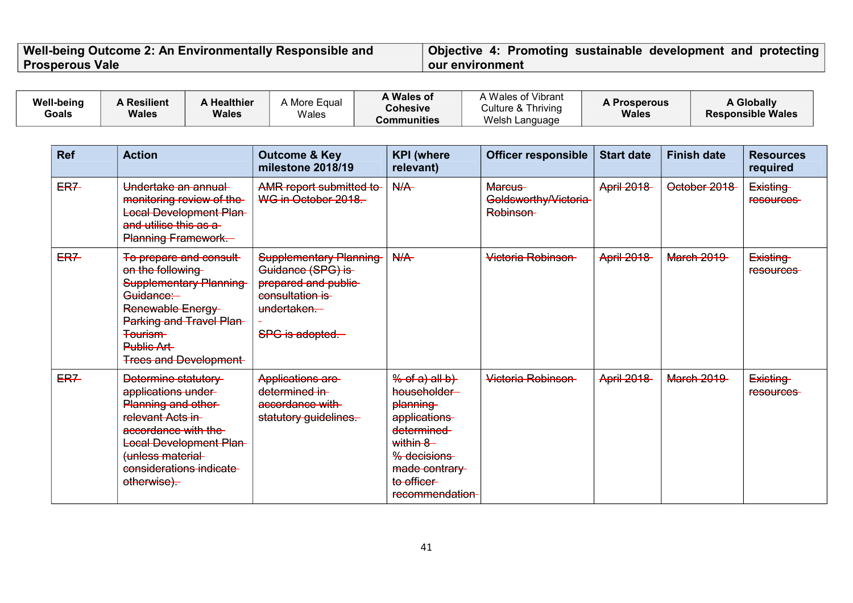#### **Well-being Outcome 2: An Environmentally Responsible and Prosperous Vale Objective 4: Promoting sustainable development and protecting our environment**

| <b>Well-being</b><br><b>Goals</b> | <b>A Resilient</b><br><b>Wales</b>                                                                                                                                           | A Healthier<br><b>Wales</b>                                                                                          | A More Equal<br>Wales                                                                                                           | A Wales of<br><b>Cohesive</b><br><b>Communities</b>                                                                                                  | A Wales of Vibrant<br>Culture & Thriving<br>Welsh Language | <b>A Prosperous</b><br><b>Wales</b> |                    | <b>A Globally</b><br><b>Responsible Wales</b> |
|-----------------------------------|------------------------------------------------------------------------------------------------------------------------------------------------------------------------------|----------------------------------------------------------------------------------------------------------------------|---------------------------------------------------------------------------------------------------------------------------------|------------------------------------------------------------------------------------------------------------------------------------------------------|------------------------------------------------------------|-------------------------------------|--------------------|-----------------------------------------------|
| <b>Ref</b>                        | <b>Action</b>                                                                                                                                                                |                                                                                                                      | <b>Outcome &amp; Key</b><br>milestone 2018/19                                                                                   | <b>KPI</b> (where<br>relevant)                                                                                                                       | <b>Officer responsible</b>                                 | <b>Start date</b>                   | <b>Finish date</b> | <b>Resources</b><br>required                  |
| <b>ER7-</b>                       | Undertake an annual<br>and utilise this as a<br><b>Planning Framework.</b>                                                                                                   | monitoring review of the<br><b>Local Development Plan-</b>                                                           | AMR report submitted to<br>WG in October 2018.                                                                                  | N/A                                                                                                                                                  | Marcus-<br>Goldsworthy/Victoria<br>Robinson-               | <b>April 2018</b>                   | October 2018       | Existing<br>resources-                        |
| <b>ER7</b>                        | on the following<br>Guidance:<br>Renewable Energy<br><b>Tourism</b><br>Public Art-                                                                                           | To prepare and consult-<br><b>Supplementary Planning</b><br>Parking and Travel Plan-<br><b>Trees and Development</b> | <b>Supplementary Planning</b><br>Guidance (SPG) is<br>prepared and public-<br>consultation is<br>undertaken.<br>SPG is adopted- | N/A                                                                                                                                                  | Victoria Robinson                                          | <b>April 2018</b>                   | <b>March 2019</b>  | Existing<br><b>resources</b>                  |
| ER7                               | Determine statutory<br>applications under-<br>Planning and other-<br>relevant Acts in-<br>accordance with the<br>(unless material-<br>considerations indicate<br>otherwise). | <b>Local Development Plan-</b>                                                                                       | Applications are<br>determined in-<br>accordance with<br>statutory guidelines.                                                  | % of a) all b<br>householder-<br>planning<br>applications<br>determined<br>within 8<br>% decisions<br>made contrary<br>to officer<br>recommendation- | Victoria Robinson                                          | <b>April 2018</b>                   | <b>March 2019</b>  | Existing<br>resources-                        |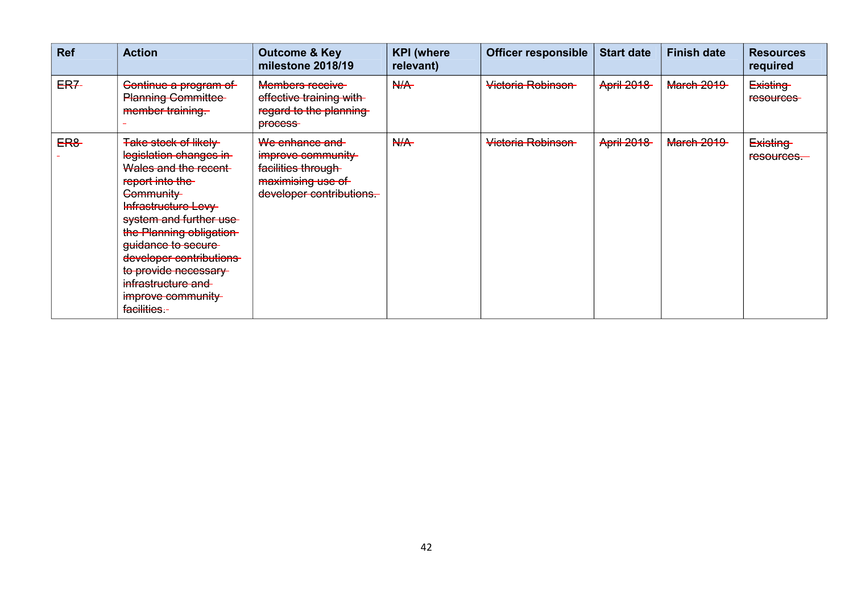| <b>Ref</b> | <b>Action</b>                                                                                                                                                                                                                                                                                                                  | <b>Outcome &amp; Key</b><br>milestone 2018/19                                                              | <b>KPI</b> (where<br>relevant) | <b>Officer responsible</b> | <b>Start date</b> | <b>Finish date</b> | <b>Resources</b><br>required  |
|------------|--------------------------------------------------------------------------------------------------------------------------------------------------------------------------------------------------------------------------------------------------------------------------------------------------------------------------------|------------------------------------------------------------------------------------------------------------|--------------------------------|----------------------------|-------------------|--------------------|-------------------------------|
| ER7-       | Continue a program of<br><b>Planning Committee-</b><br>member training.                                                                                                                                                                                                                                                        | Members receive<br>effective training with-<br>regard to the planning<br>process-                          | N/A                            | Victoria Robinson          | <b>April 2018</b> | <b>March 2019</b>  | Existing<br>resources-        |
| <b>ER8</b> | <b>Take stock of likely</b><br>legislation changes in<br>Wales and the recent<br>report into the<br>Community<br>Infrastructure Levy<br>system and further use<br>the Planning obligation-<br>guidance to secure<br>developer contributions<br>to provide necessary<br>infrastructure and<br>improve community<br>facilities.- | We enhance and<br>improve community<br>facilities through<br>maximising use of<br>developer contributions. | N/A                            | Victoria Robinson          | <b>April 2018</b> | <b>March 2019</b>  | <b>Existing</b><br>resources. |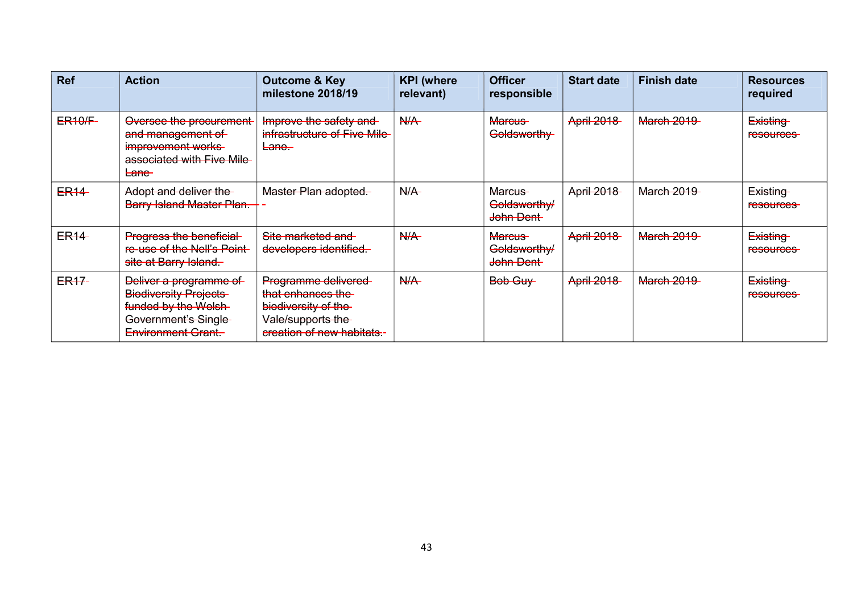| <b>Ref</b>       | <b>Action</b>                                                                                                                             | <b>Outcome &amp; Key</b><br>milestone 2018/19                                                                      | <b>KPI</b> (where<br>relevant) | <b>Officer</b><br>responsible              | <b>Start date</b> | <b>Finish date</b> | <b>Resources</b><br>required |
|------------------|-------------------------------------------------------------------------------------------------------------------------------------------|--------------------------------------------------------------------------------------------------------------------|--------------------------------|--------------------------------------------|-------------------|--------------------|------------------------------|
| <b>ER10/F-</b>   | Oversee the procurement-<br>and management of<br>improvement works<br>associated with Five Mile<br><b>Lane</b>                            | Improve the safety and<br>infrastructure of Five Mile<br><del>Lane.</del>                                          | N/A                            | <del>Marcus</del><br>Goldsworthy-          | <b>April 2018</b> | <b>March 2019</b>  | Existing<br>resources-       |
| <b>ER14</b>      | Adopt and deliver the<br>Barry Island Master Plan.                                                                                        | Master Plan adopted.                                                                                               | N/A                            | Marcus-<br>Goldsworthy/<br>John Dent       | <b>April 2018</b> | <b>March 2019</b>  | Existing<br><b>resources</b> |
| <b>ER14</b>      | Progress the beneficial-<br>re-use of the Nell's Point<br>site at Barry Island.                                                           | Site marketed and<br>developers identified.                                                                        | N/A                            | <b>Marcus</b><br>Goldsworthy/<br>John Dent | <b>April 2018</b> | <b>March 2019</b>  | Existing<br><b>resources</b> |
| ER <sub>17</sub> | Deliver a programme of<br><b>Biodiversity Projects</b><br>funded by the Welsh-<br><b>Government's Single</b><br><b>Environment Grant.</b> | Programme delivered<br>that enhances the<br>biodiversity of the<br>Vale/supports the<br>ereation of new habitats.- | N/A                            | Bob Guy                                    | <b>April 2018</b> | <b>March 2019</b>  | <b>Existing</b><br>resources |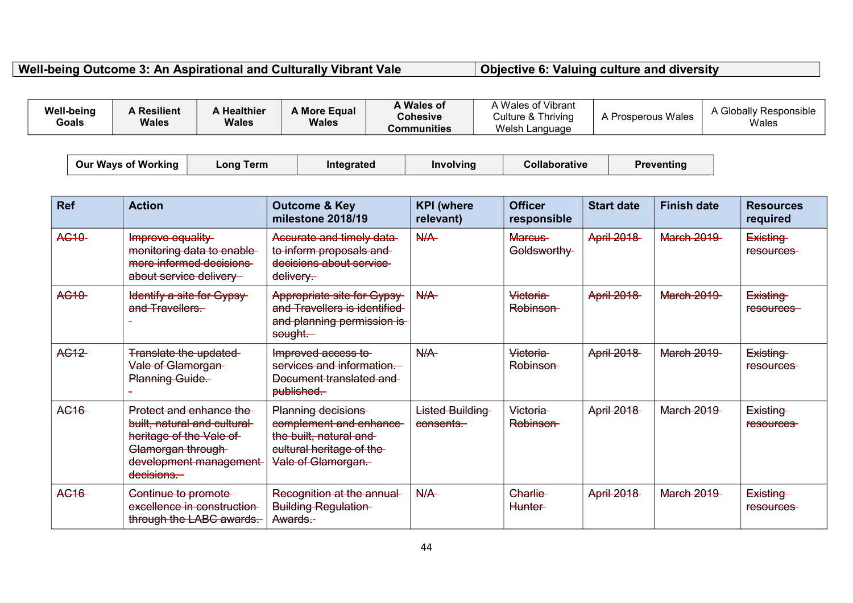**Well-being Outcome 3: An Aspirational and Culturally Vibrant Vale Objective 6: Valuing culture and diversity**

| A Wales of<br><b>Well-being</b><br><b>A Resilient</b><br>A More Equal<br><b>Healthier</b><br>Prosperous Wales<br><b>Cohesive</b><br>Culture & Thriving<br>Wales<br><b>Wales</b><br><b>Wales</b><br>Goals<br>Wales<br>Welsh Language<br>Communities |  |  |  | Wales of Vibrant |  | A Globally Responsible |
|----------------------------------------------------------------------------------------------------------------------------------------------------------------------------------------------------------------------------------------------------|--|--|--|------------------|--|------------------------|
|----------------------------------------------------------------------------------------------------------------------------------------------------------------------------------------------------------------------------------------------------|--|--|--|------------------|--|------------------------|

| <b>Our Ways of Working</b> | Long Term | <b>Integrated</b> | Involvina | Collaborative | Preventina |
|----------------------------|-----------|-------------------|-----------|---------------|------------|
|                            |           |                   |           |               |            |

| <b>Ref</b>         | <b>Action</b>                                                                                                                                     | <b>Outcome &amp; Key</b><br>milestone 2018/19                                                                            | <b>KPI</b> (where<br>relevant) | <b>Officer</b><br>responsible | <b>Start date</b> | <b>Finish date</b> | <b>Resources</b><br>required |
|--------------------|---------------------------------------------------------------------------------------------------------------------------------------------------|--------------------------------------------------------------------------------------------------------------------------|--------------------------------|-------------------------------|-------------------|--------------------|------------------------------|
| AC <sub>10</sub> - | Improve equality<br>monitoring data to enable-<br>more informed decisions<br>about service delivery                                               | Accurate and timely data-<br>to inform proposals and<br>decisions about service<br>$delivery-$                           | N/A                            | <b>Marcus</b><br>Goldsworthy  | <b>April 2018</b> | <b>March 2019</b>  | Existing<br>resources-       |
| <b>AC10</b>        | Identify a site for Gypsy-<br>and Travellers.                                                                                                     | Appropriate site for Gypsy-<br>and Travellers is identified<br>and planning permission is-<br>sought.                    | N/A                            | Victoria<br>Robinson-         | <b>April 2018</b> | <b>March 2019</b>  | Existing<br>resources-       |
| <b>AG12</b>        | <b>Translate the updated-</b><br>Vale of Glamorgan<br>Planning Guide.                                                                             | Improved access to<br>services and information.<br>Document translated and<br>published.                                 | N/A                            | Victoria<br>Robinson-         | <b>April 2018</b> | <b>March 2019</b>  | Existing<br>resources-       |
| AC <sub>16</sub>   | Protect and enhance the<br>built, natural and cultural-<br>heritage of the Vale of<br>Glamorgan through-<br>development management-<br>decisions. | Planning decisions<br>complement and enhance<br>the built, natural and<br>eultural heritage of the<br>Vale of Glamorgan. | Listed Building<br>consents.   | Victoria<br>Robinson-         | <b>April 2018</b> | <b>March 2019</b>  | Existing<br>resources-       |
| AC <sub>16</sub>   | Continue to promote-<br>excellence in construction-<br>through the LABC awards.                                                                   | Recognition at the annual-<br><b>Building Regulation</b><br>Awards :-                                                    | N/A                            | Charlie-<br><b>Hunter-</b>    | <b>April 2018</b> | <b>March 2019</b>  | Existing<br>resources-       |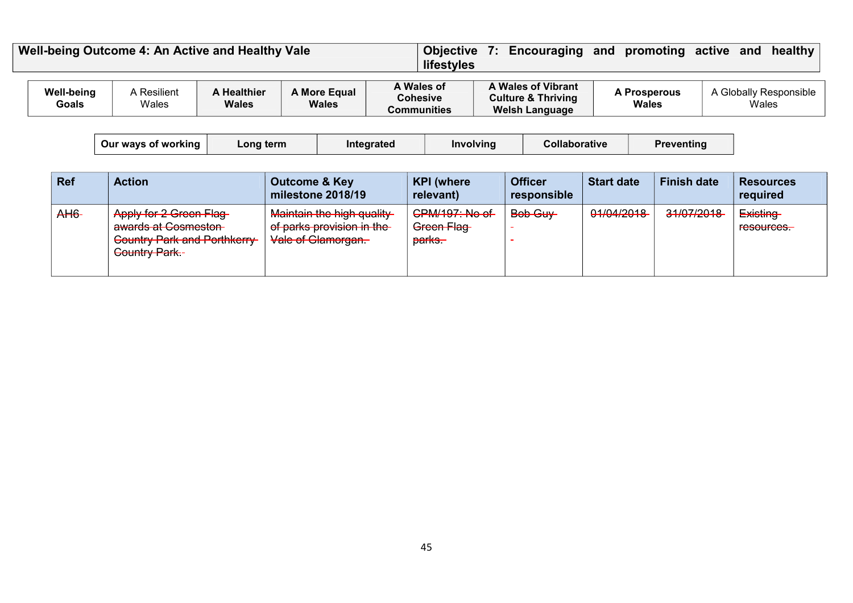| Well-being Outcome 4: An Active and Healthy Vale<br>lifestyles |                      |                                    |                              |                                              | Objective 7: Encouraging and promoting active                                |                              | healthy<br>and                  |
|----------------------------------------------------------------|----------------------|------------------------------------|------------------------------|----------------------------------------------|------------------------------------------------------------------------------|------------------------------|---------------------------------|
| <b>Well-being</b><br>Goals                                     | A Resilient<br>Wales | <b>A Healthier</b><br><b>Wales</b> | A More Equal<br><b>Wales</b> | A Wales of<br><b>Cohesive</b><br>Communities | A Wales of Vibrant<br><b>Culture &amp; Thriving</b><br><b>Welsh Language</b> | <b>A Prosperous</b><br>Wales | A Globally Responsible<br>Wales |

| Our wavs of working | ∟ona term ⊺ | <b>Integrated</b> | Involvina | <b>Collaborative</b> | Preventina |
|---------------------|-------------|-------------------|-----------|----------------------|------------|
|---------------------|-------------|-------------------|-----------|----------------------|------------|

| <b>Ref</b>      | <b>Action</b>                                                                                                                                            | <b>Outcome &amp; Key</b><br>milestone 2018/19                                                                                                               | <b>KPI</b> (where<br>relevant)                                        | <b>Officer</b><br>responsible | <b>Start date</b> | <b>Finish date</b> | <b>Resources</b><br>required                                  |
|-----------------|----------------------------------------------------------------------------------------------------------------------------------------------------------|-------------------------------------------------------------------------------------------------------------------------------------------------------------|-----------------------------------------------------------------------|-------------------------------|-------------------|--------------------|---------------------------------------------------------------|
| A <sub>H6</sub> | Apply for 2 Green Flag-<br>quarde at Coompeter<br>awaruo ar Uuomuotun<br><b>Country Park and Porthkerry-</b><br>Country Dork<br><del>Country Pain.</del> | Maintain the bigh quality<br><del>Maintain the mun quality</del><br>of parke provision in the<br><del>or pains provision in the</del><br>Vale of Glamorgan. | <b>CPM/197: No of</b><br>Croop Floo<br><del>orcen nag</del><br>parks. | Bob Guy                       | 01/04/2018        | 31/07/2018         | <b>Existing</b><br><b>EQCOUTOOC</b><br>r <del>esources.</del> |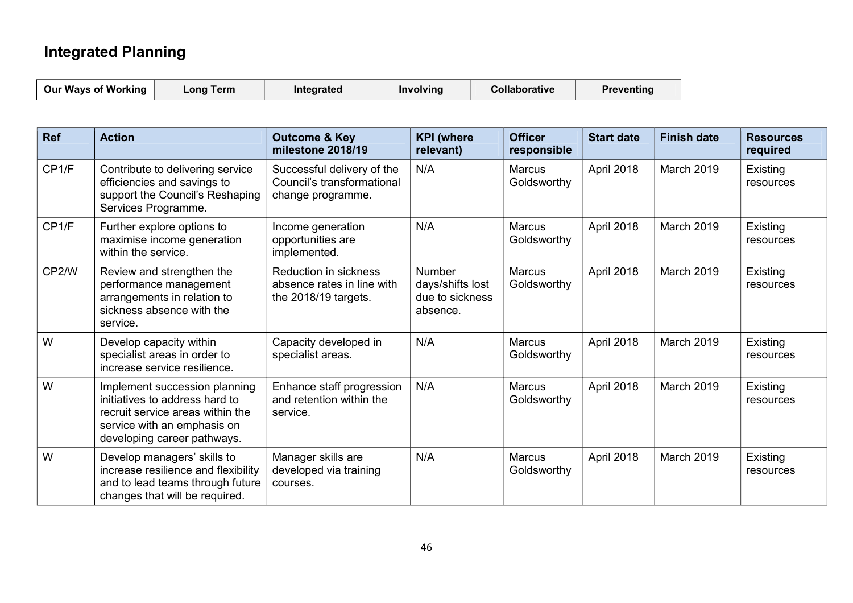### **Integrated Planning**

| <b>Our Ways of Working</b> | $\mathsf{\mathsf{Long}}$ Term | Integrated | <b>Involving</b> | <b>Collaborative</b> | Preventing |
|----------------------------|-------------------------------|------------|------------------|----------------------|------------|
|----------------------------|-------------------------------|------------|------------------|----------------------|------------|

| <b>Ref</b> | <b>Action</b>                                                                                                                                                     | <b>Outcome &amp; Key</b><br>milestone 2018/19                                      | <b>KPI</b> (where<br><b>Officer</b><br>relevant)<br>responsible  |                              | <b>Start date</b> | <b>Finish date</b> | <b>Resources</b><br>required |
|------------|-------------------------------------------------------------------------------------------------------------------------------------------------------------------|------------------------------------------------------------------------------------|------------------------------------------------------------------|------------------------------|-------------------|--------------------|------------------------------|
| CP1/F      | Contribute to delivering service<br>efficiencies and savings to<br>support the Council's Reshaping<br>Services Programme.                                         | Successful delivery of the<br>Council's transformational<br>change programme.      | N/A                                                              | <b>Marcus</b><br>Goldsworthy | April 2018        | March 2019         | Existing<br>resources        |
| CP1/F      | Further explore options to<br>maximise income generation<br>within the service.                                                                                   | Income generation<br>opportunities are<br>implemented.                             | N/A                                                              | <b>Marcus</b><br>Goldsworthy | April 2018        | March 2019         | Existing<br>resources        |
| CP2/W      | Review and strengthen the<br>performance management<br>arrangements in relation to<br>sickness absence with the<br>service.                                       | <b>Reduction in sickness</b><br>absence rates in line with<br>the 2018/19 targets. | <b>Number</b><br>days/shifts lost<br>due to sickness<br>absence. | <b>Marcus</b><br>Goldsworthy | April 2018        | March 2019         | Existing<br>resources        |
| W          | Develop capacity within<br>specialist areas in order to<br>increase service resilience.                                                                           | Capacity developed in<br>specialist areas.                                         | N/A                                                              | <b>Marcus</b><br>Goldsworthy | April 2018        | March 2019         | Existing<br>resources        |
| W          | Implement succession planning<br>initiatives to address hard to<br>recruit service areas within the<br>service with an emphasis on<br>developing career pathways. | Enhance staff progression<br>and retention within the<br>service.                  | N/A                                                              | <b>Marcus</b><br>Goldsworthy | April 2018        | March 2019         | Existing<br>resources        |
| W          | Develop managers' skills to<br>increase resilience and flexibility<br>and to lead teams through future<br>changes that will be required.                          | Manager skills are<br>developed via training<br>courses.                           | N/A                                                              | <b>Marcus</b><br>Goldsworthy | April 2018        | March 2019         | Existing<br>resources        |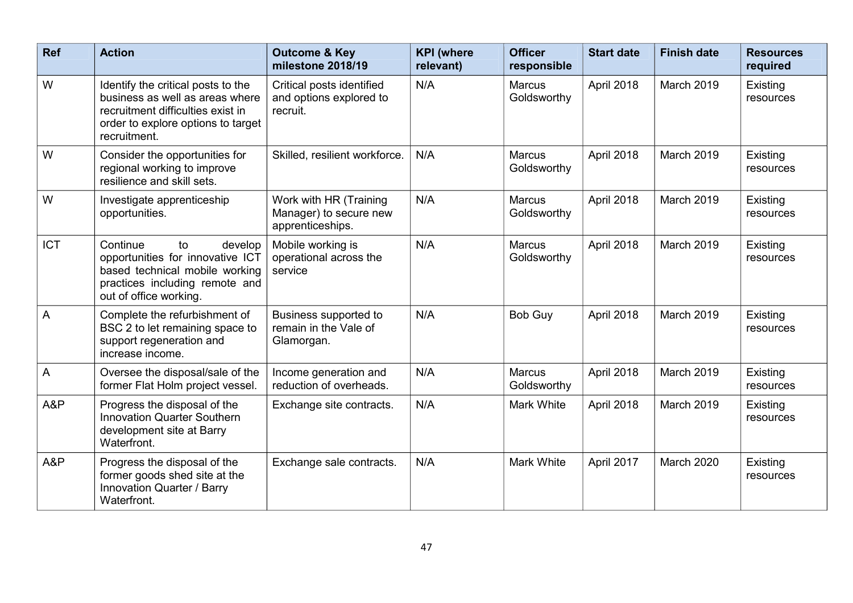| <b>Ref</b>     | <b>Action</b>                                                                                                                                                    | <b>Outcome &amp; Key</b><br>milestone 2018/19                        | <b>KPI</b> (where<br>relevant) | <b>Officer</b><br>responsible | <b>Start date</b> | <b>Finish date</b> | <b>Resources</b><br>required |
|----------------|------------------------------------------------------------------------------------------------------------------------------------------------------------------|----------------------------------------------------------------------|--------------------------------|-------------------------------|-------------------|--------------------|------------------------------|
| W              | Identify the critical posts to the<br>business as well as areas where<br>recruitment difficulties exist in<br>order to explore options to target<br>recruitment. | Critical posts identified<br>and options explored to<br>recruit.     | N/A                            | <b>Marcus</b><br>Goldsworthy  | April 2018        | March 2019         | Existing<br>resources        |
| W              | Consider the opportunities for<br>regional working to improve<br>resilience and skill sets.                                                                      | Skilled, resilient workforce.                                        | N/A                            | <b>Marcus</b><br>Goldsworthy  | April 2018        | March 2019         | Existing<br>resources        |
| W              | Investigate apprenticeship<br>opportunities.                                                                                                                     | Work with HR (Training<br>Manager) to secure new<br>apprenticeships. | N/A                            | <b>Marcus</b><br>Goldsworthy  | April 2018        | March 2019         | Existing<br>resources        |
| <b>ICT</b>     | Continue<br>to<br>develop<br>opportunities for innovative ICT<br>based technical mobile working<br>practices including remote and<br>out of office working.      | Mobile working is<br>operational across the<br>service               | N/A                            | <b>Marcus</b><br>Goldsworthy  | April 2018        | March 2019         | Existing<br>resources        |
| $\overline{A}$ | Complete the refurbishment of<br>BSC 2 to let remaining space to<br>support regeneration and<br>increase income.                                                 | Business supported to<br>remain in the Vale of<br>Glamorgan.         | N/A                            | Bob Guy                       | April 2018        | March 2019         | Existing<br>resources        |
| $\overline{A}$ | Oversee the disposal/sale of the<br>former Flat Holm project vessel.                                                                                             | Income generation and<br>reduction of overheads.                     | N/A                            | <b>Marcus</b><br>Goldsworthy  | April 2018        | March 2019         | Existing<br>resources        |
| A&P            | Progress the disposal of the<br><b>Innovation Quarter Southern</b><br>development site at Barry<br>Waterfront.                                                   | Exchange site contracts.                                             | N/A                            | <b>Mark White</b>             | April 2018        | March 2019         | Existing<br>resources        |
| A&P            | Progress the disposal of the<br>former goods shed site at the<br>Innovation Quarter / Barry<br>Waterfront.                                                       | Exchange sale contracts.                                             | N/A                            | <b>Mark White</b>             | April 2017        | March 2020         | Existing<br>resources        |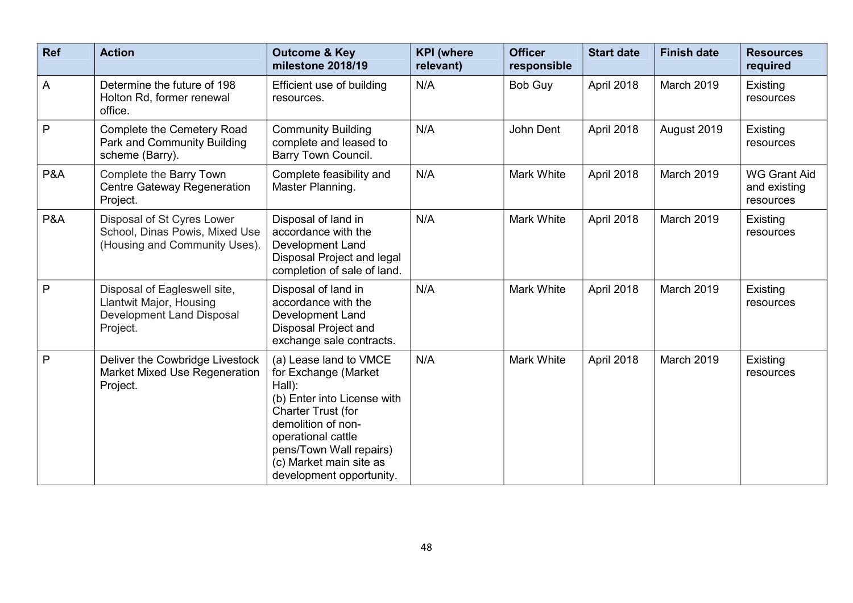| <b>Ref</b>     | <b>Action</b>                                                                                           | <b>Outcome &amp; Key</b><br>milestone 2018/19                                                                                                                                                                                               | <b>KPI</b> (where<br>relevant) | <b>Officer</b><br>responsible | <b>Start date</b> | <b>Finish date</b> | <b>Resources</b><br>required                     |
|----------------|---------------------------------------------------------------------------------------------------------|---------------------------------------------------------------------------------------------------------------------------------------------------------------------------------------------------------------------------------------------|--------------------------------|-------------------------------|-------------------|--------------------|--------------------------------------------------|
| $\overline{A}$ | Determine the future of 198<br>Holton Rd, former renewal<br>office.                                     | Efficient use of building<br>resources.                                                                                                                                                                                                     | N/A                            | <b>Bob Guy</b>                | April 2018        | March 2019         | Existing<br>resources                            |
| P              | Complete the Cemetery Road<br>Park and Community Building<br>scheme (Barry).                            | <b>Community Building</b><br>complete and leased to<br><b>Barry Town Council.</b>                                                                                                                                                           | N/A                            | John Dent                     | April 2018        | August 2019        | Existing<br>resources                            |
| <b>P&amp;A</b> | Complete the Barry Town<br><b>Centre Gateway Regeneration</b><br>Project.                               | Complete feasibility and<br>Master Planning.                                                                                                                                                                                                | N/A                            | Mark White                    | April 2018        | March 2019         | <b>WG Grant Aid</b><br>and existing<br>resources |
| P&A            | Disposal of St Cyres Lower<br>School, Dinas Powis, Mixed Use<br>(Housing and Community Uses).           | Disposal of land in<br>accordance with the<br>Development Land<br>Disposal Project and legal<br>completion of sale of land.                                                                                                                 | N/A                            | Mark White                    | April 2018        | March 2019         | Existing<br>resources                            |
| P              | Disposal of Eagleswell site,<br>Llantwit Major, Housing<br><b>Development Land Disposal</b><br>Project. | Disposal of land in<br>accordance with the<br>Development Land<br>Disposal Project and<br>exchange sale contracts.                                                                                                                          | N/A                            | Mark White                    | April 2018        | March 2019         | Existing<br>resources                            |
| P              | Deliver the Cowbridge Livestock<br><b>Market Mixed Use Regeneration</b><br>Project.                     | (a) Lease land to VMCE<br>for Exchange (Market<br>Hall):<br>(b) Enter into License with<br>Charter Trust (for<br>demolition of non-<br>operational cattle<br>pens/Town Wall repairs)<br>(c) Market main site as<br>development opportunity. | N/A                            | Mark White                    | April 2018        | March 2019         | Existing<br>resources                            |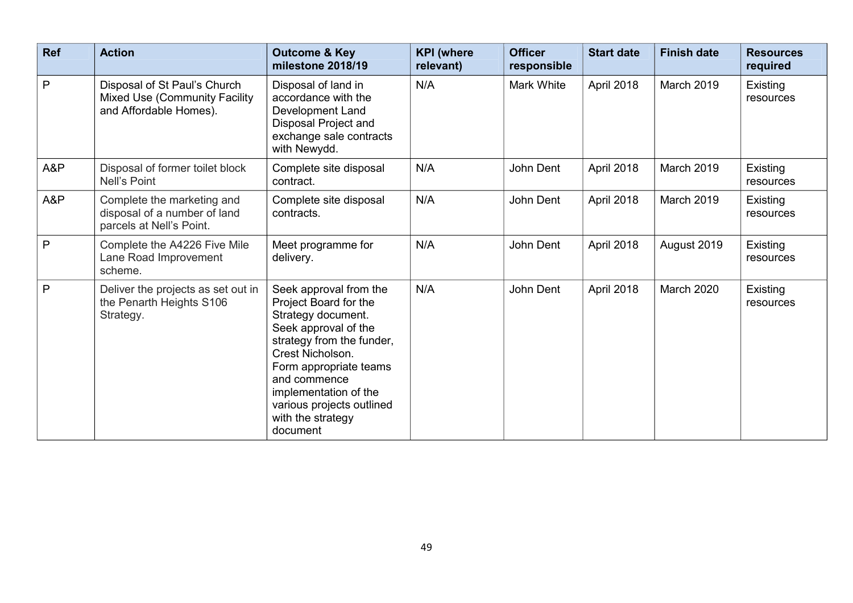| Ref          | <b>Action</b>                                                                                  | <b>Outcome &amp; Key</b><br>milestone 2018/19                                                                                                                                                                                                                                   | <b>KPI</b> (where<br>relevant) | <b>Officer</b><br>responsible | <b>Start date</b> | <b>Finish date</b> | <b>Resources</b><br>required |
|--------------|------------------------------------------------------------------------------------------------|---------------------------------------------------------------------------------------------------------------------------------------------------------------------------------------------------------------------------------------------------------------------------------|--------------------------------|-------------------------------|-------------------|--------------------|------------------------------|
| P            | Disposal of St Paul's Church<br><b>Mixed Use (Community Facility</b><br>and Affordable Homes). | Disposal of land in<br>accordance with the<br>Development Land<br>Disposal Project and<br>exchange sale contracts<br>with Newydd.                                                                                                                                               | N/A                            | Mark White                    | April 2018        | March 2019         | Existing<br>resources        |
| A&P          | Disposal of former toilet block<br>Nell's Point                                                | Complete site disposal<br>contract.                                                                                                                                                                                                                                             | N/A                            | John Dent                     | April 2018        | March 2019         | Existing<br>resources        |
| A&P          | Complete the marketing and<br>disposal of a number of land<br>parcels at Nell's Point.         | Complete site disposal<br>contracts.                                                                                                                                                                                                                                            | N/A                            | John Dent                     | April 2018        | March 2019         | Existing<br>resources        |
| $\mathsf{P}$ | Complete the A4226 Five Mile<br>Lane Road Improvement<br>scheme.                               | Meet programme for<br>delivery.                                                                                                                                                                                                                                                 | N/A                            | John Dent                     | April 2018        | August 2019        | Existing<br>resources        |
| $\mathsf{P}$ | Deliver the projects as set out in<br>the Penarth Heights S106<br>Strategy.                    | Seek approval from the<br>Project Board for the<br>Strategy document.<br>Seek approval of the<br>strategy from the funder,<br>Crest Nicholson.<br>Form appropriate teams<br>and commence<br>implementation of the<br>various projects outlined<br>with the strategy<br>document | N/A                            | John Dent                     | April 2018        | March 2020         | Existing<br>resources        |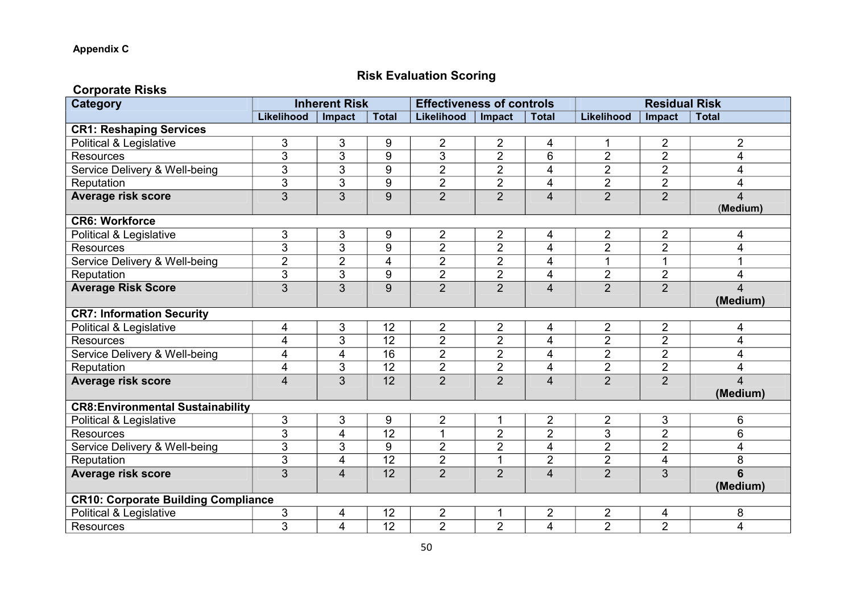### **Risk Evaluation Scoring**

| <b>Corporate Risks</b>                     |                         |                         |                 |                                  |                |                |                |                         |                |  |
|--------------------------------------------|-------------------------|-------------------------|-----------------|----------------------------------|----------------|----------------|----------------|-------------------------|----------------|--|
| <b>Category</b>                            |                         | <b>Inherent Risk</b>    |                 | <b>Effectiveness of controls</b> |                |                |                | <b>Residual Risk</b>    |                |  |
|                                            | Likelihood              | Impact                  | <b>Total</b>    | Likelihood                       | Impact         | <b>Total</b>   | Likelihood     | Impact                  | <b>Total</b>   |  |
| <b>CR1: Reshaping Services</b>             |                         |                         |                 |                                  |                |                |                |                         |                |  |
| Political & Legislative                    | 3                       | 3                       | 9               | $\overline{2}$                   | 2              | 4              | $\mathbf 1$    | $\overline{c}$          | $\overline{2}$ |  |
| <b>Resources</b>                           | 3                       | 3                       | 9               | 3                                | $\overline{2}$ | 6              | $\overline{2}$ | $\overline{2}$          | 4              |  |
| Service Delivery & Well-being              | 3                       | 3                       | $\overline{9}$  | $\overline{2}$                   | $\overline{2}$ | 4              | $\overline{2}$ | $\overline{2}$          | 4              |  |
| Reputation                                 | 3                       | 3                       | 9               | $\overline{2}$                   | $\overline{2}$ | 4              | $\overline{2}$ | $\overline{2}$          | 4              |  |
| <b>Average risk score</b>                  | 3                       | 3                       | 9               | $\overline{2}$                   | $\overline{2}$ | $\overline{4}$ | $\overline{2}$ | $\overline{2}$          | 4              |  |
|                                            |                         |                         |                 |                                  |                |                |                |                         | (Medium)       |  |
| <b>CR6: Workforce</b>                      |                         |                         |                 |                                  |                |                |                |                         |                |  |
| Political & Legislative                    | 3                       | 3                       | 9               | $\overline{2}$                   | 2              | 4              | $\overline{2}$ | $\overline{2}$          | 4              |  |
| <b>Resources</b>                           | 3                       | $\overline{3}$          | $\overline{9}$  | $\overline{2}$                   | $\overline{2}$ | 4              | $\overline{2}$ | $\overline{2}$          | 4              |  |
| Service Delivery & Well-being              | $\overline{2}$          | $\overline{2}$          | $\overline{4}$  | $\overline{2}$                   | $\overline{2}$ | 4              | $\overline{1}$ | 1                       | 1              |  |
| Reputation                                 | $\mathfrak{S}$          | 3                       | 9               | $\overline{2}$                   | $\overline{2}$ | $\overline{4}$ | $\overline{2}$ | $\overline{2}$          | 4              |  |
| <b>Average Risk Score</b>                  | 3                       | 3                       | 9               | $\overline{2}$                   | $\overline{2}$ | $\overline{4}$ | $\overline{2}$ | $\overline{2}$          | $\overline{4}$ |  |
|                                            |                         |                         |                 |                                  |                |                |                |                         | (Medium)       |  |
| <b>CR7: Information Security</b>           |                         |                         |                 |                                  |                |                |                |                         |                |  |
| Political & Legislative                    | $\overline{\mathbf{4}}$ | 3                       | 12              | $\overline{2}$                   | $\overline{2}$ | 4              | $\overline{2}$ | $\overline{2}$          | 4              |  |
| <b>Resources</b>                           | 4                       | 3                       | $\overline{12}$ | $\overline{2}$                   | $\overline{2}$ | 4              | $\overline{2}$ | $\overline{2}$          | 4              |  |
| Service Delivery & Well-being              | 4                       | 4                       | 16              | $\overline{2}$                   | $\overline{2}$ | 4              | $\overline{2}$ | $\overline{\mathbf{c}}$ | 4              |  |
| Reputation                                 | $\overline{\mathbf{4}}$ | 3                       | $\overline{12}$ | $\overline{2}$                   | $\overline{2}$ | $\overline{4}$ | $\overline{2}$ | $\overline{2}$          | 4              |  |
| <b>Average risk score</b>                  | $\overline{4}$          | 3                       | 12              | $\overline{2}$                   | $\overline{2}$ | $\overline{4}$ | $\overline{2}$ | $\overline{2}$          | 4              |  |
|                                            |                         |                         |                 |                                  |                |                |                |                         | (Medium)       |  |
| <b>CR8:Environmental Sustainability</b>    |                         |                         |                 |                                  |                |                |                |                         |                |  |
| Political & Legislative                    | $\sqrt{3}$              | 3                       | 9               | $\overline{2}$                   | 1              | $\overline{2}$ | $\overline{2}$ | 3                       | 6              |  |
| <b>Resources</b>                           | 3                       | $\overline{\mathbf{4}}$ | 12              | 1                                | $\overline{2}$ | $\overline{2}$ | 3              | $\overline{2}$          | 6              |  |
| Service Delivery & Well-being              | 3                       | 3                       | 9               | $\overline{2}$                   | $\overline{2}$ | 4              | $\overline{2}$ | $\overline{2}$          | 4              |  |
| Reputation                                 | 3                       | 4                       | 12              | $\overline{2}$                   | 1              | $\overline{2}$ | $\overline{2}$ | 4                       | 8              |  |
| <b>Average risk score</b>                  | 3                       | $\overline{4}$          | 12              | $\overline{2}$                   | $\overline{2}$ | $\overline{4}$ | $\overline{2}$ | $\overline{3}$          | 6              |  |
|                                            |                         |                         |                 |                                  |                |                |                |                         | (Medium)       |  |
| <b>CR10: Corporate Building Compliance</b> |                         |                         |                 |                                  |                |                |                |                         |                |  |
| Political & Legislative                    | 3                       | 4                       | 12              | $\overline{2}$                   | 1              | $\overline{2}$ | $\overline{2}$ | 4                       | 8              |  |
| <b>Resources</b>                           | 3                       | 4                       | 12              | $\overline{2}$                   | $\overline{2}$ | 4              | $\overline{2}$ | $\overline{2}$          | 4              |  |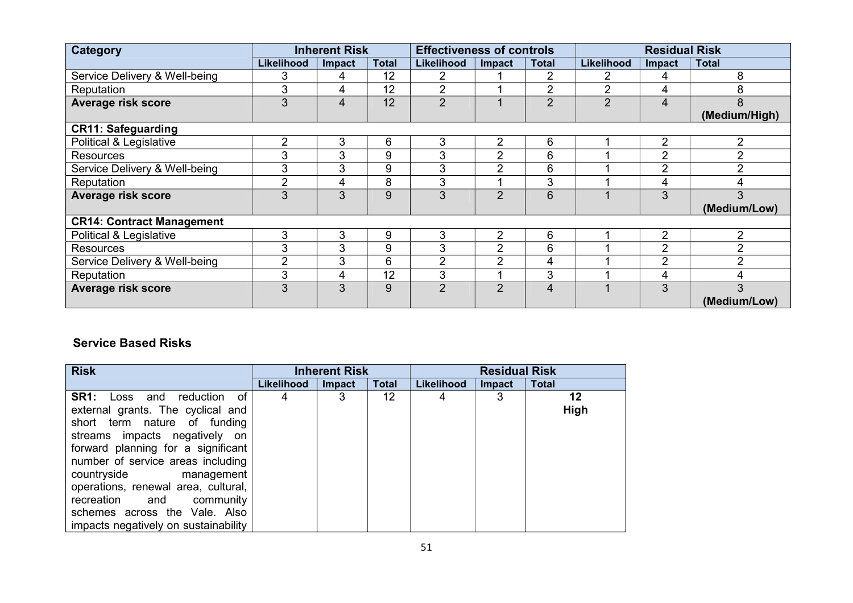| Category                         |                | <b>Inherent Risk</b> |              | <b>Effectiveness of controls</b> |                |                | <b>Residual Risk</b> |                |                |
|----------------------------------|----------------|----------------------|--------------|----------------------------------|----------------|----------------|----------------------|----------------|----------------|
|                                  | Likelihood     | <b>Impact</b>        | <b>Total</b> | Likelihood                       | <b>Impact</b>  | <b>Total</b>   | Likelihood           | <b>Impact</b>  | <b>Total</b>   |
| Service Delivery & Well-being    | 3              | 4                    | 12           | 2                                |                | 2              |                      | 4              | 8              |
| Reputation                       | 3              | 4                    | 12           | $\overline{2}$                   |                | $\overline{2}$ | 2                    | 4              | 8              |
| Average risk score               | 3              | $\overline{4}$       | 12           | $\overline{2}$                   |                | $\overline{2}$ | $\overline{2}$       | 4              | 8              |
|                                  |                |                      |              |                                  |                |                |                      |                | (Medium/High)  |
| <b>CR11: Safeguarding</b>        |                |                      |              |                                  |                |                |                      |                |                |
| Political & Legislative          | $\overline{2}$ | 3                    | 6            | 3                                | $\overline{2}$ | 6              |                      | 2              | $\overline{2}$ |
| <b>Resources</b>                 | 3              | 3                    | 9            | 3                                | $\overline{2}$ | 6              |                      | $\overline{2}$ | $\overline{2}$ |
| Service Delivery & Well-being    | 3              | 3                    | 9            | 3                                | $\overline{2}$ | 6              |                      | $\overline{2}$ | $\overline{2}$ |
| Reputation                       | $\overline{2}$ | 4                    | 8            | 3                                |                | 3              |                      | 4              | 4              |
| Average risk score               | 3              | 3                    | 9            | 3                                | $\overline{2}$ | 6              |                      | 3              | 3              |
|                                  |                |                      |              |                                  |                |                |                      |                | (Medium/Low)   |
| <b>CR14: Contract Management</b> |                |                      |              |                                  |                |                |                      |                |                |
| Political & Legislative          | 3              | 3                    | 9            | 3                                | 2              | 6              |                      | $\overline{2}$ | $\overline{2}$ |
| <b>Resources</b>                 | 3              | 3                    | 9            | 3                                | $\overline{2}$ | 6              |                      | $\overline{2}$ | $\overline{2}$ |
| Service Delivery & Well-being    | $\overline{2}$ | 3                    | 6            | $\overline{2}$                   | $\overline{2}$ | 4              |                      | $\overline{2}$ | $\overline{2}$ |
| Reputation                       | 3              | 4                    | 12           | 3                                |                | 3              |                      | 4              | 4              |
| <b>Average risk score</b>        | 3              | 3                    | 9            | $\overline{2}$                   | $\overline{2}$ | 4              |                      | 3              | 3              |
|                                  |                |                      |              |                                  |                |                |                      |                | (Medium/Low)   |

#### **Service Based Risks**

| <b>Risk</b>                                                                                                                                                                                                                                                                                                                                                                                       |            | <b>Inherent Risk</b> |                 | <b>Residual Risk</b> |        |              |  |
|---------------------------------------------------------------------------------------------------------------------------------------------------------------------------------------------------------------------------------------------------------------------------------------------------------------------------------------------------------------------------------------------------|------------|----------------------|-----------------|----------------------|--------|--------------|--|
|                                                                                                                                                                                                                                                                                                                                                                                                   | Likelihood | <b>Impact</b>        | <b>Total</b>    | Likelihood           | Impact | <b>Total</b> |  |
| <b>SR1:</b><br>reduction<br>Loss and<br>of<br>external grants. The cyclical and<br>short term nature of funding<br>streams impacts negatively on<br>forward planning for a significant<br>number of service areas including<br>countryside management<br>operations, renewal area, cultural,<br>recreation and community<br>schemes across the Vale. Also<br>impacts negatively on sustainability |            | 3                    | 12 <sup>°</sup> | 4                    | 3      | 12<br>High   |  |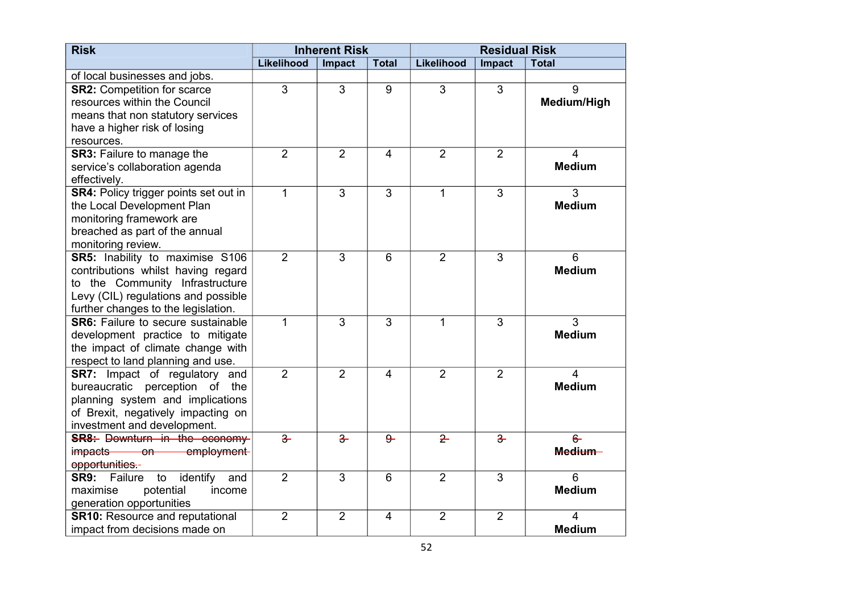| <b>Risk</b>                                          | <b>Inherent Risk</b> |                | <b>Residual Risk</b> |                |                |                    |
|------------------------------------------------------|----------------------|----------------|----------------------|----------------|----------------|--------------------|
|                                                      | <b>Likelihood</b>    | Impact         | <b>Total</b>         | Likelihood     | Impact         | <b>Total</b>       |
| of local businesses and jobs.                        |                      |                |                      |                |                |                    |
| <b>SR2: Competition for scarce</b>                   | 3                    | 3              | 9                    | 3              | 3              | 9                  |
| resources within the Council                         |                      |                |                      |                |                | <b>Medium/High</b> |
| means that non statutory services                    |                      |                |                      |                |                |                    |
| have a higher risk of losing                         |                      |                |                      |                |                |                    |
| resources.                                           |                      |                |                      |                |                |                    |
| <b>SR3: Failure to manage the</b>                    | $\overline{2}$       | $\overline{2}$ | $\overline{4}$       | $\overline{2}$ | $\overline{2}$ | $\overline{4}$     |
| service's collaboration agenda                       |                      |                |                      |                |                | <b>Medium</b>      |
| effectively.                                         |                      |                |                      |                |                |                    |
| <b>SR4: Policy trigger points set out in</b>         | 1                    | $\overline{3}$ | $\overline{3}$       | 1              | $\overline{3}$ | 3                  |
| the Local Development Plan                           |                      |                |                      |                |                | <b>Medium</b>      |
| monitoring framework are                             |                      |                |                      |                |                |                    |
| breached as part of the annual                       |                      |                |                      |                |                |                    |
| monitoring review.                                   |                      |                |                      |                |                |                    |
| SR5: Inability to maximise S106                      | $\overline{2}$       | $\overline{3}$ | 6                    | 2              | 3              | 6                  |
| contributions whilst having regard                   |                      |                |                      |                |                | <b>Medium</b>      |
| to the Community Infrastructure                      |                      |                |                      |                |                |                    |
| Levy (CIL) regulations and possible                  |                      |                |                      |                |                |                    |
| further changes to the legislation.                  |                      |                |                      |                |                |                    |
| <b>SR6:</b> Failure to secure sustainable            | $\mathbf{1}$         | $\overline{3}$ | $\overline{3}$       | 1              | 3              | $\overline{3}$     |
| development practice to mitigate                     |                      |                |                      |                |                | <b>Medium</b>      |
| the impact of climate change with                    |                      |                |                      |                |                |                    |
| respect to land planning and use.                    |                      |                |                      |                |                |                    |
| <b>SR7:</b> Impact of regulatory and                 | $\overline{2}$       | $\overline{2}$ | $\overline{4}$       | $\overline{2}$ | $\overline{2}$ | $\overline{4}$     |
| perception of the<br>bureaucratic                    |                      |                |                      |                |                | <b>Medium</b>      |
| planning system and implications                     |                      |                |                      |                |                |                    |
| of Brexit, negatively impacting on                   |                      |                |                      |                |                |                    |
| investment and development.                          |                      |                |                      |                |                |                    |
| <b>SR8:</b> Downturn in the economy-                 | $\overline{3}$       | $\frac{3}{2}$  | $9 -$                | $\overline{2}$ | $\overline{3}$ | $6 -$              |
| employment<br>impacts<br>$\overline{\phantom{0}}$ on |                      |                |                      |                |                | Medium-            |
| opportunities.-                                      |                      |                |                      |                |                |                    |
| identify<br>and<br><b>SR9:</b><br>Failure<br>to      | $\overline{2}$       | $\overline{3}$ | 6                    | $\overline{2}$ | $\overline{3}$ | $\overline{6}$     |
| potential<br>maximise<br>income                      |                      |                |                      |                |                | <b>Medium</b>      |
| generation opportunities                             |                      |                |                      |                |                |                    |
| <b>SR10: Resource and reputational</b>               | $\overline{2}$       | $\overline{2}$ | $\overline{4}$       | $\overline{2}$ | $\overline{2}$ | $\overline{4}$     |
| impact from decisions made on                        |                      |                |                      |                |                | <b>Medium</b>      |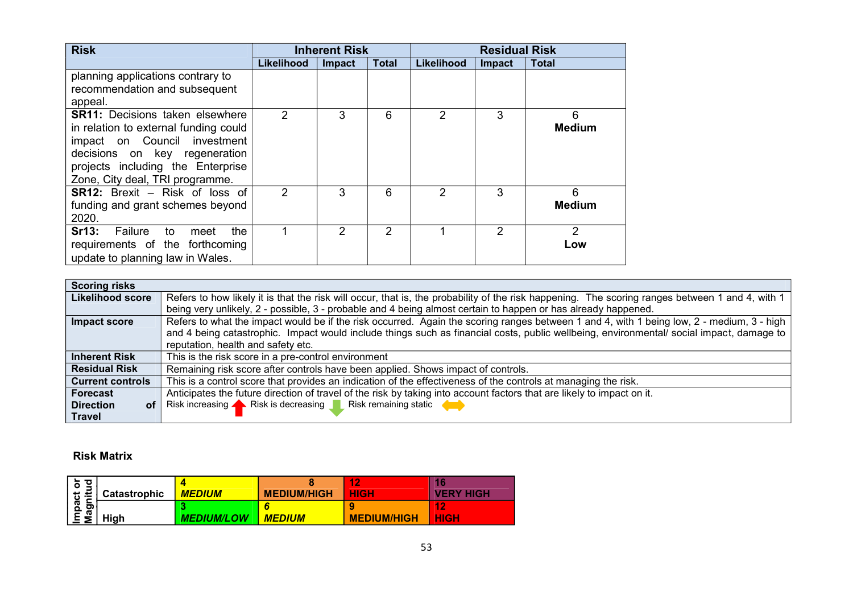| <b>Risk</b>                                                                                                                                                                                                              | <b>Inherent Risk</b> |                | <b>Residual Risk</b> |            |               |                    |
|--------------------------------------------------------------------------------------------------------------------------------------------------------------------------------------------------------------------------|----------------------|----------------|----------------------|------------|---------------|--------------------|
|                                                                                                                                                                                                                          | <b>Likelihood</b>    | Impact         | <b>Total</b>         | Likelihood | <b>Impact</b> | <b>Total</b>       |
| planning applications contrary to<br>recommendation and subsequent<br>appeal.                                                                                                                                            |                      |                |                      |            |               |                    |
| <b>SR11:</b> Decisions taken elsewhere<br>in relation to external funding could<br>impact on Council investment<br>decisions on key regeneration<br>projects including the Enterprise<br>Zone, City deal, TRI programme. | 2                    | 3              | 6                    | 2          | 3             | 6<br><b>Medium</b> |
| <b>SR12:</b> Brexit – Risk of loss of<br>funding and grant schemes beyond<br>2020.                                                                                                                                       | $\mathcal{P}$        | 3              | 6                    | 2          | 3             | 6<br><b>Medium</b> |
| Sr13:<br>Failure<br>the<br>to<br>meet<br>requirements of the forthcoming<br>update to planning law in Wales.                                                                                                             |                      | $\overline{2}$ | 2                    |            | 2             | 2<br>Low           |

| <b>Scoring risks</b>          |                                                                                                                                                 |  |  |  |  |  |
|-------------------------------|-------------------------------------------------------------------------------------------------------------------------------------------------|--|--|--|--|--|
| <b>Likelihood score</b>       | Refers to how likely it is that the risk will occur, that is, the probability of the risk happening. The scoring ranges between 1 and 4, with 1 |  |  |  |  |  |
|                               | being very unlikely, 2 - possible, 3 - probable and 4 being almost certain to happen or has already happened.                                   |  |  |  |  |  |
| Impact score                  | Refers to what the impact would be if the risk occurred. Again the scoring ranges between 1 and 4, with 1 being low, 2 - medium, 3 - high       |  |  |  |  |  |
|                               | and 4 being catastrophic. Impact would include things such as financial costs, public wellbeing, environmental/ social impact, damage to        |  |  |  |  |  |
|                               | reputation, health and safety etc.                                                                                                              |  |  |  |  |  |
| <b>Inherent Risk</b>          | This is the risk score in a pre-control environment                                                                                             |  |  |  |  |  |
| <b>Residual Risk</b>          | Remaining risk score after controls have been applied. Shows impact of controls.                                                                |  |  |  |  |  |
| <b>Current controls</b>       | This is a control score that provides an indication of the effectiveness of the controls at managing the risk.                                  |  |  |  |  |  |
| <b>Forecast</b>               | Anticipates the future direction of travel of the risk by taking into account factors that are likely to impact on it.                          |  |  |  |  |  |
| <b>Direction</b><br><b>of</b> | Risk increasing <b>A</b> Risk is decreasing <b>Risk remaining static</b>                                                                        |  |  |  |  |  |
| <b>Travel</b>                 |                                                                                                                                                 |  |  |  |  |  |

#### **Risk Matrix**

| ᅙ<br>$\overline{\sigma}$ | <b>Catastrophic</b> | <b>MEDIUM</b>     | <b>MEDIUM/HIGH</b> | 12<br><b>HIGH</b>  | 16<br><b>VERY HIGH</b>             |
|--------------------------|---------------------|-------------------|--------------------|--------------------|------------------------------------|
| Impact<br>Magnitu<br>ຕ   | High                | <b>MEDIUM/LOW</b> | <b>MEDIUM</b>      | <b>MEDIUM/HIGH</b> | $\triangle$<br>- 10<br><b>HIGH</b> |